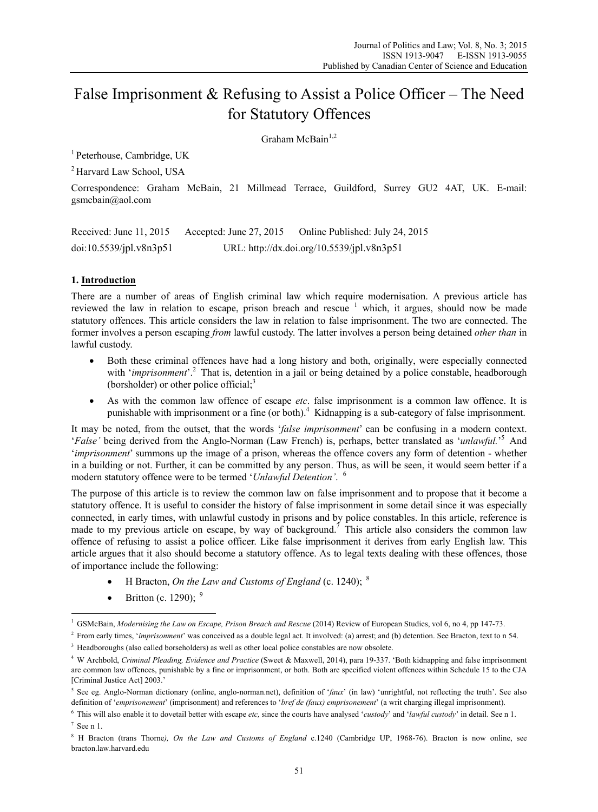# False Imprisonment & Refusing to Assist a Police Officer – The Need for Statutory Offences

 $G$ raham McBain<sup>1,2</sup>

1 Peterhouse, Cambridge, UK

2 Harvard Law School, USA

Correspondence: Graham McBain, 21 Millmead Terrace, Guildford, Surrey GU2 4AT, UK. E-mail: gsmcbain@aol.com

Received: June 11, 2015 Accepted: June 27, 2015 Online Published: July 24, 2015 doi:10.5539/jpl.v8n3p51 URL: http://dx.doi.org/10.5539/jpl.v8n3p51

### **1. Introduction**

There are a number of areas of English criminal law which require modernisation. A previous article has reviewed the law in relation to escape, prison breach and rescue  $1$  which, it argues, should now be made statutory offences. This article considers the law in relation to false imprisonment. The two are connected. The former involves a person escaping *from* lawful custody. The latter involves a person being detained *other than* in lawful custody.

- Both these criminal offences have had a long history and both, originally, were especially connected with '*imprisonment*'.<sup>2</sup> That is, detention in a jail or being detained by a police constable, headborough (borsholder) or other police official; $3$
- As with the common law offence of escape *etc*. false imprisonment is a common law offence. It is punishable with imprisonment or a fine (or both).<sup>4</sup> Kidnapping is a sub-category of false imprisonment.

It may be noted, from the outset, that the words '*false imprisonment*' can be confusing in a modern context. '*False*' being derived from the Anglo-Norman (Law French) is, perhaps, better translated as '*unlawful.*<sup>5</sup> And '*imprisonment*' summons up the image of a prison, whereas the offence covers any form of detention - whether in a building or not. Further, it can be committed by any person. Thus, as will be seen, it would seem better if a modern statutory offence were to be termed '*Unlawful Detention'*. <sup>6</sup>

The purpose of this article is to review the common law on false imprisonment and to propose that it become a statutory offence. It is useful to consider the history of false imprisonment in some detail since it was especially connected, in early times, with unlawful custody in prisons and by police constables. In this article, reference is made to my previous article on escape, by way of background.<sup>7</sup> This article also considers the common law offence of refusing to assist a police officer. Like false imprisonment it derives from early English law. This article argues that it also should become a statutory offence. As to legal texts dealing with these offences, those of importance include the following:

- H Bracton, *On the Law and Customs of England* (c. 1240); <sup>8</sup>
- $\bullet$  Britton (c. 1290); <sup>9</sup>

<sup>1</sup> GSMcBain, *Modernising the Law on Escape, Prison Breach and Rescue* (2014) Review of European Studies, vol 6, no 4, pp 147-73.

<sup>2</sup> From early times, '*imprisonment*' was conceived as a double legal act. It involved: (a) arrest; and (b) detention. See Bracton, text to n 54. <sup>3</sup> Headboroughs (also called borseholders) as well as other local police constables are now obsolete.

<sup>4</sup> W Archbold, *Criminal Pleading, Evidence and Practice* (Sweet & Maxwell, 2014), para 19-337. 'Both kidnapping and false imprisonment are common law offences, punishable by a fine or imprisonment, or both. Both are specified violent offences within Schedule 15 to the CJA [Criminal Justice Act] 2003.'

<sup>&</sup>lt;sup>5</sup> See eg. Anglo-Norman dictionary (online, anglo-norman.net), definition of '*faux*' (in law) 'unrightful, not reflecting the truth'. See also definition of '*emprisonement*' (imprisonment) and references to '*bref de (faux) emprisonement*' (a writ charging illegal imprisonment).

<sup>6</sup> This will also enable it to dovetail better with escape *etc,* since the courts have analysed '*custody*' and '*lawful custody*' in detail. See n 1.

 $7$  See n 1.

<sup>8</sup> H Bracton (trans Thorne*), On the Law and Customs of England* c.1240 (Cambridge UP, 1968-76). Bracton is now online, see bracton.law.harvard.edu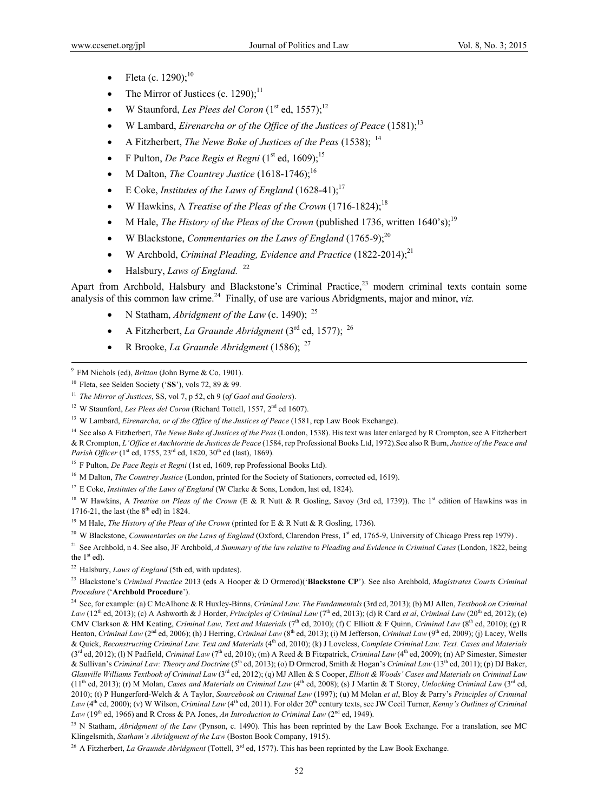- Fleta (c. 1290); $^{10}$
- The Mirror of Justices (c. 1290);<sup>11</sup>
- W Staunford, *Les Plees del Coron*  $(1<sup>st</sup>$  ed,  $1557)$ ;<sup>12</sup>
- W Lambard, *Eirenarcha or of the Office of the Justices of Peace* (1581);13
- A Fitzherbert, *The Newe Boke of Justices of the Peas* (1538); <sup>14</sup>
- F Pulton, *De Pace Regis et Regni*  $(1<sup>st</sup>$  ed, 1609);<sup>15</sup>
- M Dalton, *The Countrey Justice*  $(1618-1746)$ ;<sup>16</sup>
- E Coke, *Institutes of the Laws of England*  $(1628-41)$ ;<sup>17</sup>
- W Hawkins, A *Treatise of the Pleas of the Crown* (1716-1824);18
- M Hale, *The History of the Pleas of the Crown* (published 1736, written 1640's);<sup>19</sup>
- W Blackstone, *Commentaries on the Laws of England* (1765-9);<sup>20</sup>
- W Archbold, *Criminal Pleading, Evidence and Practice* (1822-2014);21
- $\bullet$  Halsbury, *Laws of England.* <sup>22</sup>

Apart from Archbold, Halsbury and Blackstone's Criminal Practice,<sup>23</sup> modern criminal texts contain some analysis of this common law crime.<sup>24</sup> Finally, of use are various Abridgments, major and minor, *viz.* 

- N Statham, *Abridgment of the Law* (c. 1490); <sup>25</sup>
- A Fitzherbert, *La Graunde Abridgment*  $(3<sup>rd</sup>$  ed, 1577); <sup>26</sup>
- R Brooke, *La Graunde Abridgment* (1586); <sup>27</sup>

14 See also A Fitzherbert, *The Newe Boke of Justices of the Peas* (London, 1538). His text was later enlarged by R Crompton, see A Fitzherbert & R Crompton, *L'Office et Auchtoritie de Justices de Peace* (1584, rep Professional Books Ltd, 1972).See also R Burn, *Justice of the Peace and Parish Officer* (1<sup>st</sup> ed, 1755, 23<sup>rd</sup> ed, 1820, 30<sup>th</sup> ed (last), 1869).

<sup>17</sup> E Coke, *Institutes of the Laws of England* (W Clarke & Sons, London, last ed, 1824).

<sup>18</sup> W Hawkins, A *Treatise on Pleas of the Crown* (E & R Nutt & R Gosling, Savoy (3rd ed, 1739)). The 1<sup>st</sup> edition of Hawkins was in 1716-21, the last (the  $8<sup>th</sup>$  ed) in 1824.

<sup>19</sup> M Hale, *The History of the Pleas of the Crown* (printed for E & R Nutt & R Gosling, 1736).

<sup>20</sup> W Blackstone, *Commentaries on the Laws of England* (Oxford, Clarendon Press, 1<sup>st</sup> ed, 1765-9, University of Chicago Press rep 1979).

<sup>21</sup> See Archbold, n 4. See also, JF Archbold, A Summary of the law relative to Pleading and Evidence in Criminal Cases (London, 1822, being the  $1<sup>st</sup>$  ed).

22 Halsbury, *Laws of England* (5th ed, with updates).

23 Blackstone's *Criminal Practice* 2013 (eds A Hooper & D Ormerod)('**Blackstone CP**'). See also Archbold, *Magistrates Courts Criminal Procedure* ('**Archbold Procedure**').

24 See, for example: (a) C McAlhone & R Huxley-Binns, *Criminal Law. The Fundamentals* (3rd ed, 2013); (b) MJ Allen, *Textbook on Criminal Law* (12<sup>th</sup> ed, 2013); (c) A Ashworth & J Horder, *Principles of Criminal Law* (7<sup>th</sup> ed, 2013); (d) R Card *et al*, *Criminal Law* (20<sup>th</sup> ed, 2012); (e) CMV Clarkson & HM Keating, *Criminal Law, Text and Materials* (7<sup>th</sup> ed, 2010); (f) C Elliott & F Quinn, *Criminal Law* (8<sup>th</sup> ed, 2010); (g) R Heaton, *Criminal Law* (2<sup>nd</sup> ed, 2006); (h) J Herring, *Criminal Law* (8<sup>th</sup> ed, 2013); (i) M Jefferson, *Criminal Law* (9<sup>th</sup> ed, 2009); (i) Lacey, Wells & Quick, *Reconstructing Criminal Law. Text and Materials* (4th ed, 2010); (k) J Loveless, *Complete Criminal Law. Text. Cases and Materials* (3<sup>rd</sup> ed, 2012); (1) N Padfield, *Criminal Law* (7<sup>th</sup> ed, 2010); (m) A Reed & B Fitzpatrick, *Criminal Law* (4<sup>th</sup> ed, 2009); (n) AP Simester, Simester & Sullivan's *Criminal Law: Theory and Doctrine* (5th ed, 2013); (o) D Ormerod, Smith & Hogan's *Criminal Law* (13th ed, 2011); (p) DJ Baker, *Glanville Williams Textbook of Criminal Law* (3rd ed, 2012); (q) MJ Allen & S Cooper, *Elliott & Woods' Cases and Materials on Criminal Law* (11<sup>th</sup> ed, 2013); (r) M Molan, *Cases and Materials on Criminal Law* (4<sup>th</sup> ed, 2008); (s) J Martin & T Storey, *Unlocking Criminal Law* (3<sup>rd</sup> ed, 2010); (t) P Hungerford-Welch & A Taylor, *Sourcebook on Criminal Law* (1997); (u) M Molan *et al*, Bloy & Parry's *Principles of Criminal Law* (4<sup>th</sup> ed, 2000); (v) W Wilson, *Criminal Law* (4<sup>th</sup> ed, 2011). For older 20<sup>th</sup> century texts, see JW Cecil Turner, *Kenny's Outlines of Criminal* Law (19<sup>th</sup> ed, 1966) and R Cross & PA Jones, *An Introduction to Criminal Law* (2<sup>nd</sup> ed, 1949).

<sup>25</sup> N Statham, *Abridgment of the Law* (Pynson, c. 1490). This has been reprinted by the Law Book Exchange. For a translation, see MC Klingelsmith, *Statham's Abridgment of the Law* (Boston Book Company, 1915).

<sup>26</sup> A Fitzherbert, *La Graunde Abridgment* (Tottell, 3<sup>rd</sup> ed, 1577). This has been reprinted by the Law Book Exchange.

<sup>-&</sup>lt;br>9 FM Nichols (ed), *Britton* (John Byrne & Co, 1901).

<sup>10</sup> Fleta, see Selden Society ('**SS**'), vols 72, 89 & 99.

<sup>11</sup> *The Mirror of Justices*, SS, vol 7, p 52, ch 9 (o*f Gaol and Gaolers*).

<sup>&</sup>lt;sup>12</sup> W Staunford, *Les Plees del Coron* (Richard Tottell, 1557, 2<sup>nd</sup> ed 1607).

<sup>&</sup>lt;sup>13</sup> W Lambard, *Eirenarcha, or of the Office of the Justices of Peace* (1581, rep Law Book Exchange).

<sup>&</sup>lt;sup>15</sup> F Pulton, *De Pace Regis et Regni* (1st ed, 1609, rep Professional Books Ltd).

<sup>&</sup>lt;sup>16</sup> M Dalton, *The Countrey Justice* (London, printed for the Society of Stationers, corrected ed, 1619).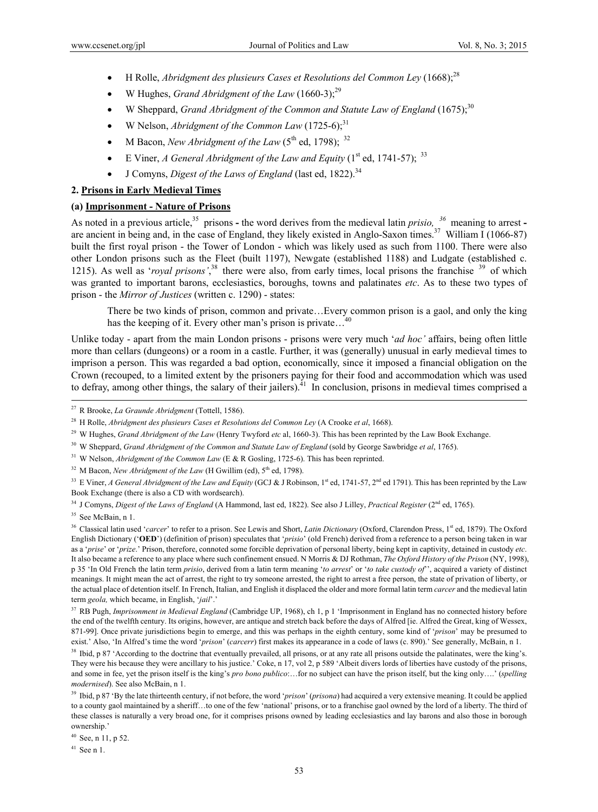- H Rolle, *Abridgment des plusieurs Cases et Resolutions del Common Ley* (1668);28
- W Hughes, *Grand Abridgment of the Law*  $(1660-3)$ ;<sup>29</sup>
- W Sheppard, *Grand Abridgment of the Common and Statute Law of England* (1675);30
- W Nelson, *Abridgment of the Common Law*  $(1725-6)$ ;<sup>31</sup>
- M Bacon, *New Abridgment of the Law*  $(5^{th}$  ed, 1798); <sup>32</sup>
- E Viner, *A General Abridgment of the Law and Equity*  $(1^{st}$  ed, 1741-57); <sup>33</sup>
- J Comyns, *Digest of the Laws of England* (last ed, 1822).34

### **2. Prisons in Early Medieval Times**

### **(a) Imprisonment - Nature of Prisons**

As noted in a previous article,<sup>35</sup> prisons - the word derives from the medieval latin *prisio*, <sup>36</sup> meaning to arrest are ancient in being and, in the case of England, they likely existed in Anglo-Saxon times.<sup>37</sup> William I (1066-87) built the first royal prison - the Tower of London - which was likely used as such from 1100. There were also other London prisons such as the Fleet (built 1197), Newgate (established 1188) and Ludgate (established c. 1215). As well as '*royal prisons*',<sup>38</sup> there were also, from early times, local prisons the franchise <sup>39</sup> of which was granted to important barons, ecclesiastics, boroughs, towns and palatinates *etc*. As to these two types of prison - the *Mirror of Justices* (written c. 1290) - states:

There be two kinds of prison, common and private…Every common prison is a gaol, and only the king has the keeping of it. Every other man's prison is private...

Unlike today - apart from the main London prisons - prisons were very much '*ad hoc'* affairs, being often little more than cellars (dungeons) or a room in a castle. Further, it was (generally) unusual in early medieval times to imprison a person. This was regarded a bad option, economically, since it imposed a financial obligation on the Crown (recouped, to a limited extent by the prisoners paying for their food and accommodation which was used to defray, among other things, the salary of their jailers).<sup> $41$ </sup> In conclusion, prisons in medieval times comprised a

- <sup>29</sup> W Hughes, *Grand Abridgment of the Law* (Henry Twyford *etc* al, 1660-3). This has been reprinted by the Law Book Exchange.
- 30 W Sheppard, *Grand Abridgment of the Common and Statute Law of England* (sold by George Sawbridge *et al*, 1765).

<sup>31</sup> W Nelson, *Abridgment of the Common Law* (E & R Gosling, 1725-6). This has been reprinted.

<sup>32</sup> M Bacon, *New Abridgment of the Law* (H Gwillim (ed), 5<sup>th</sup> ed, 1798).

<sup>33</sup> E Viner, *A General Abridgment of the Law and Equity* (GCJ & J Robinson, 1<sup>st</sup> ed, 1741-57, 2<sup>nd</sup> ed 1791). This has been reprinted by the Law Book Exchange (there is also a CD with wordsearch).

34 J Comyns, *Digest of the Laws of England* (A Hammond, last ed, 1822). See also J Lilley, *Practical Register* (2nd ed, 1765).

<sup>35</sup> See McBain, n 1.

<sup>36</sup> Classical latin used '*carcer*' to refer to a prison. See Lewis and Short, *Latin Dictionary* (Oxford, Clarendon Press, 1<sup>st</sup> ed, 1879). The Oxford English Dictionary ('**OED**') (definition of prison) speculates that '*prisio*' (old French) derived from a reference to a person being taken in war as a '*prise*' or '*prize*.' Prison, therefore, connoted some forcible deprivation of personal liberty, being kept in captivity, detained in custody *etc*. It also became a reference to any place where such confinement ensued. N Morris & DJ Rothman, *The Oxford History of the Prison* (NY, 1998), p 35 'In Old French the latin term *prisio*, derived from a latin term meaning '*to arrest*' or '*to take custody of*'', acquired a variety of distinct meanings. It might mean the act of arrest, the right to try someone arrested, the right to arrest a free person, the state of privation of liberty, or the actual place of detention itself. In French, Italian, and English it displaced the older and more formal latin term *carcer* and the medieval latin term *geola,* which became, in English, '*jail*'.'

37 RB Pugh, *Imprisonment in Medieval England* (Cambridge UP, 1968), ch 1, p 1 'Imprisonment in England has no connected history before the end of the twelfth century. Its origins, however, are antique and stretch back before the days of Alfred [ie. Alfred the Great, king of Wessex, 871-99]. Once private jurisdictions begin to emerge, and this was perhaps in the eighth century, some kind of '*prison*' may be presumed to exist.' Also, 'In Alfred's time the word '*prison*' (*carcerr*) first makes its appearance in a code of laws (c. 890).' See generally, McBain, n 1.

<sup>38</sup> Ibid, p 87 'According to the doctrine that eventually prevailed, all prisons, or at any rate all prisons outside the palatinates, were the king's. They were his because they were ancillary to his justice.' Coke, n 17, vol 2, p 589 'Albeit divers lords of liberties have custody of the prisons, and some in fee, yet the prison itself is the king's *pro bono publico*:…for no subject can have the prison itself, but the king only….' (*spelling modernised*). See also McBain, n 1.

39 Ibid, p 87 'By the late thirteenth century, if not before, the word '*prison*' (*prisona*) had acquired a very extensive meaning. It could be applied to a county gaol maintained by a sheriff…to one of the few 'national' prisons, or to a franchise gaol owned by the lord of a liberty. The third of these classes is naturally a very broad one, for it comprises prisons owned by leading ecclesiastics and lay barons and also those in borough ownership.'

 $40$  See, n 11, p 52.

41 See n 1.

 <sup>27</sup> R Brooke, *La Graunde Abridgment* (Tottell, 1586).

<sup>28</sup> H Rolle, *Abridgment des plusieurs Cases et Resolutions del Common Ley* (A Crooke *et al*, 1668).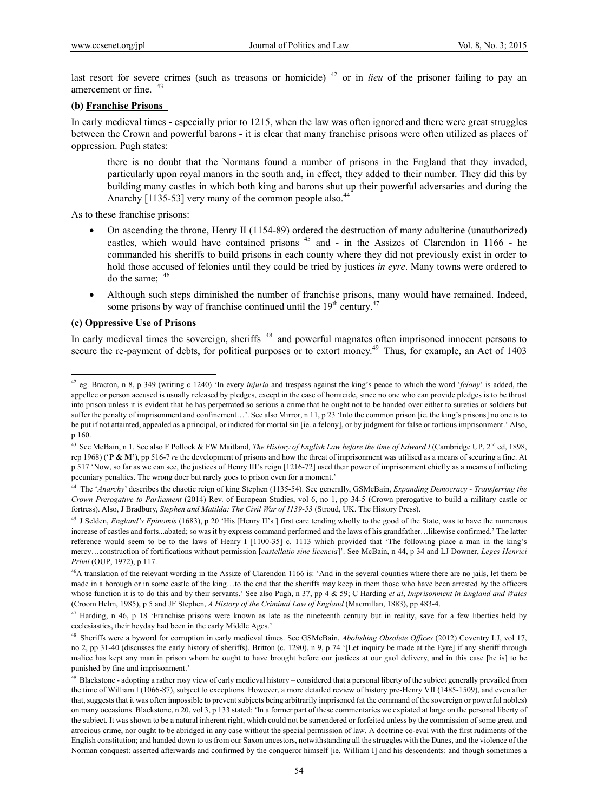last resort for severe crimes (such as treasons or homicide) <sup>42</sup> or in *lieu* of the prisoner failing to pay an amercement or fine  $43$ 

### **(b) Franchise Prisons**

In early medieval times **-** especially prior to 1215, when the law was often ignored and there were great struggles between the Crown and powerful barons **-** it is clear that many franchise prisons were often utilized as places of oppression. Pugh states:

there is no doubt that the Normans found a number of prisons in the England that they invaded, particularly upon royal manors in the south and, in effect, they added to their number. They did this by building many castles in which both king and barons shut up their powerful adversaries and during the Anarchy [1135-53] very many of the common people also.<sup>44</sup>

As to these franchise prisons:

- On ascending the throne, Henry II (1154-89) ordered the destruction of many adulterine (unauthorized) castles, which would have contained prisons  $45$  and - in the Assizes of Clarendon in 1166 - he commanded his sheriffs to build prisons in each county where they did not previously exist in order to hold those accused of felonies until they could be tried by justices *in eyre*. Many towns were ordered to do the same;  $46$
- Although such steps diminished the number of franchise prisons, many would have remained. Indeed, some prisons by way of franchise continued until the  $19<sup>th</sup>$  century.<sup>47</sup>

### **(c) Oppressive Use of Prisons**

 $\overline{a}$ 

In early medieval times the sovereign, sheriffs <sup>48</sup> and powerful magnates often imprisoned innocent persons to secure the re-payment of debts, for political purposes or to extort money.<sup>49</sup> Thus, for example, an Act of 1403

<sup>42</sup> eg. Bracton, n 8, p 349 (writing c 1240) 'In every *injuria* and trespass against the king's peace to which the word '*felony*' is added, the appellee or person accused is usually released by pledges, except in the case of homicide, since no one who can provide pledges is to be thrust into prison unless it is evident that he has perpetrated so serious a crime that he ought not to be handed over either to sureties or soldiers but suffer the penalty of imprisonment and confinement...'. See also Mirror, n 11, p 23 'Into the common prison [ie. the king's prisons] no one is to be put if not attainted, appealed as a principal, or indicted for mortal sin [ie. a felony], or by judgment for false or tortious imprisonment.' Also, p 160.

<sup>&</sup>lt;sup>43</sup> See McBain, n 1. See also F Pollock & FW Maitland, *The History of English Law before the time of Edward I* (Cambridge UP, 2<sup>nd</sup> ed, 1898, rep 1968) ('**P & M'**), pp 516-7 *re* the development of prisons and how the threat of imprisonment was utilised as a means of securing a fine. At p 517 'Now, so far as we can see, the justices of Henry III's reign [1216-72] used their power of imprisonment chiefly as a means of inflicting pecuniary penalties. The wrong doer but rarely goes to prison even for a moment.'

<sup>44</sup> The '*Anarchy*' describes the chaotic reign of king Stephen (1135-54). See generally, GSMcBain, *Expanding Democracy - Transferring the Crown Prerogative to Parliament* (2014) Rev. of European Studies, vol 6, no 1, pp 34-5 (Crown prerogative to build a military castle or fortress). Also, J Bradbury, *Stephen and Matilda: The Civil War of 1139-53* (Stroud, UK. The History Press).

<sup>&</sup>lt;sup>45</sup> J Selden, *England's Epinomis* (1683), p 20 'His [Henry II's] first care tending wholly to the good of the State, was to have the numerous increase of castles and forts...abated; so was it by express command performed and the laws of his grandfather…likewise confirmed.' The latter reference would seem to be to the laws of Henry I [1100-35] c. 1113 which provided that 'The following place a man in the king's mercy…construction of fortifications without permission [*castellatio sine licencia*]'. See McBain, n 44, p 34 and LJ Downer, *Leges Henrici Primi* (OUP, 1972), p 117.

<sup>&</sup>lt;sup>46</sup>A translation of the relevant wording in the Assize of Clarendon 1166 is: 'And in the several counties where there are no jails, let them be made in a borough or in some castle of the king…to the end that the sheriffs may keep in them those who have been arrested by the officers whose function it is to do this and by their servants.' See also Pugh, n 37, pp 4 & 59; C Harding *et al*, *Imprisonment in England and Wales* (Croom Helm, 1985), p 5 and JF Stephen, *A History of the Criminal Law of England* (Macmillan, 1883), pp 483-4.

<sup>&</sup>lt;sup>47</sup> Harding, n 46, p 18 'Franchise prisons were known as late as the nineteenth century but in reality, save for a few liberties held by ecclesiastics, their heyday had been in the early Middle Ages.'

<sup>48</sup> Sheriffs were a byword for corruption in early medieval times. See GSMcBain, *Abolishing Obsolete Offices* (2012) Coventry LJ, vol 17, no 2, pp 31-40 (discusses the early history of sheriffs). Britton (c. 1290), n 9, p 74 '[Let inquiry be made at the Eyre] if any sheriff through malice has kept any man in prison whom he ought to have brought before our justices at our gaol delivery, and in this case [he is] to be punished by fine and imprisonment.'

<sup>49</sup> Blackstone - adopting a rather rosy view of early medieval history – considered that a personal liberty of the subject generally prevailed from the time of William I (1066-87), subject to exceptions. However, a more detailed review of history pre-Henry VII (1485-1509), and even after that, suggests that it was often impossible to prevent subjects being arbitrarily imprisoned (at the command of the sovereign or powerful nobles) on many occasions. Blackstone, n 20, vol 3, p 133 stated: 'In a former part of these commentaries we expiated at large on the personal liberty of the subject. It was shown to be a natural inherent right, which could not be surrendered or forfeited unless by the commission of some great and atrocious crime, nor ought to be abridged in any case without the special permission of law. A doctrine co-eval with the first rudiments of the English constitution; and handed down to us from our Saxon ancestors, notwithstanding all the struggles with the Danes, and the violence of the Norman conquest: asserted afterwards and confirmed by the conqueror himself [ie. William I] and his descendents: and though sometimes a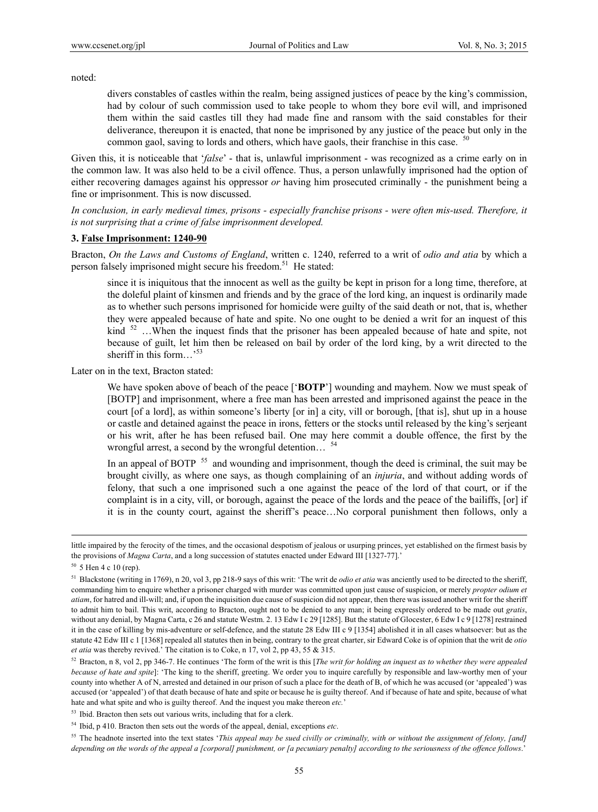noted:

divers constables of castles within the realm, being assigned justices of peace by the king's commission, had by colour of such commission used to take people to whom they bore evil will, and imprisoned them within the said castles till they had made fine and ransom with the said constables for their deliverance, thereupon it is enacted, that none be imprisoned by any justice of the peace but only in the common gaol, saving to lords and others, which have gaols, their franchise in this case.  $50$ 

Given this, it is noticeable that '*false*' - that is, unlawful imprisonment - was recognized as a crime early on in the common law. It was also held to be a civil offence. Thus, a person unlawfully imprisoned had the option of either recovering damages against his oppressor *or* having him prosecuted criminally - the punishment being a fine or imprisonment. This is now discussed.

*In conclusion, in early medieval times, prisons - especially franchise prisons - were often mis-used. Therefore, it is not surprising that a crime of false imprisonment developed.* 

### **3. False Imprisonment: 1240-90**

Bracton, *On the Laws and Customs of England*, written c. 1240, referred to a writ of *odio and atia* by which a person falsely imprisoned might secure his freedom.<sup>51</sup> He stated:

since it is iniquitous that the innocent as well as the guilty be kept in prison for a long time, therefore, at the doleful plaint of kinsmen and friends and by the grace of the lord king, an inquest is ordinarily made as to whether such persons imprisoned for homicide were guilty of the said death or not, that is, whether they were appealed because of hate and spite. No one ought to be denied a writ for an inquest of this kind <sup>52</sup> …When the inquest finds that the prisoner has been appealed because of hate and spite, not because of guilt, let him then be released on bail by order of the lord king, by a writ directed to the sheriff in this form...<sup>53</sup>

Later on in the text, Bracton stated:

We have spoken above of beach of the peace ['**BOTP**'] wounding and mayhem. Now we must speak of [BOTP] and imprisonment, where a free man has been arrested and imprisoned against the peace in the court [of a lord], as within someone's liberty [or in] a city, vill or borough, [that is], shut up in a house or castle and detained against the peace in irons, fetters or the stocks until released by the king's serjeant or his writ, after he has been refused bail. One may here commit a double offence, the first by the wrongful arrest, a second by the wrongful detention...

In an appeal of BOTP  $55$  and wounding and imprisonment, though the deed is criminal, the suit may be brought civilly, as where one says, as though complaining of an *injuria*, and without adding words of felony, that such a one imprisoned such a one against the peace of the lord of that court, or if the complaint is in a city, vill, or borough, against the peace of the lords and the peace of the bailiffs, [or] if it is in the county court, against the sheriff's peace…No corporal punishment then follows, only a

<sup>53</sup> Ibid. Bracton then sets out various writs, including that for a clerk.

little impaired by the ferocity of the times, and the occasional despotism of jealous or usurping princes, yet established on the firmest basis by the provisions of *Magna Carta*, and a long succession of statutes enacted under Edward III [1327-77].'

 $50\,$  5 Hen 4 c 10 (rep).

<sup>&</sup>lt;sup>51</sup> Blackstone (writing in 1769), n 20, vol 3, pp 218-9 says of this writ: 'The writ de *odio et atia* was anciently used to be directed to the sheriff, commanding him to enquire whether a prisoner charged with murder was committed upon just cause of suspicion, or merely *propter odium et atiam*, for hatred and ill-will; and, if upon the inquisition due cause of suspicion did not appear, then there was issued another writ for the sheriff to admit him to bail. This writ, according to Bracton, ought not to be denied to any man; it being expressly ordered to be made out *gratis*, without any denial, by Magna Carta, c 26 and statute Westm. 2. 13 Edw I c 29 [1285]. But the statute of Glocester, 6 Edw I c 9 [1278] restrained it in the case of killing by mis-adventure or self-defence, and the statute 28 Edw III c 9 [1354] abolished it in all cases whatsoever: but as the statute 42 Edw III c 1 [1368] repealed all statutes then in being, contrary to the great charter, sir Edward Coke is of opinion that the writ de *otio et atia* was thereby revived.' The citation is to Coke, n 17, vol 2, pp 43, 55 & 315.

<sup>52</sup> Bracton, n 8, vol 2, pp 346-7. He continues 'The form of the writ is this [*The writ for holding an inquest as to whether they were appealed because of hate and spite*]: 'The king to the sheriff, greeting. We order you to inquire carefully by responsible and law-worthy men of your county into whether A of N, arrested and detained in our prison of such a place for the death of B, of which he was accused (or 'appealed') was accused (or 'appealed') of that death because of hate and spite or because he is guilty thereof. And if because of hate and spite, because of what hate and what spite and who is guilty thereof. And the inquest you make thereon *etc.*'

<sup>54</sup> Ibid, p 410. Bracton then sets out the words of the appeal, denial, exceptions *etc*.

<sup>&</sup>lt;sup>55</sup> The headnote inserted into the text states '*This appeal may be sued civilly or criminally, with or without the assignment of felony, [and] depending on the words of the appeal a [corporal] punishment, or [a pecuniary penalty] according to the seriousness of the offence follows*.'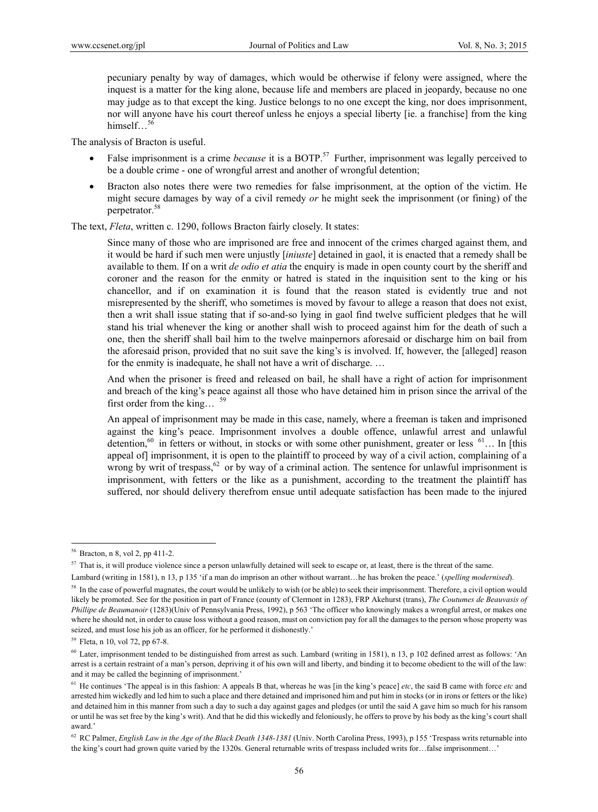pecuniary penalty by way of damages, which would be otherwise if felony were assigned, where the inquest is a matter for the king alone, because life and members are placed in jeopardy, because no one may judge as to that except the king. Justice belongs to no one except the king, nor does imprisonment, nor will anyone have his court thereof unless he enjoys a special liberty [ie. a franchise] from the king himself...<sup>56</sup>

The analysis of Bracton is useful.

- False imprisonment is a crime *because* it is a BOTP.<sup>57</sup> Further, imprisonment was legally perceived to be a double crime - one of wrongful arrest and another of wrongful detention;
- Bracton also notes there were two remedies for false imprisonment, at the option of the victim. He might secure damages by way of a civil remedy *or* he might seek the imprisonment (or fining) of the perpetrator.<sup>58</sup>

The text, *Fleta*, written c. 1290, follows Bracton fairly closely. It states:

Since many of those who are imprisoned are free and innocent of the crimes charged against them, and it would be hard if such men were unjustly [*iniuste*] detained in gaol, it is enacted that a remedy shall be available to them. If on a writ *de odio et atia* the enquiry is made in open county court by the sheriff and coroner and the reason for the enmity or hatred is stated in the inquisition sent to the king or his chancellor, and if on examination it is found that the reason stated is evidently true and not misrepresented by the sheriff, who sometimes is moved by favour to allege a reason that does not exist, then a writ shall issue stating that if so-and-so lying in gaol find twelve sufficient pledges that he will stand his trial whenever the king or another shall wish to proceed against him for the death of such a one, then the sheriff shall bail him to the twelve mainpernors aforesaid or discharge him on bail from the aforesaid prison, provided that no suit save the king's is involved. If, however, the [alleged] reason for the enmity is inadequate, he shall not have a writ of discharge. …

And when the prisoner is freed and released on bail, he shall have a right of action for imprisonment and breach of the king's peace against all those who have detained him in prison since the arrival of the first order from the king...  $59$ 

An appeal of imprisonment may be made in this case, namely, where a freeman is taken and imprisoned against the king's peace. Imprisonment involves a double offence, unlawful arrest and unlawful detention,<sup>60</sup> in fetters or without, in stocks or with some other punishment, greater or less  $61$ … In [this appeal of imprisonment, it is open to the plaintiff to proceed by way of a civil action, complaining of a wrong by writ of trespass,  $62$  or by way of a criminal action. The sentence for unlawful imprisonment is imprisonment, with fetters or the like as a punishment, according to the treatment the plaintiff has suffered, nor should delivery therefrom ensue until adequate satisfaction has been made to the injured

<sup>56</sup> Bracton, n 8, vol 2, pp 411-2.

<sup>&</sup>lt;sup>57</sup> That is, it will produce violence since a person unlawfully detained will seek to escape or, at least, there is the threat of the same.

Lambard (writing in 1581), n 13, p 135 'if a man do imprison an other without warrant…he has broken the peace.' (*spelling modernised*).

<sup>&</sup>lt;sup>58</sup> In the case of powerful magnates, the court would be unlikely to wish (or be able) to seek their imprisonment. Therefore, a civil option would likely be promoted. See for the position in part of France (county of Clermont in 1283), FRP Akehurst (trans), *The Coutumes de Beauvasis of Phillipe de Beaumanoir* (1283)(Univ of Pennsylvania Press, 1992), p 563 'The officer who knowingly makes a wrongful arrest, or makes one where he should not, in order to cause loss without a good reason, must on conviction pay for all the damages to the person whose property was seized, and must lose his job as an officer, for he performed it dishonestly.'

<sup>59</sup> Fleta, n 10, vol 72, pp 67-8.

<sup>60</sup> Later, imprisonment tended to be distinguished from arrest as such. Lambard (writing in 1581), n 13, p 102 defined arrest as follows: 'An arrest is a certain restraint of a man's person, depriving it of his own will and liberty, and binding it to become obedient to the will of the law: and it may be called the beginning of imprisonment.'

<sup>&</sup>lt;sup>61</sup> He continues 'The appeal is in this fashion: A appeals B that, whereas he was [in the king's peace] *etc*, the said B came with force *etc* and arrested him wickedly and led him to such a place and there detained and imprisoned him and put him in stocks (or in irons or fetters or the like) and detained him in this manner from such a day to such a day against gages and pledges (or until the said A gave him so much for his ransom or until he was set free by the king's writ). And that he did this wickedly and feloniously, he offers to prove by his body as the king's court shall award.'

<sup>&</sup>lt;sup>62</sup> RC Palmer, *English Law in the Age of the Black Death 1348-1381* (Univ. North Carolina Press, 1993), p 155 'Trespass writs returnable into the king's court had grown quite varied by the 1320s. General returnable writs of trespass included writs for…false imprisonment…'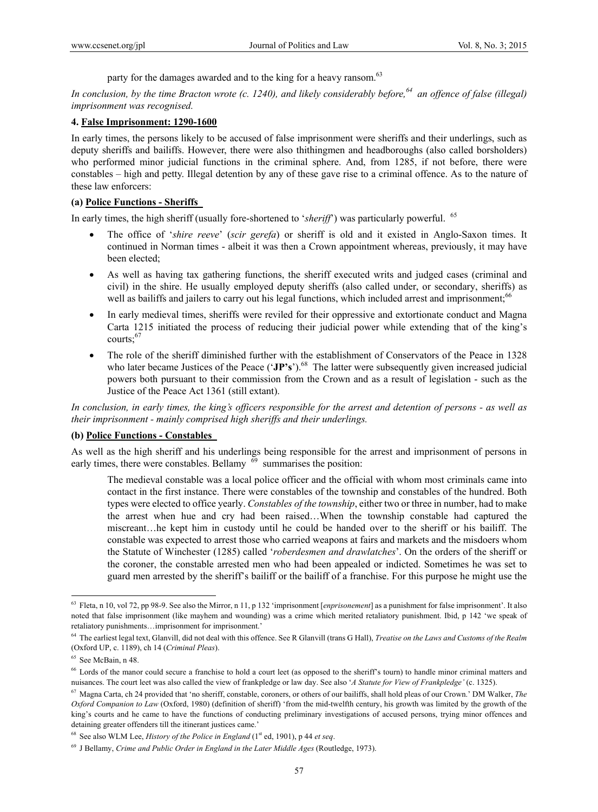party for the damages awarded and to the king for a heavy ransom.<sup>63</sup>

*In conclusion, by the time Bracton wrote (c. 1240), and likely considerably before,*<sup>64</sup> an offence of false (illegal) *imprisonment was recognised.* 

#### **4. False Imprisonment: 1290-1600**

In early times, the persons likely to be accused of false imprisonment were sheriffs and their underlings, such as deputy sheriffs and bailiffs. However, there were also thithingmen and headboroughs (also called borsholders) who performed minor judicial functions in the criminal sphere. And, from 1285, if not before, there were constables – high and petty. Illegal detention by any of these gave rise to a criminal offence. As to the nature of these law enforcers:

### **(a) Police Functions - Sheriffs**

In early times, the high sheriff (usually fore-shortened to '*sheriff*') was particularly powerful. 65

- The office of '*shire reeve*' (*scir gerefa*) or sheriff is old and it existed in Anglo-Saxon times. It continued in Norman times - albeit it was then a Crown appointment whereas, previously, it may have been elected;
- As well as having tax gathering functions, the sheriff executed writs and judged cases (criminal and civil) in the shire. He usually employed deputy sheriffs (also called under, or secondary, sheriffs) as well as bailiffs and jailers to carry out his legal functions, which included arrest and imprisonment;<sup>66</sup>
- In early medieval times, sheriffs were reviled for their oppressive and extortionate conduct and Magna Carta 1215 initiated the process of reducing their judicial power while extending that of the king's courts:<sup>67</sup>
- The role of the sheriff diminished further with the establishment of Conservators of the Peace in 1328 who later became Justices of the Peace ('JP's').<sup>68</sup> The latter were subsequently given increased judicial powers both pursuant to their commission from the Crown and as a result of legislation - such as the Justice of the Peace Act 1361 (still extant).

*In conclusion, in early times, the king's officers responsible for the arrest and detention of persons - as well as their imprisonment - mainly comprised high sheriffs and their underlings.* 

#### **(b) Police Functions - Constables**

As well as the high sheriff and his underlings being responsible for the arrest and imprisonment of persons in early times, there were constables. Bellamy  $69$  summarises the position:

The medieval constable was a local police officer and the official with whom most criminals came into contact in the first instance. There were constables of the township and constables of the hundred. Both types were elected to office yearly. *Constables of the township*, either two or three in number, had to make the arrest when hue and cry had been raised…When the township constable had captured the miscreant…he kept him in custody until he could be handed over to the sheriff or his bailiff. The constable was expected to arrest those who carried weapons at fairs and markets and the misdoers whom the Statute of Winchester (1285) called '*roberdesmen and drawlatches*'. On the orders of the sheriff or the coroner, the constable arrested men who had been appealed or indicted. Sometimes he was set to guard men arrested by the sheriff's bailiff or the bailiff of a franchise. For this purpose he might use the

<sup>63</sup> Fleta, n 10, vol 72, pp 98-9. See also the Mirror, n 11, p 132 'imprisonment [*enprisonement*] as a punishment for false imprisonment'. It also noted that false imprisonment (like mayhem and wounding) was a crime which merited retaliatory punishment. Ibid, p 142 'we speak of retaliatory punishments…imprisonment for imprisonment.'

<sup>64</sup> The earliest legal text, Glanvill, did not deal with this offence. See R Glanvill (trans G Hall), *Treatise on the Laws and Customs of the Realm* (Oxford UP, c. 1189), ch 14 (*Criminal Pleas*).

<sup>65</sup> See McBain, n 48.

<sup>&</sup>lt;sup>66</sup> Lords of the manor could secure a franchise to hold a court leet (as opposed to the sheriff's tourn) to handle minor criminal matters and nuisances. The court leet was also called the view of frankpledge or law day. See also '*A Statute for View of Frankpledge'* (c. 1325).

<sup>67</sup> Magna Carta, ch 24 provided that 'no sheriff, constable, coroners, or others of our bailiffs, shall hold pleas of our Crown.' DM Walker, *The Oxford Companion to Law* (Oxford, 1980) (definition of sheriff) 'from the mid-twelfth century, his growth was limited by the growth of the king's courts and he came to have the functions of conducting preliminary investigations of accused persons, trying minor offences and detaining greater offenders till the itinerant justices came.'

 $68$  See also WLM Lee, *History of the Police in England* ( $1<sup>st</sup>$  ed, 1901), p 44 *et seq.* 

<sup>69</sup> J Bellamy, *Crime and Public Order in England in the Later Middle Ages* (Routledge, 1973).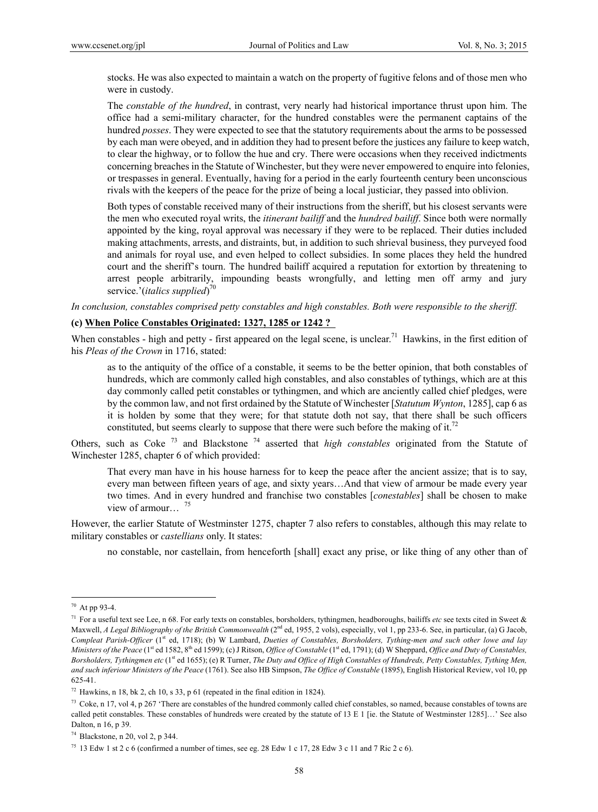stocks. He was also expected to maintain a watch on the property of fugitive felons and of those men who were in custody.

The *constable of the hundred*, in contrast, very nearly had historical importance thrust upon him. The office had a semi-military character, for the hundred constables were the permanent captains of the hundred *posses*. They were expected to see that the statutory requirements about the arms to be possessed by each man were obeyed, and in addition they had to present before the justices any failure to keep watch, to clear the highway, or to follow the hue and cry. There were occasions when they received indictments concerning breaches in the Statute of Winchester, but they were never empowered to enquire into felonies, or trespasses in general. Eventually, having for a period in the early fourteenth century been unconscious rivals with the keepers of the peace for the prize of being a local justiciar, they passed into oblivion.

Both types of constable received many of their instructions from the sheriff, but his closest servants were the men who executed royal writs, the *itinerant bailiff* and the *hundred bailiff*. Since both were normally appointed by the king, royal approval was necessary if they were to be replaced. Their duties included making attachments, arrests, and distraints, but, in addition to such shrieval business, they purveyed food and animals for royal use, and even helped to collect subsidies. In some places they held the hundred court and the sheriff's tourn. The hundred bailiff acquired a reputation for extortion by threatening to arrest people arbitrarily, impounding beasts wrongfully, and letting men off army and jury service.'(*italics supplied*) 70

*In conclusion, constables comprised petty constables and high constables. Both were responsible to the sheriff.* 

#### **(c) When Police Constables Originated: 1327, 1285 or 1242 ?**

When constables - high and petty - first appeared on the legal scene, is unclear.<sup>71</sup> Hawkins, in the first edition of his *Pleas of the Crown* in 1716, stated:

as to the antiquity of the office of a constable, it seems to be the better opinion, that both constables of hundreds, which are commonly called high constables, and also constables of tythings, which are at this day commonly called petit constables or tythingmen, and which are anciently called chief pledges, were by the common law, and not first ordained by the Statute of Winchester [*Statutum Wynton*, 1285], cap 6 as it is holden by some that they were; for that statute doth not say, that there shall be such officers constituted, but seems clearly to suppose that there were such before the making of it.<sup>72</sup>

Others, such as Coke 73 and Blackstone 74 asserted that *high constables* originated from the Statute of Winchester 1285, chapter 6 of which provided:

 That every man have in his house harness for to keep the peace after the ancient assize; that is to say, every man between fifteen years of age, and sixty years…And that view of armour be made every year two times. And in every hundred and franchise two constables [*conestables*] shall be chosen to make view of armour...  $75$ 

However, the earlier Statute of Westminster 1275, chapter 7 also refers to constables, although this may relate to military constables or *castellians* only. It states:

no constable, nor castellain, from henceforth [shall] exact any prise, or like thing of any other than of

<sup>70</sup> At pp 93-4.

<sup>71</sup> For a useful text see Lee, n 68. For early texts on constables, borsholders, tythingmen, headboroughs, bailiffs *etc* see texts cited in Sweet & Maxwell, *A Legal Bibliography of the British Commonwealth* (2<sup>nd</sup> ed, 1955, 2 vols), especially, vol 1, pp 233-6. See, in particular, (a) G Jacob, *Compleat Parish-Officer* (1<sup>st</sup> ed, 1718); (b) W Lambard, *Dueties of Constables, Borsholders, Tything-men and such other lowe and lay Ministers of the Peace* (1<sup>st</sup> ed 1582, 8<sup>th</sup> ed 1599); (c) J Ritson, *Office of Constable* (1<sup>st</sup> ed, 1791); (d) W Sheppard, *Office and Duty of Constables*, Borsholders, Tythingmen etc (1<sup>st</sup> ed 1655); (e) R Turner, *The Duty and Office of High Constables of Hundreds, Petty Constables, Tything Men, and such inferiour Ministers of the Peace* (1761). See also HB Simpson, *The Office of Constable* (1895), English Historical Review, vol 10, pp 625-41.

 $72$  Hawkins, n 18, bk 2, ch 10, s 33, p 61 (repeated in the final edition in 1824).

 $^{73}$  Coke, n 17, vol 4, p 267 'There are constables of the hundred commonly called chief constables, so named, because constables of towns are called petit constables. These constables of hundreds were created by the statute of 13 E 1 [ie. the Statute of Westminster 1285]…' See also Dalton, n 16, p 39.

 $74$  Blackstone, n 20, vol 2, p 344.

<sup>75 13</sup> Edw 1 st 2 c 6 (confirmed a number of times, see eg. 28 Edw 1 c 17, 28 Edw 3 c 11 and 7 Ric 2 c 6).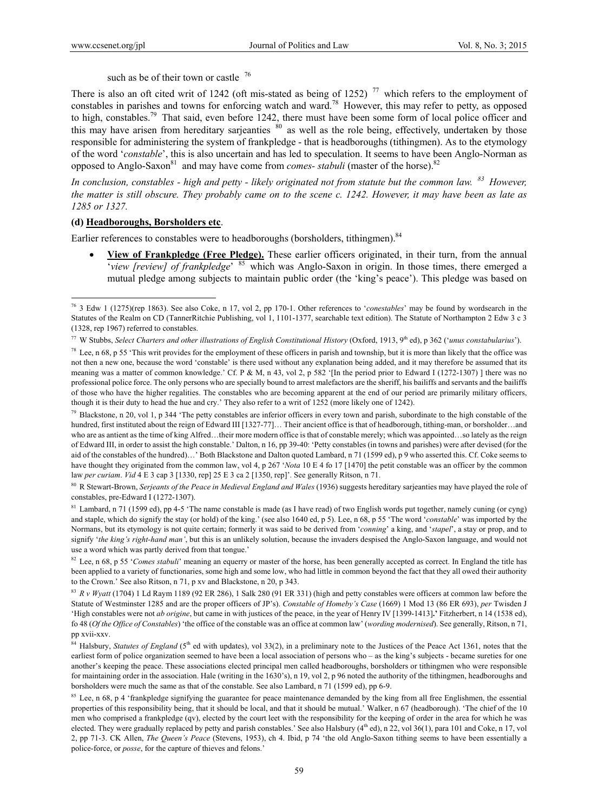$\overline{a}$ 

such as be of their town or castle  $76$ 

There is also an oft cited writ of 1242 (oft mis-stated as being of 1252)<sup>77</sup> which refers to the employment of constables in parishes and towns for enforcing watch and ward.78 However, this may refer to petty, as opposed to high, constables.<sup>79</sup> That said, even before 1242, there must have been some form of local police officer and this may have arisen from hereditary sarjeanties <sup>80</sup> as well as the role being, effectively, undertaken by those responsible for administering the system of frankpledge - that is headboroughs (tithingmen). As to the etymology of the word '*constable*', this is also uncertain and has led to speculation. It seems to have been Anglo-Norman as opposed to Anglo-Saxon<sup>81</sup> and may have come from *comes- stabuli* (master of the horse).<sup>82</sup>

*In conclusion, constables - high and petty - likely originated not from statute but the common law. 83 However, the matter is still obscure. They probably came on to the scene c. 1242. However, it may have been as late as 1285 or 1327.* 

#### **(d) Headboroughs, Borsholders etc**.

Earlier references to constables were to headboroughs (borsholders, tithingmen).<sup>84</sup>

 **View of Frankpledge (Free Pledge).** These earlier officers originated, in their turn, from the annual '*view [review] of frankpledge*' 85 which was Anglo-Saxon in origin. In those times, there emerged a mutual pledge among subjects to maintain public order (the 'king's peace'). This pledge was based on

 $79$  Blackstone, n 20, vol 1, p 344 'The petty constables are inferior officers in every town and parish, subordinate to the high constable of the hundred, first instituted about the reign of Edward III [1327-77]... Their ancient office is that of headborough, tithing-man, or borsholder...and who are as antient as the time of king Alfred…their more modern office is that of constable merely; which was appointed…so lately as the reign of Edward III, in order to assist the high constable.' Dalton, n 16, pp 39-40: 'Petty constables (in towns and parishes) were after devised (for the aid of the constables of the hundred)…' Both Blackstone and Dalton quoted Lambard, n 71 (1599 ed), p 9 who asserted this. Cf. Coke seems to have thought they originated from the common law, vol 4, p 267 '*Nota* 10 E 4 fo 17 [1470] the petit constable was an officer by the common law *per curiam*. *Vid* 4 E 3 cap 3 [1330, rep] 25 E 3 ca 2 [1350, rep]'. See generally Ritson, n 71.

80 R Stewart-Brown, *Serjeants of the Peace in Medieval England and Wales* (1936) suggests hereditary sarjeanties may have played the role of constables, pre-Edward I (1272-1307).

<sup>81</sup> Lambard, n 71 (1599 ed), pp 4-5 'The name constable is made (as I have read) of two English words put together, namely cuning (or cyng) and staple, which do signify the stay (or hold) of the king.' (see also 1640 ed, p 5). Lee, n 68, p 55 'The word '*constable*' was imported by the Normans, but its etymology is not quite certain; formerly it was said to be derived from '*conning*' a king, and '*stapel*', a stay or prop, and to signify '*the king's right-hand man'*, but this is an unlikely solution, because the invaders despised the Anglo-Saxon language, and would not use a word which was partly derived from that tongue.'

82 Lee, n 68, p 55 '*Comes stabuli*' meaning an equerry or master of the horse, has been generally accepted as correct. In England the title has been applied to a variety of functionaries, some high and some low, who had little in common beyond the fact that they all owed their authority to the Crown.' See also Ritson, n 71, p xv and Blackstone, n 20, p 343.

<sup>83</sup> *R v Wyatt* (1704) 1 Ld Raym 1189 (92 ER 286), 1 Salk 280 (91 ER 331) (high and petty constables were officers at common law before the Statute of Westminster 1285 and are the proper officers of JP's). *Constable of Homeby's Case* (1669) 1 Mod 13 (86 ER 693), *per* Twisden J 'High constables were not *ab origine*, but came in with justices of the peace, in the year of Henry IV [1399-1413]**.'** Fitzherbert, n 14 (1538 ed), fo 48 (*Of the Office of Constables*) 'the office of the constable was an office at common law' (*wording modernised*). See generally, Ritson, n 71, pp xvii-xxv.

<sup>84</sup> Halsbury, *Statutes of England* (5<sup>th</sup> ed with updates), vol 33(2), in a preliminary note to the Justices of the Peace Act 1361, notes that the earliest form of police organization seemed to have been a local association of persons who – as the king's subjects - became sureties for one another's keeping the peace. These associations elected principal men called headboroughs, borsholders or tithingmen who were responsible for maintaining order in the association. Hale (writing in the 1630's), n 19, vol 2, p 96 noted the authority of the tithingmen, headboroughs and borsholders were much the same as that of the constable. See also Lambard, n 71 (1599 ed), pp 6-9.

<sup>85</sup> Lee, n 68, p 4 'frankpledge signifying the guarantee for peace maintenance demanded by the king from all free Englishmen, the essential properties of this responsibility being, that it should be local, and that it should be mutual.' Walker, n 67 (headborough). 'The chief of the 10 men who comprised a frankpledge (qv), elected by the court leet with the responsibility for the keeping of order in the area for which he was elected. They were gradually replaced by petty and parish constables.' See also Halsbury  $(4<sup>th</sup>$ ed), n 22, vol 36(1), para 101 and Coke, n 17, vol 2, pp 71-3. CK Allen, *The Queen's Peace* (Stevens, 1953), ch 4. Ibid, p 74 'the old Anglo-Saxon tithing seems to have been essentially a police-force, or *posse*, for the capture of thieves and felons.'

<sup>76 3</sup> Edw 1 (1275)(rep 1863). See also Coke, n 17, vol 2, pp 170-1. Other references to '*conestables*' may be found by wordsearch in the Statutes of the Realm on CD (TannerRitchie Publishing, vol 1, 1101-1377, searchable text edition). The Statute of Northampton 2 Edw 3 c 3 (1328, rep 1967) referred to constables.

<sup>&</sup>lt;sup>77</sup> W Stubbs, *Select Charters and other illustrations of English Constitutional History* (Oxford, 1913, 9<sup>th</sup> ed), p 362 ('*unus constabularius*').

<sup>&</sup>lt;sup>78</sup> Lee, n 68, p 55 'This writ provides for the employment of these officers in parish and township, but it is more than likely that the office was not then a new one, because the word 'constable' is there used without any explanation being added, and it may therefore be assumed that its meaning was a matter of common knowledge.' Cf. P & M, n 43, vol 2, p 582 '[In the period prior to Edward I (1272-1307) ] there was no professional police force. The only persons who are specially bound to arrest malefactors are the sheriff, his bailiffs and servants and the bailiffs of those who have the higher regalities. The constables who are becoming apparent at the end of our period are primarily military officers, though it is their duty to head the hue and cry.' They also refer to a writ of 1252 (more likely one of 1242).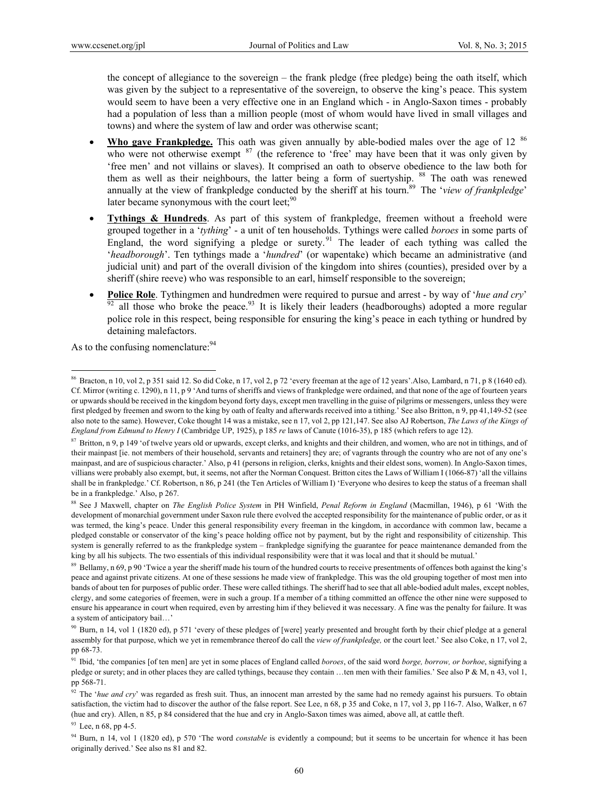the concept of allegiance to the sovereign – the frank pledge (free pledge) being the oath itself, which was given by the subject to a representative of the sovereign, to observe the king's peace. This system would seem to have been a very effective one in an England which - in Anglo-Saxon times - probably had a population of less than a million people (most of whom would have lived in small villages and towns) and where the system of law and order was otherwise scant;

- Who gave Frankpledge. This oath was given annually by able-bodied males over the age of 12<sup>86</sup> who were not otherwise exempt  $8^7$  (the reference to 'free' may have been that it was only given by 'free men' and not villains or slaves). It comprised an oath to observe obedience to the law both for them as well as their neighbours, the latter being a form of suertyship. <sup>88</sup> The oath was renewed annually at the view of frankpledge conducted by the sheriff at his tourn.89 The '*view of frankpledge*' later became synonymous with the court leet:<sup>90</sup>
- **Tythings & Hundreds**. As part of this system of frankpledge, freemen without a freehold were grouped together in a '*tything*' - a unit of ten households. Tythings were called *boroes* in some parts of England, the word signifying a pledge or surety.<sup>91</sup> The leader of each tything was called the '*headborough*'. Ten tythings made a '*hundred*' (or wapentake) which became an administrative (and judicial unit) and part of the overall division of the kingdom into shires (counties), presided over by a sheriff (shire reeve) who was responsible to an earl, himself responsible to the sovereign;
- **Police Role**. Tythingmen and hundredmen were required to pursue and arrest by way of '*hue and cry*' all those who broke the peace.<sup>93</sup> It is likely their leaders (headboroughs) adopted a more regular police role in this respect, being responsible for ensuring the king's peace in each tything or hundred by detaining malefactors.

As to the confusing nomenclature: <sup>94</sup>

 $\overline{a}$ 

 $93$  Lee, n 68, pp 4-5.

<sup>86</sup> Bracton, n 10, vol 2, p 351 said 12. So did Coke, n 17, vol 2, p 72 'every freeman at the age of 12 years'.Also, Lambard, n 71, p 8 (1640 ed). Cf. Mirror (writing c. 1290), n 11, p 9 'And turns of sheriffs and views of frankpledge were ordained, and that none of the age of fourteen years or upwards should be received in the kingdom beyond forty days, except men travelling in the guise of pilgrims or messengers, unless they were first pledged by freemen and sworn to the king by oath of fealty and afterwards received into a tithing.' See also Britton, n 9, pp 41,149-52 (see also note to the same). However, Coke thought 14 was a mistake, see n 17, vol 2, pp 121,147. See also AJ Robertson, *The Laws of the Kings of England from Edmund to Henry I* (Cambridge UP, 1925), p 185 *re* laws of Canute (1016-35), p 185 (which refers to age 12).

<sup>&</sup>lt;sup>87</sup> Britton, n 9, p 149 'of twelve years old or upwards, except clerks, and knights and their children, and women, who are not in tithings, and of their mainpast [ie. not members of their household, servants and retainers] they are; of vagrants through the country who are not of any one's mainpast, and are of suspicious character.' Also, p 41 (persons in religion, clerks, knights and their eldest sons, women). In Anglo-Saxon times, villians were probably also exempt, but, it seems, not after the Norman Conquest. Britton cites the Laws of William I (1066-87) 'all the villains shall be in frankpledge.' Cf. Robertson, n 86, p 241 (the Ten Articles of William I) 'Everyone who desires to keep the status of a freeman shall be in a frankpledge.' Also, p 267.

<sup>88</sup> See J Maxwell, chapter on *The English Police System* in PH Winfield, *Penal Reform in England* (Macmillan, 1946), p 61 'With the development of monarchial government under Saxon rule there evolved the accepted responsibility for the maintenance of public order, or as it was termed, the king's peace. Under this general responsibility every freeman in the kingdom, in accordance with common law, became a pledged constable or conservator of the king's peace holding office not by payment, but by the right and responsibility of citizenship. This system is generally referred to as the frankpledge system – frankpledge signifying the guarantee for peace maintenance demanded from the king by all his subjects. The two essentials of this individual responsibility were that it was local and that it should be mutual.'

<sup>&</sup>lt;sup>89</sup> Bellamy, n 69, p 90 'Twice a year the sheriff made his tourn of the hundred courts to receive presentments of offences both against the king's peace and against private citizens. At one of these sessions he made view of frankpledge. This was the old grouping together of most men into bands of about ten for purposes of public order. These were called tithings. The sheriff had to see that all able-bodied adult males, except nobles, clergy, and some categories of freemen, were in such a group. If a member of a tithing committed an offence the other nine were supposed to ensure his appearance in court when required, even by arresting him if they believed it was necessary. A fine was the penalty for failure. It was a system of anticipatory bail…'

<sup>&</sup>lt;sup>90</sup> Burn, n 14, vol 1 (1820 ed), p 571 'every of these pledges of [were] yearly presented and brought forth by their chief pledge at a general assembly for that purpose, which we yet in remembrance thereof do call the *view of frankpledge,* or the court leet.' See also Coke, n 17, vol 2, pp 68-73.

<sup>91</sup> Ibid, 'the companies [of ten men] are yet in some places of England called *boroes*, of the said word *borge, borrow, or borhoe*, signifying a pledge or surety; and in other places they are called tythings, because they contain …ten men with their families.' See also P & M, n 43, vol 1, pp 568-71.

<sup>&</sup>lt;sup>92</sup> The '*hue and cry*' was regarded as fresh suit. Thus, an innocent man arrested by the same had no remedy against his pursuers. To obtain satisfaction, the victim had to discover the author of the false report. See Lee, n 68, p 35 and Coke, n 17, vol 3, pp 116-7. Also, Walker, n 67 (hue and cry). Allen, n 85, p 84 considered that the hue and cry in Anglo-Saxon times was aimed, above all, at cattle theft.

<sup>94</sup> Burn, n 14, vol 1 (1820 ed), p 570 'The word *constable* is evidently a compound; but it seems to be uncertain for whence it has been originally derived.' See also ns 81 and 82.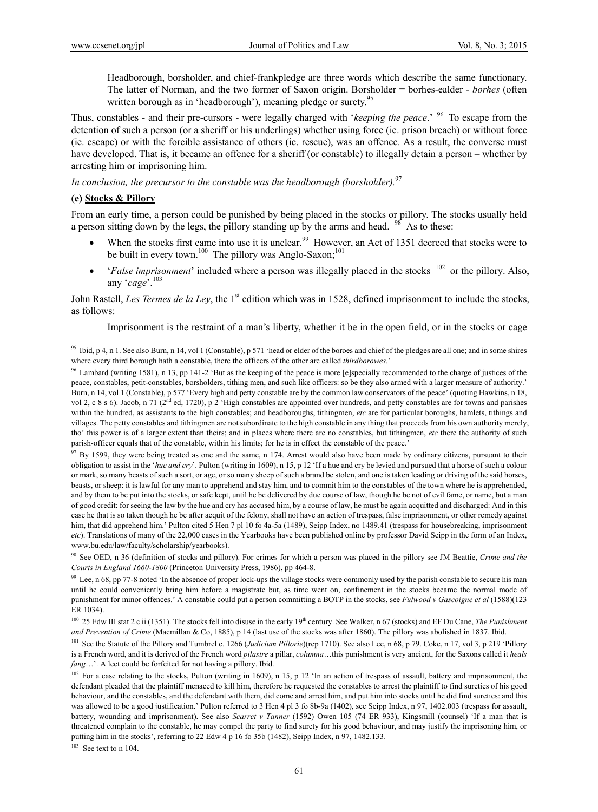Headborough, borsholder, and chief-frankpledge are three words which describe the same functionary. The latter of Norman, and the two former of Saxon origin. Borsholder = borhes-ealder - *borhes* (often written borough as in 'headborough'), meaning pledge or surety.<sup>95</sup>

Thus, constables - and their pre-cursors - were legally charged with '*keeping the peace*.' 96 To escape from the detention of such a person (or a sheriff or his underlings) whether using force (ie. prison breach) or without force (ie. escape) or with the forcible assistance of others (ie. rescue), was an offence. As a result, the converse must have developed. That is, it became an offence for a sheriff (or constable) to illegally detain a person – whether by arresting him or imprisoning him.

*In conclusion, the precursor to the constable was the headborough (borsholder).*<sup>97</sup>

### **(e) Stocks & Pillory**

 $\overline{a}$ 

From an early time, a person could be punished by being placed in the stocks or pillory. The stocks usually held a person sitting down by the legs, the pillory standing up by the arms and head.  $98^\circ$  As to these:

- When the stocks first came into use it is unclear.<sup>99</sup> However, an Act of 1351 decreed that stocks were to be built in every town.<sup>100</sup> The pillory was Anglo-Saxon;<sup>101</sup>
- *'False imprisonment'* included where a person was illegally placed in the stocks <sup>102</sup> or the pillory. Also, any '*cage*'.103

John Rastell, *Les Termes de la Ley*, the 1<sup>st</sup> edition which was in 1528, defined imprisonment to include the stocks, as follows:

Imprisonment is the restraint of a man's liberty, whether it be in the open field, or in the stocks or cage

 $103$  See text to n 104.

<sup>&</sup>lt;sup>95</sup> Ibid, p 4, n 1. See also Burn, n 14, vol 1 (Constable), p 571 'head or elder of the boroes and chief of the pledges are all one; and in some shires where every third borough hath a constable, there the officers of the other are called *thirdborowes*.'

<sup>&</sup>lt;sup>96</sup> Lambard (writing 1581), n 13, pp 141-2 'But as the keeping of the peace is more [e]specially recommended to the charge of justices of the peace, constables, petit-constables, borsholders, tithing men, and such like officers: so be they also armed with a larger measure of authority.' Burn, n 14, vol 1 (Constable), p 577 'Every high and petty constable are by the common law conservators of the peace' (quoting Hawkins, n 18, vol 2, c 8 s 6). Jacob, n 71 ( $2<sup>nd</sup>$  ed, 1720), p 2 'High constables are appointed over hundreds, and petty constables are for towns and parishes within the hundred, as assistants to the high constables; and headboroughs, tithingmen, *etc* are for particular boroughs, hamlets, tithings and villages. The petty constables and tithingmen are not subordinate to the high constable in any thing that proceeds from his own authority merely, tho' this power is of a larger extent than theirs; and in places where there are no constables, but tithingmen, *etc* there the authority of such parish-officer equals that of the constable, within his limits; for he is in effect the constable of the peace.'

 $97$  By 1599, they were being treated as one and the same, n 174. Arrest would also have been made by ordinary citizens, pursuant to their obligation to assist in the '*hue and cry*'. Pulton (writing in 1609), n 15, p 12 'If a hue and cry be levied and pursued that a horse of such a colour or mark, so many beasts of such a sort, or age, or so many sheep of such a brand be stolen, and one is taken leading or driving of the said horses, beasts, or sheep: it is lawful for any man to apprehend and stay him, and to commit him to the constables of the town where he is apprehended, and by them to be put into the stocks, or safe kept, until he be delivered by due course of law, though he be not of evil fame, or name, but a man of good credit: for seeing the law by the hue and cry has accused him, by a course of law, he must be again acquitted and discharged: And in this case he that is so taken though he be after acquit of the felony, shall not have an action of trespass, false imprisonment, or other remedy against him, that did apprehend him.' Pulton cited 5 Hen 7 pl 10 fo 4a-5a (1489), Seipp Index, no 1489.41 (trespass for housebreaking, imprisonment *etc*). Translations of many of the 22,000 cases in the Yearbooks have been published online by professor David Seipp in the form of an Index, www.bu.edu/law/faculty/scholarship/yearbooks).

<sup>98</sup> See OED, n 36 (definition of stocks and pillory). For crimes for which a person was placed in the pillory see JM Beattie, *Crime and the Courts in England 1660-1800* (Princeton University Press, 1986), pp 464-8.

 $99$  Lee, n 68, pp 77-8 noted 'In the absence of proper lock-ups the village stocks were commonly used by the parish constable to secure his man until he could conveniently bring him before a magistrate but, as time went on, confinement in the stocks became the normal mode of punishment for minor offences.' A constable could put a person committing a BOTP in the stocks, see *Fulwood v Gascoigne et al* (1588)(123 ER 1034).

<sup>&</sup>lt;sup>100</sup> 25 Edw III stat 2 c ii (1351). The stocks fell into disuse in the early 19<sup>th</sup> century. See Walker, n 67 (stocks) and EF Du Cane, *The Punishment and Prevention of Crime* (Macmillan & Co, 1885), p 14 (last use of the stocks was after 1860). The pillory was abolished in 1837. Ibid.

<sup>&</sup>lt;sup>101</sup> See the Statute of the Pillory and Tumbrel c. 1266 (*Judicium Pillorie*)(rep 1710). See also Lee, n 68, p 79. Coke, n 17, vol 3, p 219 'Pillory is a French word, and it is derived of the French word *pilastre* a pillar, *columna*…this punishment is very ancient, for the Saxons called it *heals fang*…'. A leet could be forfeited for not having a pillory. Ibid.

<sup>&</sup>lt;sup>102</sup> For a case relating to the stocks, Pulton (writing in 1609), n 15, p 12 'In an action of trespass of assault, battery and imprisonment, the defendant pleaded that the plaintiff menaced to kill him, therefore he requested the constables to arrest the plaintiff to find sureties of his good behaviour, and the constables, and the defendant with them, did come and arrest him, and put him into stocks until he did find sureties: and this was allowed to be a good justification.' Pulton referred to 3 Hen 4 pl 3 fo 8b-9a (1402), see Seipp Index, n 97, 1402.003 (trespass for assault, battery, wounding and imprisonment). See also *Scarret v Tanner* (1592) Owen 105 (74 ER 933), Kingsmill (counsel) 'If a man that is threatened complain to the constable, he may compel the party to find surety for his good behaviour, and may justify the imprisoning him, or putting him in the stocks', referring to 22 Edw 4 p 16 fo 35b (1482), Seipp Index, n 97, 1482.133.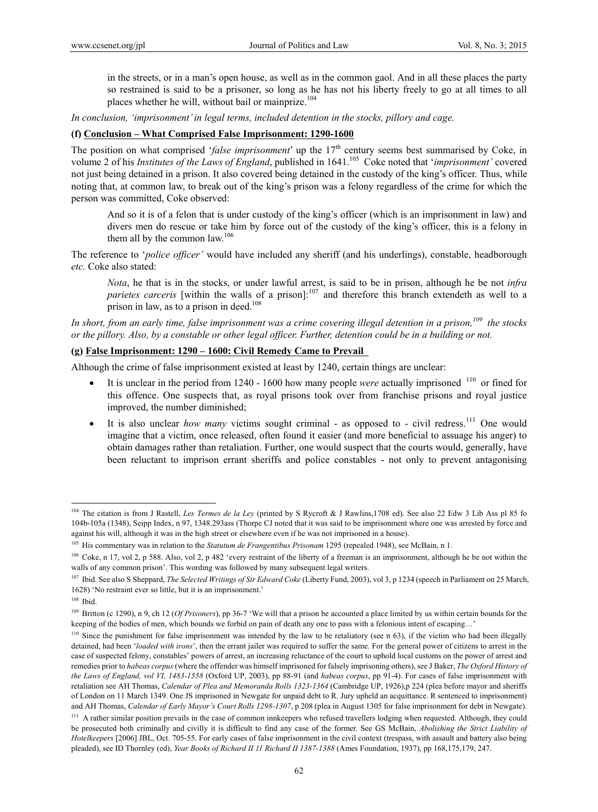in the streets, or in a man's open house, as well as in the common gaol. And in all these places the party so restrained is said to be a prisoner, so long as he has not his liberty freely to go at all times to all places whether he will, without bail or mainprize.<sup>104</sup>

*In conclusion, 'imprisonment' in legal terms, included detention in the stocks, pillory and cage.* 

### **(f) Conclusion – What Comprised False Imprisonment: 1290-1600**

The position on what comprised '*false imprisonment*' up the 17<sup>th</sup> century seems best summarised by Coke, in volume 2 of his *Institutes of the Laws of England*, published in 1641.<sup>105</sup> Coke noted that '*imprisonment*' covered not just being detained in a prison. It also covered being detained in the custody of the king's officer. Thus, while noting that, at common law, to break out of the king's prison was a felony regardless of the crime for which the person was committed, Coke observed:

And so it is of a felon that is under custody of the king's officer (which is an imprisonment in law) and divers men do rescue or take him by force out of the custody of the king's officer, this is a felony in them all by the common law.<sup>106</sup>

The reference to '*police officer'* would have included any sheriff (and his underlings), constable, headborough *etc.* Coke also stated:

*Nota*, he that is in the stocks, or under lawful arrest, is said to be in prison, although he be not *infra parietes carceris* [within the walls of a prison]:<sup>107</sup> and therefore this branch extendeth as well to a prison in law, as to a prison in deed.<sup>108</sup>

In short, from an early time, false imprisonment was a crime covering illegal detention in a prison,<sup>109</sup> the stocks *or the pillory. Also, by a constable or other legal officer. Further, detention could be in a building or not.* 

### **(g) False Imprisonment: 1290 – 1600: Civil Remedy Came to Prevail**

Although the crime of false imprisonment existed at least by 1240, certain things are unclear:

- It is unclear in the period from 1240 1600 how many people *were* actually imprisoned 110 or fined for this offence. One suspects that, as royal prisons took over from franchise prisons and royal justice improved, the number diminished;
- It is also unclear *how many* victims sought criminal as opposed to civil redress.<sup>111</sup> One would imagine that a victim, once released, often found it easier (and more beneficial to assuage his anger) to obtain damages rather than retaliation. Further, one would suspect that the courts would, generally, have been reluctant to imprison errant sheriffs and police constables - not only to prevent antagonising

<sup>&</sup>lt;sup>104</sup> The citation is from J Rastell, *Les Termes de la Ley* (printed by S Rycroft & J Rawlins,1708 ed). See also 22 Edw 3 Lib Ass pl 85 fo 104b-105a (1348), Seipp Index, n 97, 1348.293ass (Thorpe CJ noted that it was said to be imprisonment where one was arrested by force and against his will, although it was in the high street or elsewhere even if he was not imprisoned in a house).

<sup>105</sup> His commentary was in relation to the *Statutum de Frangentibus Prisonam* 1295 (repealed 1948), see McBain, n 1.

<sup>&</sup>lt;sup>106</sup> Coke, n 17, vol 2, p 588. Also, vol 2, p 482 'every restraint of the liberty of a freeman is an imprisonment, although he be not within the walls of any common prison'. This wording was followed by many subsequent legal writers.

<sup>&</sup>lt;sup>107</sup> Ibid. See also S Sheppard, *The Selected Writings of Sir Edward Coke* (Liberty Fund, 2003), vol 3, p 1234 (speech in Parliament on 25 March, 1628) 'No restraint ever so little, but it is an imprisonment.'

<sup>108</sup> Ibid.

<sup>109</sup> Britton (c 1290), n 9, ch 12 (*Of Prisoners*), pp 36-7 'We will that a prison be accounted a place limited by us within certain bounds for the keeping of the bodies of men, which bounds we forbid on pain of death any one to pass with a felonious intent of escaping...'

 $110$  Since the punishment for false imprisonment was intended by the law to be retaliatory (see n 63), if the victim who had been illegally detained, had been '*loaded with irons*', then the errant jailer was required to suffer the same. For the general power of citizens to arrest in the case of suspected felony, constables' powers of arrest, an increasing reluctance of the court to uphold local customs on the power of arrest and remedies prior to *habeas corpus* (where the offender was himself imprisoned for falsely imprisoning others), see J Baker, *The Oxford History of the Laws of England, vol VI, 1483-1558* (Oxford UP, 2003), pp 88-91 (and *habeas corpus*, pp 91-4). For cases of false imprisonment with retaliation see AH Thomas, *Calendar of Plea and Memoranda Rolls 1323-1364* (Cambridge UP, 1926),p 224 (plea before mayor and sheriffs of London on 11 March 1349. One JS imprisoned in Newgate for unpaid debt to R. Jury upheld an acquittance. R sentenced to imprisonment) and AH Thomas, *Calendar of Early Mayor's Court Rolls 1298-1307*, p 208 (plea in August 1305 for false imprisonment for debt in Newgate).

<sup>&</sup>lt;sup>111</sup> A rather similar position prevails in the case of common innkeepers who refused travellers lodging when requested. Although, they could be prosecuted both criminally and civilly it is difficult to find any case of the former. See GS McBain, *Abolishing the Strict Liability of Hotelkeepers* [2006] JBL, Oct. 705-55. For early cases of false imprisonment in the civil context (trespass, with assault and battery also being pleaded), see ID Thornley (ed), *Year Books of Richard II 11 Richard II 1387-1388* (Ames Foundation, 1937), pp 168,175,179, 247.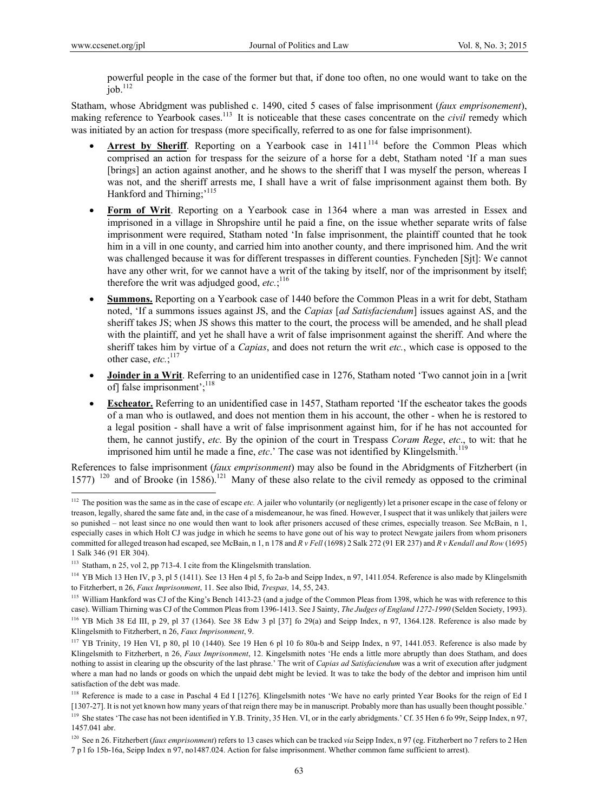$\overline{a}$ 

powerful people in the case of the former but that, if done too often, no one would want to take on the  $job.<sup>112</sup>$ 

Statham, whose Abridgment was published c. 1490, cited 5 cases of false imprisonment (*faux emprisonement*), making reference to Yearbook cases.<sup>113</sup> It is noticeable that these cases concentrate on the *civil* remedy which was initiated by an action for trespass (more specifically, referred to as one for false imprisonment).

- **Arrest by Sheriff.** Reporting on a Yearbook case in  $1411^{114}$  before the Common Pleas which comprised an action for trespass for the seizure of a horse for a debt, Statham noted 'If a man sues [brings] an action against another, and he shows to the sheriff that I was myself the person, whereas I was not, and the sheriff arrests me, I shall have a writ of false imprisonment against them both. By Hankford and Thirning;'<sup>115</sup>
- **Form of Writ**. Reporting on a Yearbook case in 1364 where a man was arrested in Essex and imprisoned in a village in Shropshire until he paid a fine, on the issue whether separate writs of false imprisonment were required, Statham noted 'In false imprisonment, the plaintiff counted that he took him in a vill in one county, and carried him into another county, and there imprisoned him. And the writ was challenged because it was for different trespasses in different counties. Fyncheden [Sjt]: We cannot have any other writ, for we cannot have a writ of the taking by itself, nor of the imprisonment by itself; therefore the writ was adjudged good, *etc.*; 116
- **Summons.** Reporting on a Yearbook case of 1440 before the Common Pleas in a writ for debt, Statham noted, 'If a summons issues against JS, and the *Capias* [*ad Satisfaciendum*] issues against AS, and the sheriff takes JS; when JS shows this matter to the court, the process will be amended, and he shall plead with the plaintiff, and yet he shall have a writ of false imprisonment against the sheriff. And where the sheriff takes him by virtue of a *Capias*, and does not return the writ *etc.*, which case is opposed to the other case, *etc*:
- **Joinder in a Writ**. Referring to an unidentified case in 1276, Statham noted 'Two cannot join in a [writ of] false imprisonment';<sup>118</sup>
- **Escheator.** Referring to an unidentified case in 1457, Statham reported 'If the escheator takes the goods of a man who is outlawed, and does not mention them in his account, the other - when he is restored to a legal position - shall have a writ of false imprisonment against him, for if he has not accounted for them, he cannot justify, *etc.* By the opinion of the court in Trespass *Coram Rege*, *etc*., to wit: that he imprisoned him until he made a fine,  $etc.$  The case was not identified by Klingelsmith.<sup>119</sup>

References to false imprisonment (*faux emprisonment*) may also be found in the Abridgments of Fitzherbert (in 1577) <sup>120</sup> and of Brooke (in 1586).<sup>121</sup> Many of these also relate to the civil remedy as opposed to the criminal

<sup>&</sup>lt;sup>112</sup> The position was the same as in the case of escape *etc*. A jailer who voluntarily (or negligently) let a prisoner escape in the case of felony or treason, legally, shared the same fate and, in the case of a misdemeanour, he was fined. However, I suspect that it was unlikely that jailers were so punished – not least since no one would then want to look after prisoners accused of these crimes, especially treason. See McBain, n 1, especially cases in which Holt CJ was judge in which he seems to have gone out of his way to protect Newgate jailers from whom prisoners committed for alleged treason had escaped, see McBain, n 1, n 178 and *R v Fell* (1698) 2 Salk 272 (91 ER 237) and *R v Kendall and Row* (1695) 1 Salk 346 (91 ER 304).

<sup>113</sup> Statham, n 25, vol 2, pp 713-4. I cite from the Klingelsmith translation.

<sup>&</sup>lt;sup>114</sup> YB Mich 13 Hen IV, p 3, pl 5 (1411). See 13 Hen 4 pl 5, fo 2a-b and Seipp Index, n 97, 1411.054. Reference is also made by Klingelsmith to Fitzherbert, n 26, *Faux Imprisonment*, 11. See also Ibid, *Trespas,* 14, 55, 243.

<sup>&</sup>lt;sup>115</sup> William Hankford was CJ of the King's Bench 1413-23 (and a judge of the Common Pleas from 1398, which he was with reference to this case). William Thirning was CJ of the Common Pleas from 1396-1413. See J Sainty, *The Judges of England 1272-1990* (Selden Society, 1993).

<sup>116</sup> YB Mich 38 Ed III, p 29, pl 37 (1364). See 38 Edw 3 pl [37] fo 29(a) and Seipp Index, n 97, 1364.128. Reference is also made by Klingelsmith to Fitzherbert, n 26, *Faux Imprisonment*, 9.

<sup>117</sup> YB Trinity, 19 Hen VI, p 80, pl 10 (1440). See 19 Hen 6 pl 10 fo 80a-b and Seipp Index, n 97, 1441.053. Reference is also made by Klingelsmith to Fitzherbert, n 26, *Faux Imprisonment*, 12. Kingelsmith notes 'He ends a little more abruptly than does Statham, and does nothing to assist in clearing up the obscurity of the last phrase.' The writ of *Capias ad Satisfaciendum* was a writ of execution after judgment where a man had no lands or goods on which the unpaid debt might be levied. It was to take the body of the debtor and imprison him until satisfaction of the debt was made.

<sup>118</sup> Reference is made to a case in Paschal 4 Ed I [1276]. Klingelsmith notes 'We have no early printed Year Books for the reign of Ed I [1307-27]. It is not yet known how many years of that reign there may be in manuscript. Probably more than has usually been thought possible.'

<sup>119</sup> She states 'The case has not been identified in Y.B. Trinity, 35 Hen. VI, or in the early abridgments.' Cf. 35 Hen 6 fo 99r, Seipp Index, n 97, 1457.041 abr.

<sup>120</sup> See n 26. Fitzherbert (*faux emprisonment*) refers to 13 cases which can be tracked *via* Seipp Index, n 97 (eg. Fitzherbert no 7 refers to 2 Hen 7 p l fo 15b-16a, Seipp Index n 97, no1487.024. Action for false imprisonment. Whether common fame sufficient to arrest).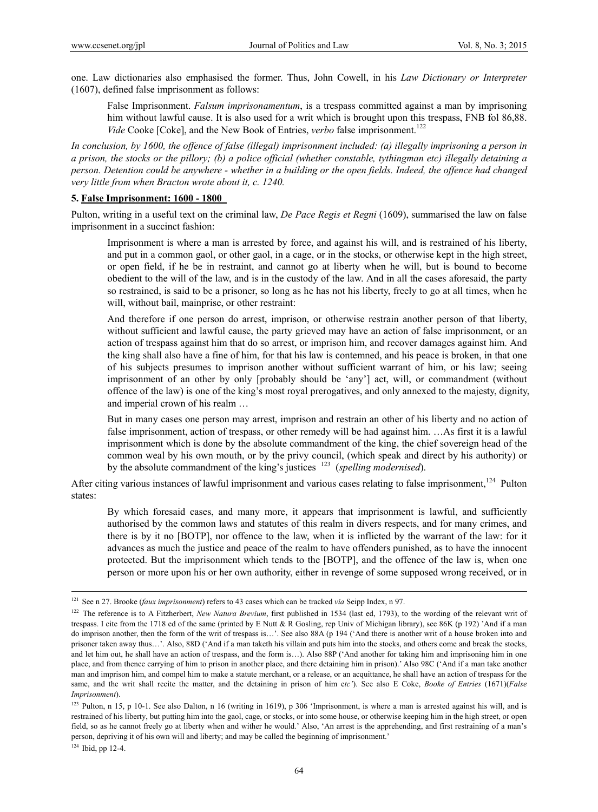one. Law dictionaries also emphasised the former. Thus, John Cowell, in his *Law Dictionary or Interpreter* (1607), defined false imprisonment as follows:

False Imprisonment. *Falsum imprisonamentum*, is a trespass committed against a man by imprisoning him without lawful cause. It is also used for a writ which is brought upon this trespass, FNB fol 86,88. *Vide* Cooke [Coke], and the New Book of Entries, *verbo* false imprisonment.<sup>122</sup>

*In conclusion, by 1600, the offence of false (illegal) imprisonment included: (a) illegally imprisoning a person in a prison, the stocks or the pillory; (b) a police official (whether constable, tythingman etc) illegally detaining a person. Detention could be anywhere - whether in a building or the open fields. Indeed, the offence had changed very little from when Bracton wrote about it, c. 1240.*

#### **5. False Imprisonment: 1600 - 1800**

Pulton, writing in a useful text on the criminal law, *De Pace Regis et Regni* (1609), summarised the law on false imprisonment in a succinct fashion:

Imprisonment is where a man is arrested by force, and against his will, and is restrained of his liberty, and put in a common gaol, or other gaol, in a cage, or in the stocks, or otherwise kept in the high street, or open field, if he be in restraint, and cannot go at liberty when he will, but is bound to become obedient to the will of the law, and is in the custody of the law. And in all the cases aforesaid, the party so restrained, is said to be a prisoner, so long as he has not his liberty, freely to go at all times, when he will, without bail, mainprise, or other restraint:

And therefore if one person do arrest, imprison, or otherwise restrain another person of that liberty, without sufficient and lawful cause, the party grieved may have an action of false imprisonment, or an action of trespass against him that do so arrest, or imprison him, and recover damages against him. And the king shall also have a fine of him, for that his law is contemned, and his peace is broken, in that one of his subjects presumes to imprison another without sufficient warrant of him, or his law; seeing imprisonment of an other by only [probably should be 'any'] act, will, or commandment (without offence of the law) is one of the king's most royal prerogatives, and only annexed to the majesty, dignity, and imperial crown of his realm …

But in many cases one person may arrest, imprison and restrain an other of his liberty and no action of false imprisonment, action of trespass, or other remedy will be had against him. …As first it is a lawful imprisonment which is done by the absolute commandment of the king, the chief sovereign head of the common weal by his own mouth, or by the privy council, (which speak and direct by his authority) or by the absolute commandment of the king's justices 123 (*spelling modernised*).

After citing various instances of lawful imprisonment and various cases relating to false imprisonment,<sup>124</sup> Pulton states:

By which foresaid cases, and many more, it appears that imprisonment is lawful, and sufficiently authorised by the common laws and statutes of this realm in divers respects, and for many crimes, and there is by it no [BOTP], nor offence to the law, when it is inflicted by the warrant of the law: for it advances as much the justice and peace of the realm to have offenders punished, as to have the innocent protected. But the imprisonment which tends to the [BOTP], and the offence of the law is, when one person or more upon his or her own authority, either in revenge of some supposed wrong received, or in

 <sup>121</sup> See n 27. Brooke (*faux imprisonment*) refers to 43 cases which can be tracked *via* Seipp Index, n 97.

<sup>&</sup>lt;sup>122</sup> The reference is to A Fitzherbert, *New Natura Brevium*, first published in 1534 (last ed, 1793), to the wording of the relevant writ of trespass. I cite from the 1718 ed of the same (printed by E Nutt & R Gosling, rep Univ of Michigan library), see 86K (p 192) 'And if a man do imprison another, then the form of the writ of trespass is…'. See also 88A (p 194 ('And there is another writ of a house broken into and prisoner taken away thus…'. Also, 88D ('And if a man taketh his villain and puts him into the stocks, and others come and break the stocks, and let him out, he shall have an action of trespass, and the form is…). Also 88P ('And another for taking him and imprisoning him in one place, and from thence carrying of him to prison in another place, and there detaining him in prison).' Also 98C ('And if a man take another man and imprison him, and compel him to make a statute merchant, or a release, or an acquittance, he shall have an action of trespass for the same, and the writ shall recite the matter, and the detaining in prison of him e*tc'*). See also E Coke, *Booke of Entries* (1671)(*False Imprisonment*).

<sup>&</sup>lt;sup>123</sup> Pulton, n 15, p 10-1. See also Dalton, n 16 (writing in 1619), p 306 'Imprisonment, is where a man is arrested against his will, and is restrained of his liberty, but putting him into the gaol, cage, or stocks, or into some house, or otherwise keeping him in the high street, or open field, so as he cannot freely go at liberty when and wither he would.' Also, 'An arrest is the apprehending, and first restraining of a man's person, depriving it of his own will and liberty; and may be called the beginning of imprisonment.'

 $124$  Ibid, pp 12-4.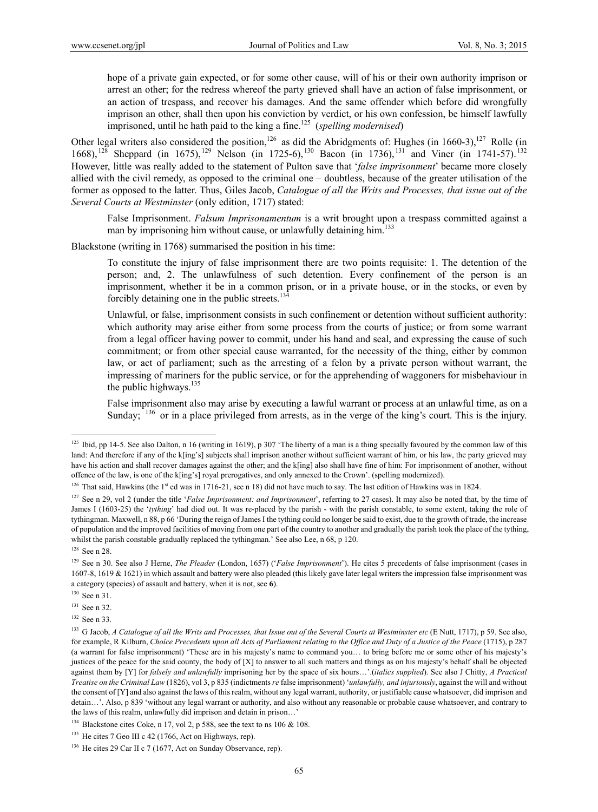hope of a private gain expected, or for some other cause, will of his or their own authority imprison or arrest an other; for the redress whereof the party grieved shall have an action of false imprisonment, or an action of trespass, and recover his damages. And the same offender which before did wrongfully imprison an other, shall then upon his conviction by verdict, or his own confession, be himself lawfully imprisoned, until he hath paid to the king a fine.125 (*spelling modernised*)

Other legal writers also considered the position,<sup>126</sup> as did the Abridgments of: Hughes (in 1660-3),<sup>127</sup> Rolle (in 1668),  $^{128}$  Sheppard (in 1675),  $^{129}$  Nelson (in 1725-6),  $^{130}$  Bacon (in 1736),  $^{131}$  and Viner (in 1741-57).  $^{132}$ However, little was really added to the statement of Pulton save that '*false imprisonment*' became more closely allied with the civil remedy, as opposed to the criminal one – doubtless, because of the greater utilisation of the former as opposed to the latter. Thus, Giles Jacob, *Catalogue of all the Writs and Processes, that issue out of the Several Courts at Westminster* (only edition, 1717) stated:

False Imprisonment. *Falsum Imprisonamentum* is a writ brought upon a trespass committed against a man by imprisoning him without cause, or unlawfully detaining him.<sup>133</sup>

Blackstone (writing in 1768) summarised the position in his time:

To constitute the injury of false imprisonment there are two points requisite: 1. The detention of the person; and, 2. The unlawfulness of such detention. Every confinement of the person is an imprisonment, whether it be in a common prison, or in a private house, or in the stocks, or even by forcibly detaining one in the public streets. $134$ 

Unlawful, or false, imprisonment consists in such confinement or detention without sufficient authority: which authority may arise either from some process from the courts of justice; or from some warrant from a legal officer having power to commit, under his hand and seal, and expressing the cause of such commitment; or from other special cause warranted, for the necessity of the thing, either by common law, or act of parliament; such as the arresting of a felon by a private person without warrant, the impressing of mariners for the public service, or for the apprehending of waggoners for misbehaviour in the public highways. $135$ 

False imprisonment also may arise by executing a lawful warrant or process at an unlawful time, as on a Sunday;  $^{136}$  or in a place privileged from arrests, as in the verge of the king's court. This is the injury.

<sup>&</sup>lt;sup>125</sup> Ibid, pp 14-5. See also Dalton, n 16 (writing in 1619), p 307 'The liberty of a man is a thing specially favoured by the common law of this land: And therefore if any of the k[ing's] subjects shall imprison another without sufficient warrant of him, or his law, the party grieved may have his action and shall recover damages against the other; and the k[ing] also shall have fine of him: For imprisonment of another, without offence of the law, is one of the k[ing's] royal prerogatives, and only annexed to the Crown'. (spelling modernized).

 $126$  That said, Hawkins (the 1<sup>st</sup> ed was in 1716-21, see n 18) did not have much to say. The last edition of Hawkins was in 1824.

<sup>&</sup>lt;sup>127</sup> See n 29, vol 2 (under the title '*False Imprisonment: and Imprisonment*', referring to 27 cases). It may also be noted that, by the time of James I (1603-25) the '*tything*' had died out. It was re-placed by the parish - with the parish constable, to some extent, taking the role of tythingman. Maxwell, n 88, p 66 'During the reign of James I the tything could no longer be said to exist, due to the growth of trade, the increase of population and the improved facilities of moving from one part of the country to another and gradually the parish took the place of the tything, whilst the parish constable gradually replaced the tythingman.' See also Lee, n 68, p 120.

<sup>&</sup>lt;sup>128</sup> See n 28.

<sup>&</sup>lt;sup>129</sup> See n 30. See also J Herne, *The Pleader* (London, 1657) (*'False Imprisonment'*). He cites 5 precedents of false imprisonment (cases in 1607-8, 1619 & 1621) in which assault and battery were also pleaded (this likely gave later legal writers the impression false imprisonment was a category (species) of assault and battery, when it is not, see **6**).

<sup>&</sup>lt;sup>130</sup> See n 31.

<sup>&</sup>lt;sup>131</sup> See n 32.

<sup>132</sup> See n 33.

<sup>&</sup>lt;sup>133</sup> G Jacob, *A Catalogue of all the Writs and Processes, that Issue out of the Several Courts at Westminster etc (E Nutt, 1717), p 59. See also,* for example, R Kilburn, *Choice Precedents upon all Acts of Parliament relating to the Office and Duty of a Justice of the Peace* (1715), p 287 (a warrant for false imprisonment) 'These are in his majesty's name to command you… to bring before me or some other of his majesty's justices of the peace for the said county, the body of [X] to answer to all such matters and things as on his majesty's behalf shall be objected against them by [Y] for *falsely and unlawfully* imprisoning her by the space of six hours…'.(*italics supplied*). See also J Chitty, *A Practical Treatise on the Criminal Law* (1826), vol 3, p 835 (indictments *re* false imprisonment) '*unlawfully, and injuriously*, against the will and without the consent of [Y] and also against the laws of this realm, without any legal warrant, authority, or justifiable cause whatsoever, did imprison and detain…'. Also, p 839 'without any legal warrant or authority, and also without any reasonable or probable cause whatsoever, and contrary to the laws of this realm, unlawfully did imprison and detain in prison…'

<sup>&</sup>lt;sup>134</sup> Blackstone cites Coke, n 17, vol 2, p 588, see the text to ns 106  $\&$  108.

 $135$  He cites 7 Geo III c 42 (1766, Act on Highways, rep).

 $136$  He cites 29 Car II c 7 (1677, Act on Sunday Observance, rep).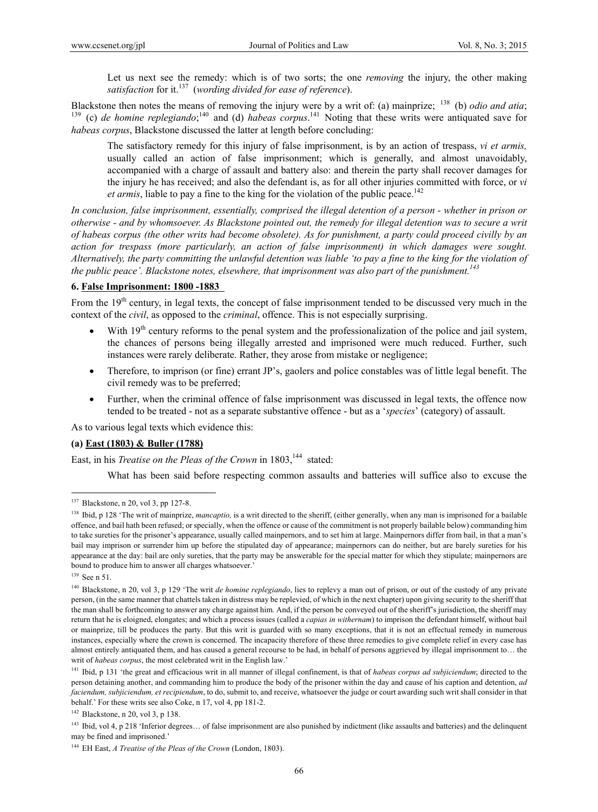Let us next see the remedy: which is of two sorts; the one *removing* the injury, the other making *satisfaction* for it.137 (*wording divided for ease of reference*).

Blackstone then notes the means of removing the injury were by a writ of: (a) mainprize; <sup>138</sup> (b) *odio and atia*; <sup>140</sup> and (d) *habeas corpus*.<sup>141</sup> Noting that these writs were antiquated save for *habeas corpus*, Blackstone discussed the latter at length before concluding:

The satisfactory remedy for this injury of false imprisonment, is by an action of trespass, *vi et armis,* usually called an action of false imprisonment; which is generally, and almost unavoidably, accompanied with a charge of assault and battery also: and therein the party shall recover damages for the injury he has received; and also the defendant is, as for all other injuries committed with force, or *vi et armis*, liable to pay a fine to the king for the violation of the public peace.<sup>142</sup>

*In conclusion, false imprisonment, essentially, comprised the illegal detention of a person - whether in prison or otherwise - and by whomsoever. As Blackstone pointed out, the remedy for illegal detention was to secure a writ of habeas corpus (the other writs had become obsolete). As for punishment, a party could proceed civilly by an action for trespass (more particularly, an action of false imprisonment) in which damages were sought. Alternatively, the party committing the unlawful detention was liable 'to pay a fine to the king for the violation of the public peace'. Blackstone notes, elsewhere, that imprisonment was also part of the punishment.*<sup>143</sup>

### **6. False Imprisonment: 1800 -1883**

From the  $19<sup>th</sup>$  century, in legal texts, the concept of false imprisonment tended to be discussed very much in the context of the *civil*, as opposed to the *criminal*, offence. This is not especially surprising.

- With 19<sup>th</sup> century reforms to the penal system and the professionalization of the police and jail system, the chances of persons being illegally arrested and imprisoned were much reduced. Further, such instances were rarely deliberate. Rather, they arose from mistake or negligence;
- Therefore, to imprison (or fine) errant JP's, gaolers and police constables was of little legal benefit. The civil remedy was to be preferred;
- Further, when the criminal offence of false imprisonment was discussed in legal texts, the offence now tended to be treated - not as a separate substantive offence - but as a '*species*' (category) of assault.

As to various legal texts which evidence this:

#### **(a) East (1803) & Buller (1788)**

East, in his *Treatise on the Pleas of the Crown* in 1803,<sup>144</sup> stated:

What has been said before respecting common assaults and batteries will suffice also to excuse the

<sup>&</sup>lt;sup>137</sup> Blackstone, n 20, vol 3, pp 127-8.

<sup>&</sup>lt;sup>138</sup> Ibid, p 128 'The writ of mainprize, *mancaptio*, is a writ directed to the sheriff, (either generally, when any man is imprisoned for a bailable offence, and bail hath been refused; or specially, when the offence or cause of the commitment is not properly bailable below) commanding him to take sureties for the prisoner's appearance, usually called mainpernors, and to set him at large. Mainpernors differ from bail, in that a man's bail may imprison or surrender him up before the stipulated day of appearance; mainpernors can do neither, but are barely sureties for his appearance at the day: bail are only sureties, that the party may be answerable for the special matter for which they stipulate; mainpernors are bound to produce him to answer all charges whatsoever.'

<sup>139</sup> See n 51.

<sup>140</sup> Blackstone, n 20, vol 3, p 129 'The writ *de homine replegiando*, lies to replevy a man out of prison, or out of the custody of any private person, (in the same manner that chattels taken in distress may be replevied, of which in the next chapter) upon giving security to the sheriff that the man shall be forthcoming to answer any charge against him. And, if the person be conveyed out of the sheriff's jurisdiction, the sheriff may return that he is eloigned, elongates; and which a process issues (called a *capias in withernam*) to imprison the defendant himself, without bail or mainprize, till be produces the party. But this writ is guarded with so many exceptions, that it is not an effectual remedy in numerous instances, especially where the crown is concerned. The incapacity therefore of these three remedies to give complete relief in every case has almost entirely antiquated them, and has caused a general recourse to be had, in behalf of persons aggrieved by illegal imprisonment to… the writ of *habeas corpus*, the most celebrated writ in the English law.'

<sup>&</sup>lt;sup>141</sup> Ibid, p 131 'the great and efficacious writ in all manner of illegal confinement, is that of *habeas corpus ad subjiciendum*; directed to the person detaining another, and commanding him to produce the body of the prisoner within the day and cause of his caption and detention, *ad faciendum, subjiciendum, et recipiendum*, to do, submit to, and receive, whatsoever the judge or court awarding such writ shall consider in that behalf.' For these writs see also Coke, n 17, vol 4, pp 181-2.

<sup>142</sup> Blackstone, n 20, vol 3, p 138.

<sup>&</sup>lt;sup>143</sup> Ibid, vol 4, p 218 'Inferior degrees... of false imprisonment are also punished by indictment (like assaults and batteries) and the delinquent may be fined and imprisoned.'

<sup>144</sup> EH East, *A Treatise of the Pleas of the Crown* (London, 1803).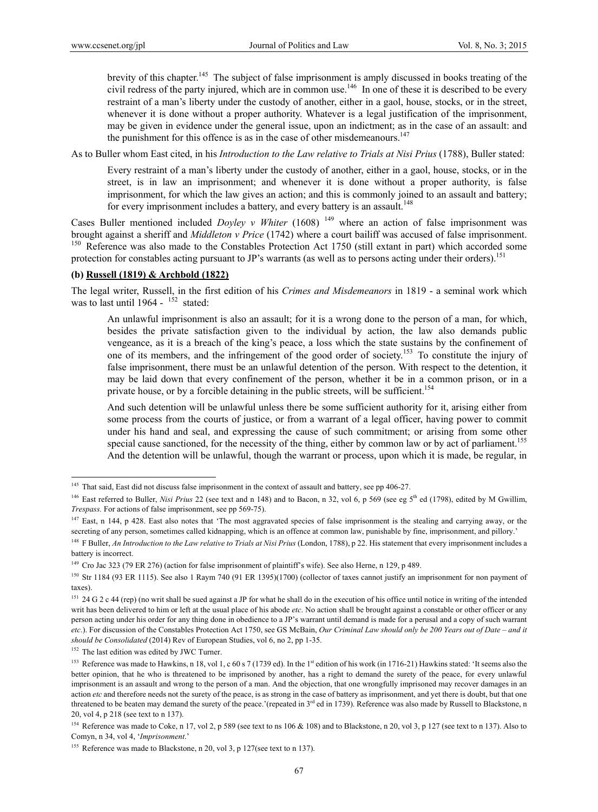brevity of this chapter.<sup>145</sup> The subject of false imprisonment is amply discussed in books treating of the civil redress of the party injured, which are in common use.<sup>146</sup> In one of these it is described to be every restraint of a man's liberty under the custody of another, either in a gaol, house, stocks, or in the street, whenever it is done without a proper authority. Whatever is a legal justification of the imprisonment, may be given in evidence under the general issue, upon an indictment; as in the case of an assault: and the punishment for this offence is as in the case of other misdemeanours.<sup>147</sup>

As to Buller whom East cited, in his *Introduction to the Law relative to Trials at Nisi Prius* (1788), Buller stated:

Every restraint of a man's liberty under the custody of another, either in a gaol, house, stocks, or in the street, is in law an imprisonment; and whenever it is done without a proper authority, is false imprisonment, for which the law gives an action; and this is commonly joined to an assault and battery; for every imprisonment includes a battery, and every battery is an assault.<sup>148</sup>

Cases Buller mentioned included *Doyley v Whiter* (1608)<sup>149</sup> where an action of false imprisonment was brought against a sheriff and *Middleton v Price* (1742) where a court bailiff was accused of false imprisonment.<br><sup>150</sup> Reference was also made to the Constables Protection Act 1750 (still extant in part) which accorded so protection for constables acting pursuant to JP's warrants (as well as to persons acting under their orders).<sup>151</sup>

### **(b) Russell (1819) & Archbold (1822)**

The legal writer, Russell, in the first edition of his *Crimes and Misdemeanors* in 1819 - a seminal work which was to last until 1964 -  $152$  stated.

An unlawful imprisonment is also an assault; for it is a wrong done to the person of a man, for which, besides the private satisfaction given to the individual by action, the law also demands public vengeance, as it is a breach of the king's peace, a loss which the state sustains by the confinement of one of its members, and the infringement of the good order of society.<sup>153</sup> To constitute the injury of false imprisonment, there must be an unlawful detention of the person. With respect to the detention, it may be laid down that every confinement of the person, whether it be in a common prison, or in a private house, or by a forcible detaining in the public streets, will be sufficient.<sup>154</sup>

And such detention will be unlawful unless there be some sufficient authority for it, arising either from some process from the courts of justice, or from a warrant of a legal officer, having power to commit under his hand and seal, and expressing the cause of such commitment; or arising from some other special cause sanctioned, for the necessity of the thing, either by common law or by act of parliament.<sup>155</sup> And the detention will be unlawful, though the warrant or process, upon which it is made, be regular, in

<sup>&</sup>lt;sup>145</sup> That said, East did not discuss false imprisonment in the context of assault and battery, see pp 406-27.

<sup>&</sup>lt;sup>146</sup> East referred to Buller, *Nisi Prius* 22 (see text and n 148) and to Bacon, n 32, vol 6, p 569 (see eg 5<sup>th</sup> ed (1798), edited by M Gwillim, *Trespass.* For actions of false imprisonment, see pp 569-75).

<sup>&</sup>lt;sup>147</sup> East, n 144, p 428. East also notes that 'The most aggravated species of false imprisonment is the stealing and carrying away, or the secreting of any person, sometimes called kidnapping, which is an offence at common law, punishable by fine, imprisonment, and pillory.'

<sup>&</sup>lt;sup>148</sup> F Buller, *An Introduction to the Law relative to Trials at Nisi Prius* (London, 1788), p 22. His statement that every imprisonment includes a battery is incorrect.

<sup>&</sup>lt;sup>149</sup> Cro Jac 323 (79 ER 276) (action for false imprisonment of plaintiff's wife). See also Herne, n 129, p 489.

 $150$  Str 1184 (93 ER 1115). See also 1 Raym 740 (91 ER 1395)(1700) (collector of taxes cannot justify an imprisonment for non payment of taxes).

<sup>&</sup>lt;sup>151</sup> 24 G 2 c 44 (rep) (no writ shall be sued against a JP for what he shall do in the execution of his office until notice in writing of the intended writ has been delivered to him or left at the usual place of his abode *etc*. No action shall be brought against a constable or other officer or any person acting under his order for any thing done in obedience to a JP's warrant until demand is made for a perusal and a copy of such warrant *etc*.). For discussion of the Constables Protection Act 1750, see GS McBain, *Our Criminal Law should only be 200 Years out of Date – and it should be Consolidated* (2014) Rev of European Studies, vol 6, no 2, pp 1-35.

<sup>&</sup>lt;sup>152</sup> The last edition was edited by JWC Turner.

<sup>&</sup>lt;sup>153</sup> Reference was made to Hawkins, n 18, vol 1, c 60 s 7 (1739 ed). In the 1<sup>st</sup> edition of his work (in 1716-21) Hawkins stated: 'It seems also the better opinion, that he who is threatened to be imprisoned by another, has a right to demand the surety of the peace, for every unlawful imprisonment is an assault and wrong to the person of a man. And the objection, that one wrongfully imprisoned may recover damages in an action *etc* and therefore needs not the surety of the peace, is as strong in the case of battery as imprisonment, and yet there is doubt, but that one threatened to be beaten may demand the surety of the peace.'(repeated in 3<sup>rd</sup> ed in 1739). Reference was also made by Russell to Blackstone, n 20, vol 4, p 218 (see text to n 137).

<sup>&</sup>lt;sup>154</sup> Reference was made to Coke, n 17, vol 2, p 589 (see text to ns 106 & 108) and to Blackstone, n 20, vol 3, p 127 (see text to n 137). Also to Comyn, n 34, vol 4, '*Imprisonment*.'

<sup>&</sup>lt;sup>155</sup> Reference was made to Blackstone, n 20, vol 3, p 127(see text to n 137).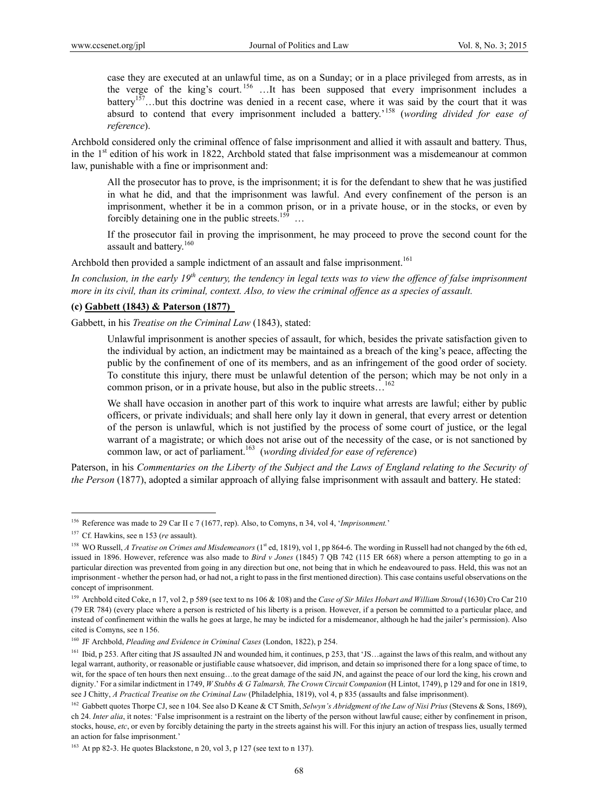case they are executed at an unlawful time, as on a Sunday; or in a place privileged from arrests, as in the verge of the king's court. 156 …It has been supposed that every imprisonment includes a battery<sup>157</sup>...but this doctrine was denied in a recent case, where it was said by the court that it was absurd to contend that every imprisonment included a battery.'158 (*wording divided for ease of reference*).

Archbold considered only the criminal offence of false imprisonment and allied it with assault and battery. Thus, in the  $1<sup>st</sup>$  edition of his work in 1822, Archbold stated that false imprisonment was a misdemeanour at common law, punishable with a fine or imprisonment and:

All the prosecutor has to prove, is the imprisonment; it is for the defendant to shew that he was justified in what he did, and that the imprisonment was lawful. And every confinement of the person is an imprisonment, whether it be in a common prison, or in a private house, or in the stocks, or even by forcibly detaining one in the public streets.<sup>159</sup> ...

If the prosecutor fail in proving the imprisonment, he may proceed to prove the second count for the assault and battery.<sup>160</sup>

Archbold then provided a sample indictment of an assault and false imprisonment.<sup>161</sup>

*In conclusion, in the early 19<sup>th</sup> century, the tendency in legal texts was to view the offence of false imprisonment more in its civil, than its criminal, context. Also, to view the criminal offence as a species of assault.* 

### **(c) Gabbett (1843) & Paterson (1877)**

Gabbett, in his *Treatise on the Criminal Law* (1843), stated:

Unlawful imprisonment is another species of assault, for which, besides the private satisfaction given to the individual by action, an indictment may be maintained as a breach of the king's peace, affecting the public by the confinement of one of its members, and as an infringement of the good order of society. To constitute this injury, there must be unlawful detention of the person; which may be not only in a common prison, or in a private house, but also in the public streets...<sup>162</sup>

We shall have occasion in another part of this work to inquire what arrests are lawful; either by public officers, or private individuals; and shall here only lay it down in general, that every arrest or detention of the person is unlawful, which is not justified by the process of some court of justice, or the legal warrant of a magistrate; or which does not arise out of the necessity of the case, or is not sanctioned by common law, or act of parliament.<sup>163</sup> (*wording divided for ease of reference*)

Paterson, in his *Commentaries on the Liberty of the Subject and the Laws of England relating to the Security of the Person* (1877), adopted a similar approach of allying false imprisonment with assault and battery. He stated:

<sup>156</sup> Reference was made to 29 Car II c 7 (1677, rep). Also, to Comyns, n 34, vol 4, '*Imprisonment.*'

<sup>157</sup> Cf. Hawkins, see n 153 (*re* assault).

<sup>&</sup>lt;sup>158</sup> WO Russell, *A Treatise on Crimes and Misdemeanors* (1<sup>st</sup> ed, 1819), vol 1, pp 864-6. The wording in Russell had not changed by the 6th ed, issued in 1896. However, reference was also made to *Bird v Jones* (1845) 7 QB 742 (115 ER 668) where a person attempting to go in a particular direction was prevented from going in any direction but one, not being that in which he endeavoured to pass. Held, this was not an imprisonment - whether the person had, or had not, a right to pass in the first mentioned direction). This case contains useful observations on the concept of imprisonment.

<sup>&</sup>lt;sup>159</sup> Archbold cited Coke, n 17, vol 2, p 589 (see text to ns 106 & 108) and the *Case of Sir Miles Hobart and William Stroud* (1630) Cro Car 210 (79 ER 784) (every place where a person is restricted of his liberty is a prison. However, if a person be committed to a particular place, and instead of confinement within the walls he goes at large, he may be indicted for a misdemeanor, although he had the jailer's permission). Also cited is Comyns, see n 156.

<sup>160</sup> JF Archbold, *Pleading and Evidence in Criminal Cases* (London, 1822), p 254.

<sup>161</sup> Ibid, p 253. After citing that JS assaulted JN and wounded him, it continues, p 253, that 'JS...against the laws of this realm, and without any legal warrant, authority, or reasonable or justifiable cause whatsoever, did imprison, and detain so imprisoned there for a long space of time, to wit, for the space of ten hours then next ensuing...to the great damage of the said JN, and against the peace of our lord the king, his crown and dignity.' For a similar indictment in 1749, *W Stubbs & G Talmarsh, The Crown Circuit Companion* (H Lintot, 1749), p 129 and for one in 1819, see J Chitty, *A Practical Treatise on the Criminal Law* (Philadelphia, 1819), vol 4, p 835 (assaults and false imprisonment).

<sup>&</sup>lt;sup>162</sup> Gabbett quotes Thorpe CJ, see n 104. See also D Keane & CT Smith, *Selwyn's Abridgment of the Law of Nisi Prius* (Stevens & Sons, 1869), ch 24. *Inter alia*, it notes: 'False imprisonment is a restraint on the liberty of the person without lawful cause; either by confinement in prison, stocks, house, *etc*, or even by forcibly detaining the party in the streets against his will. For this injury an action of trespass lies, usually termed an action for false imprisonment.'

 $163$  At pp 82-3. He quotes Blackstone, n 20, vol 3, p 127 (see text to n 137).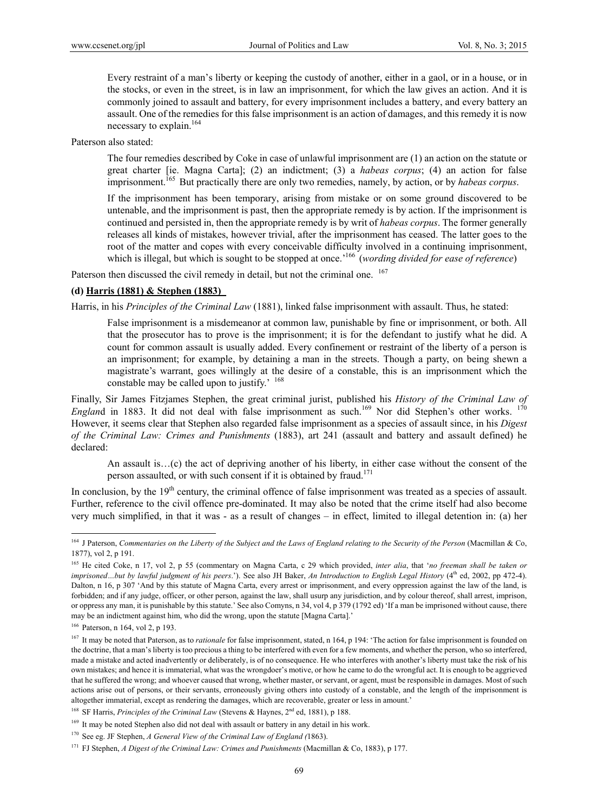Every restraint of a man's liberty or keeping the custody of another, either in a gaol, or in a house, or in the stocks, or even in the street, is in law an imprisonment, for which the law gives an action. And it is commonly joined to assault and battery, for every imprisonment includes a battery, and every battery an assault. One of the remedies for this false imprisonment is an action of damages, and this remedy it is now necessary to explain.<sup>164</sup>

Paterson also stated:

The four remedies described by Coke in case of unlawful imprisonment are (1) an action on the statute or great charter [ie. Magna Carta]; (2) an indictment; (3) a *habeas corpus*; (4) an action for false imprisonment.<sup>165</sup> But practically there are only two remedies, namely, by action, or by *habeas corpus*.

If the imprisonment has been temporary, arising from mistake or on some ground discovered to be untenable, and the imprisonment is past, then the appropriate remedy is by action. If the imprisonment is continued and persisted in, then the appropriate remedy is by writ of *habeas corpus*. The former generally releases all kinds of mistakes, however trivial, after the imprisonment has ceased. The latter goes to the root of the matter and copes with every conceivable difficulty involved in a continuing imprisonment, which is illegal, but which is sought to be stopped at once.<sup>'166</sup> (*wording divided for ease of reference*)

Paterson then discussed the civil remedy in detail, but not the criminal one. <sup>167</sup>

### **(d) Harris (1881) & Stephen (1883)**

Harris, in his *Principles of the Criminal Law* (1881), linked false imprisonment with assault. Thus, he stated:

False imprisonment is a misdemeanor at common law, punishable by fine or imprisonment, or both. All that the prosecutor has to prove is the imprisonment; it is for the defendant to justify what he did. A count for common assault is usually added. Every confinement or restraint of the liberty of a person is an imprisonment; for example, by detaining a man in the streets. Though a party, on being shewn a magistrate's warrant, goes willingly at the desire of a constable, this is an imprisonment which the constable may be called upon to justify.' <sup>168</sup>

Finally, Sir James Fitzjames Stephen, the great criminal jurist, published his *History of the Criminal Law of England* in 1883. It did not deal with false imprisonment as such.<sup>169</sup> Nor did Stephen's other works. <sup>170</sup> However, it seems clear that Stephen also regarded false imprisonment as a species of assault since, in his *Digest of the Criminal Law: Crimes and Punishments* (1883), art 241 (assault and battery and assault defined) he declared:

An assault is…(c) the act of depriving another of his liberty, in either case without the consent of the person assaulted, or with such consent if it is obtained by fraud.<sup>171</sup>

In conclusion, by the 19<sup>th</sup> century, the criminal offence of false imprisonment was treated as a species of assault. Further, reference to the civil offence pre-dominated. It may also be noted that the crime itself had also become very much simplified, in that it was - as a result of changes – in effect, limited to illegal detention in: (a) her

<sup>&</sup>lt;sup>164</sup> J Paterson, *Commentaries on the Liberty of the Subject and the Laws of England relating to the Security of the Person* (Macmillan & Co, 1877), vol 2, p 191.

<sup>165</sup> He cited Coke, n 17, vol 2, p 55 (commentary on Magna Carta, c 29 which provided, *inter alia*, that '*no freeman shall be taken or imprisoned*...but by lawful judgment of his peers.'). See also JH Baker, An Introduction to English Legal History (4<sup>th</sup> ed, 2002, pp 472-4). Dalton, n 16, p 307 'And by this statute of Magna Carta, every arrest or imprisonment, and every oppression against the law of the land, is forbidden; and if any judge, officer, or other person, against the law, shall usurp any jurisdiction, and by colour thereof, shall arrest, imprison, or oppress any man, it is punishable by this statute.' See also Comyns, n 34, vol 4, p 379 (1792 ed) 'If a man be imprisoned without cause, there may be an indictment against him, who did the wrong, upon the statute [Magna Carta].'

<sup>166</sup> Paterson, n 164, vol 2, p 193.

<sup>&</sup>lt;sup>167</sup> It may be noted that Paterson, as to *rationale* for false imprisonment, stated, n 164, p 194: 'The action for false imprisonment is founded on the doctrine, that a man's liberty is too precious a thing to be interfered with even for a few moments, and whether the person, who so interfered, made a mistake and acted inadvertently or deliberately, is of no consequence. He who interferes with another's liberty must take the risk of his own mistakes; and hence it is immaterial, what was the wrongdoer's motive, or how he came to do the wrongful act. It is enough to be aggrieved that he suffered the wrong; and whoever caused that wrong, whether master, or servant, or agent, must be responsible in damages. Most of such actions arise out of persons, or their servants, erroneously giving others into custody of a constable, and the length of the imprisonment is altogether immaterial, except as rendering the damages, which are recoverable, greater or less in amount.'

<sup>&</sup>lt;sup>168</sup> SF Harris, *Principles of the Criminal Law* (Stevens & Haynes, 2<sup>nd</sup> ed, 1881), p 188.

<sup>&</sup>lt;sup>169</sup> It may be noted Stephen also did not deal with assault or battery in any detail in his work.

<sup>170</sup> See eg. JF Stephen, *A General View of the Criminal Law of England (*1863).

<sup>171</sup> FJ Stephen, *A Digest of the Criminal Law: Crimes and Punishments* (Macmillan & Co, 1883), p 177.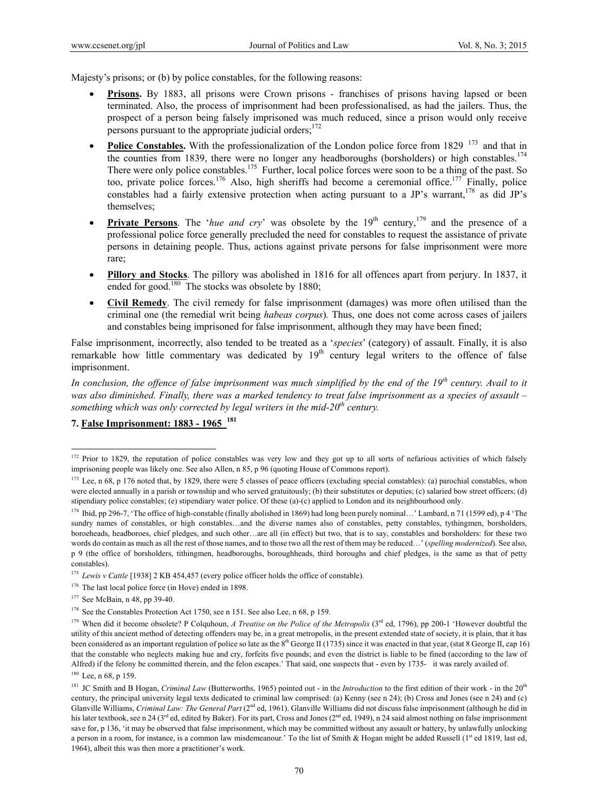Majesty's prisons; or (b) by police constables, for the following reasons:

- **Prisons.** By 1883, all prisons were Crown prisons franchises of prisons having lapsed or been terminated. Also, the process of imprisonment had been professionalised, as had the jailers. Thus, the prospect of a person being falsely imprisoned was much reduced, since a prison would only receive persons pursuant to the appropriate judicial orders:<sup>172</sup>
- **Police Constables.** With the professionalization of the London police force from 1829 <sup>173</sup> and that in the counties from 1839, there were no longer any headboroughs (borsholders) or high constables.<sup>174</sup> There were only police constables.<sup>175</sup> Further, local police forces were soon to be a thing of the past. So too, private police forces.<sup>176</sup> Also, high sheriffs had become a ceremonial office.<sup>177</sup> Finally, police constables had a fairly extensive protection when acting pursuant to a JP's warrant,<sup>178</sup> as did JP's themselves;
- **Private Persons**. The '*hue and cry*' was obsolete by the  $19<sup>th</sup>$  century,<sup>179</sup> and the presence of a professional police force generally precluded the need for constables to request the assistance of private persons in detaining people. Thus, actions against private persons for false imprisonment were more rare;
- **Pillory and Stocks**. The pillory was abolished in 1816 for all offences apart from perjury. In 1837, it ended for good.<sup>180</sup> The stocks was obsolete by 1880;
- **Civil Remedy**. The civil remedy for false imprisonment (damages) was more often utilised than the criminal one (the remedial writ being *habeas corpus*)*.* Thus, one does not come across cases of jailers and constables being imprisoned for false imprisonment, although they may have been fined;

False imprisonment, incorrectly, also tended to be treated as a '*species*' (category) of assault. Finally, it is also remarkable how little commentary was dedicated by  $19<sup>th</sup>$  century legal writers to the offence of false imprisonment.

*In conclusion, the offence of false imprisonment was much simplified by the end of the 19th century. Avail to it was also diminished. Finally, there was a marked tendency to treat false imprisonment as a species of assault – something which was only corrected by legal writers in the mid-20<sup>th</sup> century.* 

# **7. False Imprisonment: 1883 - 1965 <sup>181</sup>**

 $172$  Prior to 1829, the reputation of police constables was very low and they got up to all sorts of nefarious activities of which falsely imprisoning people was likely one. See also Allen, n 85, p 96 (quoting House of Commons report).

<sup>&</sup>lt;sup>173</sup> Lee, n 68, p 176 noted that, by 1829, there were 5 classes of peace officers (excluding special constables): (a) parochial constables, whon were elected annually in a parish or township and who served gratuitously; (b) their substitutes or deputies; (c) salaried bow street officers; (d) stipendiary police constables; (e) stipendiary water police. Of these (a)-(c) applied to London and its neighbourhood only.

<sup>174</sup> Ibid, pp 296-7, 'The office of high-constable (finally abolished in 1869) had long been purely nominal…' Lambard, n 71 (1599 ed), p 4 'The sundry names of constables, or high constables…and the diverse names also of constables, petty constables, tythingmen, borsholders, boroeheads, headboroes, chief pledges, and such other…are all (in effect) but two, that is to say, constables and borsholders: for these two words do contain as much as all the rest of those names, and to those two all the rest of them may be reduced…' (*spelling modernized*). See also, p 9 (the office of borsholders, tithingmen, headboroughs, boroughheads, third boroughs and chief pledges, is the same as that of petty constables).

<sup>&</sup>lt;sup>175</sup> *Lewis v Cattle* [1938] 2 KB 454,457 (every police officer holds the office of constable).

<sup>&</sup>lt;sup>176</sup> The last local police force (in Hove) ended in 1898.

<sup>177</sup> See McBain, n 48, pp 39-40.

<sup>&</sup>lt;sup>178</sup> See the Constables Protection Act 1750, see n 151. See also Lee, n 68, p 159.

<sup>&</sup>lt;sup>179</sup> When did it become obsolete? P Colquhoun, *A Treatise on the Police of the Metropolis* ( $3<sup>rd</sup>$  ed, 1796), pp 200-1 'However doubtful the utility of this ancient method of detecting offenders may be, in a great metropolis, in the present extended state of society, it is plain, that it has been considered as an important regulation of police so late as the 8<sup>th</sup> George II (1735) since it was enacted in that year, (stat 8 George II, cap 16) that the constable who neglects making hue and cry, forfeits five pounds; and even the district is liable to be fined (according to the law of Alfred) if the felony be committed therein, and the felon escapes.' That said, one suspects that - even by 1735- it was rarely availed of. <sup>180</sup> Lee, n 68, p 159.

<sup>&</sup>lt;sup>181</sup> JC Smith and B Hogan, *Criminal Law* (Butterworths, 1965) pointed out - in the *Introduction* to the first edition of their work - in the 20<sup>th</sup> century, the principal university legal texts dedicated to criminal law comprised: (a) Kenny (see n 24); (b) Cross and Jones (see n 24) and (c) Glanville Williams, *Criminal Law: The General Part* (2<sup>nd</sup> ed, 1961). Glanville Williams did not discuss false imprisonment (although he did in his later textbook, see n 24 (3<sup>rd</sup> ed, edited by Baker). For its part, Cross and Jones (2<sup>nd</sup> ed, 1949), n 24 said almost nothing on false imprisonment save for, p 136, 'it may be observed that false imprisonment, which may be committed without any assault or battery, by unlawfully unlocking a person in a room, for instance, is a common law misdemeanour.' To the list of Smith  $\&$  Hogan might be added Russell ( $1<sup>st</sup>$  ed 1819, last ed, 1964), albeit this was then more a practitioner's work.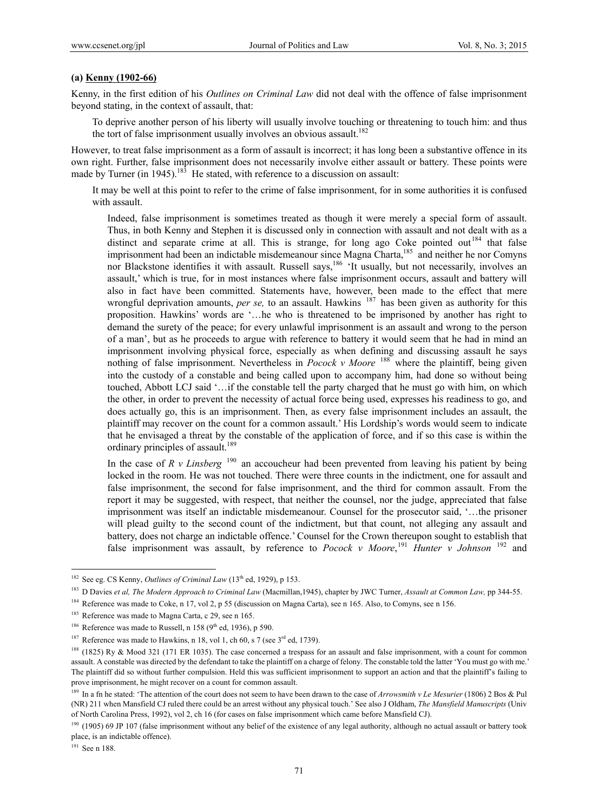#### **(a) Kenny (1902-66)**

Kenny, in the first edition of his *Outlines on Criminal Law* did not deal with the offence of false imprisonment beyond stating, in the context of assault, that:

To deprive another person of his liberty will usually involve touching or threatening to touch him: and thus the tort of false imprisonment usually involves an obvious assault.<sup>182</sup>

However, to treat false imprisonment as a form of assault is incorrect; it has long been a substantive offence in its own right. Further, false imprisonment does not necessarily involve either assault or battery. These points were made by Turner (in 1945).<sup>183</sup> He stated, with reference to a discussion on assault:

It may be well at this point to refer to the crime of false imprisonment, for in some authorities it is confused with assault.

Indeed, false imprisonment is sometimes treated as though it were merely a special form of assault. Thus, in both Kenny and Stephen it is discussed only in connection with assault and not dealt with as a distinct and separate crime at all. This is strange, for long ago Coke pointed out<sup>184</sup> that false imprisonment had been an indictable misdemeanour since Magna Charta,<sup>185</sup> and neither he nor Comyns nor Blackstone identifies it with assault. Russell says,<sup>186</sup> 'It usually, but not necessarily, involves an assault,' which is true, for in most instances where false imprisonment occurs, assault and battery will also in fact have been committed. Statements have, however, been made to the effect that mere wrongful deprivation amounts, *per se*, to an assault. Hawkins <sup>187</sup> has been given as authority for this proposition. Hawkins' words are '…he who is threatened to be imprisoned by another has right to demand the surety of the peace; for every unlawful imprisonment is an assault and wrong to the person of a man', but as he proceeds to argue with reference to battery it would seem that he had in mind an imprisonment involving physical force, especially as when defining and discussing assault he says nothing of false imprisonment. Nevertheless in *Pocock v Moore* <sup>188</sup> where the plaintiff, being given into the custody of a constable and being called upon to accompany him, had done so without being touched, Abbott LCJ said '…if the constable tell the party charged that he must go with him, on which the other, in order to prevent the necessity of actual force being used, expresses his readiness to go, and does actually go, this is an imprisonment. Then, as every false imprisonment includes an assault, the plaintiff may recover on the count for a common assault.' His Lordship's words would seem to indicate that he envisaged a threat by the constable of the application of force, and if so this case is within the ordinary principles of assault.<sup>189</sup>

In the case of  $R$  v Linsberg<sup>190</sup> an accoucheur had been prevented from leaving his patient by being locked in the room. He was not touched. There were three counts in the indictment, one for assault and false imprisonment, the second for false imprisonment, and the third for common assault. From the report it may be suggested, with respect, that neither the counsel, nor the judge, appreciated that false imprisonment was itself an indictable misdemeanour. Counsel for the prosecutor said, '…the prisoner will plead guilty to the second count of the indictment, but that count, not alleging any assault and battery, does not charge an indictable offence.' Counsel for the Crown thereupon sought to establish that false imprisonment was assault, by reference to *Pocock v Moore*, <sup>191</sup> *Hunter v Johnson* 192 and

<sup>191</sup> See n 188.

<sup>&</sup>lt;sup>182</sup> See eg. CS Kenny, *Outlines of Criminal Law* (13<sup>th</sup> ed, 1929), p 153.

<sup>183</sup> D Davies *et al, The Modern Approach to Criminal Law* (Macmillan,1945), chapter by JWC Turner, *Assault at Common Law,* pp 344-55.

<sup>&</sup>lt;sup>184</sup> Reference was made to Coke, n 17, vol 2, p 55 (discussion on Magna Carta), see n 165. Also, to Comyns, see n 156.

<sup>&</sup>lt;sup>185</sup> Reference was made to Magna Carta, c 29, see n 165.

<sup>&</sup>lt;sup>186</sup> Reference was made to Russell, n 158 ( $9<sup>th</sup>$  ed, 1936), p 590.

<sup>&</sup>lt;sup>187</sup> Reference was made to Hawkins, n 18, vol 1, ch 60, s 7 (see  $3<sup>rd</sup>$  ed, 1739).

<sup>&</sup>lt;sup>188</sup> (1825) Ry & Mood 321 (171 ER 1035). The case concerned a trespass for an assault and false imprisonment, with a count for common assault. A constable was directed by the defendant to take the plaintiff on a charge of felony. The constable told the latter 'You must go with me.' The plaintiff did so without further compulsion. Held this was sufficient imprisonment to support an action and that the plaintiff's failing to prove imprisonment, he might recover on a count for common assault.

<sup>&</sup>lt;sup>189</sup> In a fn he stated: 'The attention of the court does not seem to have been drawn to the case of *Arrowsmith v Le Mesurier* (1806) 2 Bos & Pul (NR) 211 when Mansfield CJ ruled there could be an arrest without any physical touch.' See also J Oldham, *The Mansfield Manuscripts* (Univ of North Carolina Press, 1992), vol 2, ch 16 (for cases on false imprisonment which came before Mansfield CJ).

<sup>&</sup>lt;sup>190</sup> (1905) 69 JP 107 (false imprisonment without any belief of the existence of any legal authority, although no actual assault or battery took place, is an indictable offence).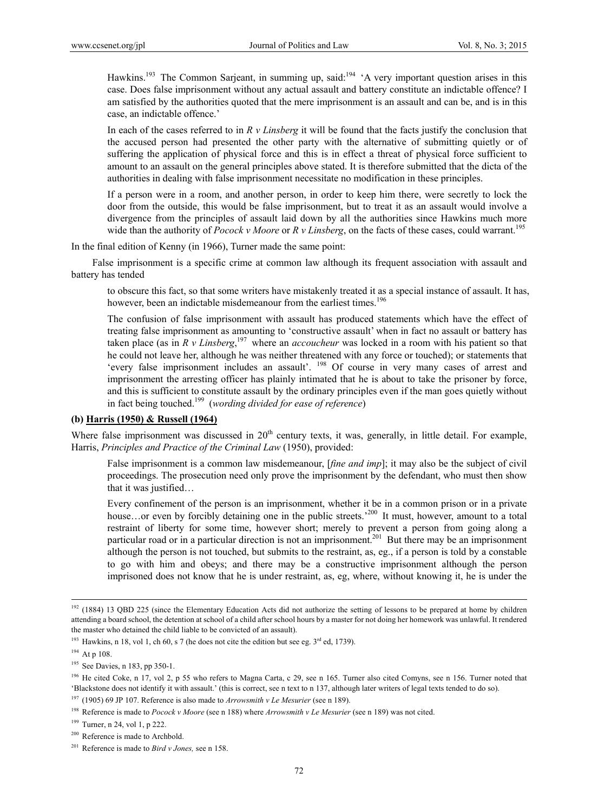Hawkins.<sup>193</sup> The Common Sarjeant, in summing up, said:<sup>194</sup> 'A very important question arises in this case. Does false imprisonment without any actual assault and battery constitute an indictable offence? I am satisfied by the authorities quoted that the mere imprisonment is an assault and can be, and is in this case, an indictable offence.'

In each of the cases referred to in *R v Linsberg* it will be found that the facts justify the conclusion that the accused person had presented the other party with the alternative of submitting quietly or of suffering the application of physical force and this is in effect a threat of physical force sufficient to amount to an assault on the general principles above stated. It is therefore submitted that the dicta of the authorities in dealing with false imprisonment necessitate no modification in these principles.

If a person were in a room, and another person, in order to keep him there, were secretly to lock the door from the outside, this would be false imprisonment, but to treat it as an assault would involve a divergence from the principles of assault laid down by all the authorities since Hawkins much more wide than the authority of *Pocock v Moore* or  $R$  *v Linsberg*, on the facts of these cases, could warrant.<sup>195</sup>

In the final edition of Kenny (in 1966), Turner made the same point:

 False imprisonment is a specific crime at common law although its frequent association with assault and battery has tended

to obscure this fact, so that some writers have mistakenly treated it as a special instance of assault. It has, however, been an indictable misdemeanour from the earliest times.<sup>196</sup>

The confusion of false imprisonment with assault has produced statements which have the effect of treating false imprisonment as amounting to 'constructive assault' when in fact no assault or battery has taken place (as in *R v Linsberg*, 197 where an *accoucheur* was locked in a room with his patient so that he could not leave her, although he was neither threatened with any force or touched); or statements that 'every false imprisonment includes an assault'. 198 Of course in very many cases of arrest and imprisonment the arresting officer has plainly intimated that he is about to take the prisoner by force, and this is sufficient to constitute assault by the ordinary principles even if the man goes quietly without in fact being touched.199 (*wording divided for ease of reference*)

### **(b) Harris (1950) & Russell (1964)**

Where false imprisonment was discussed in  $20<sup>th</sup>$  century texts, it was, generally, in little detail. For example, Harris, *Principles and Practice of the Criminal Law* (1950), provided:

False imprisonment is a common law misdemeanour, [*fine and imp*]; it may also be the subject of civil proceedings. The prosecution need only prove the imprisonment by the defendant, who must then show that it was justified…

Every confinement of the person is an imprisonment, whether it be in a common prison or in a private house...or even by forcibly detaining one in the public streets.<sup>200</sup> It must, however, amount to a total restraint of liberty for some time, however short; merely to prevent a person from going along a particular road or in a particular direction is not an imprisonment.<sup>201</sup> But there may be an imprisonment although the person is not touched, but submits to the restraint, as, eg., if a person is told by a constable to go with him and obeys; and there may be a constructive imprisonment although the person imprisoned does not know that he is under restraint, as, eg, where, without knowing it, he is under the

<sup>&</sup>lt;sup>192</sup> (1884) 13 OBD 225 (since the Elementary Education Acts did not authorize the setting of lessons to be prepared at home by children attending a board school, the detention at school of a child after school hours by a master for not doing her homework was unlawful. It rendered the master who detained the child liable to be convicted of an assault).

<sup>&</sup>lt;sup>193</sup> Hawkins, n 18, vol 1, ch 60, s 7 (he does not cite the edition but see eg.  $3<sup>rd</sup>$  ed, 1739).

<sup>&</sup>lt;sup>194</sup> At p 108.

<sup>&</sup>lt;sup>195</sup> See Davies, n 183, pp 350-1.

<sup>&</sup>lt;sup>196</sup> He cited Coke, n 17, vol 2, p 55 who refers to Magna Carta, c 29, see n 165. Turner also cited Comyns, see n 156. Turner noted that 'Blackstone does not identify it with assault.' (this is correct, see n text to n 137, although later writers of legal texts tended to do so).

<sup>197 (1905) 69</sup> JP 107. Reference is also made to *Arrowsmith v Le Mesurier* (see n 189).

<sup>198</sup> Reference is made to *Pocock v Moore* (see n 188) where *Arrowsmith v Le Mesurier* (see n 189) was not cited.

<sup>199</sup> Turner, n 24, vol 1, p 222.

<sup>&</sup>lt;sup>200</sup> Reference is made to Archbold.

<sup>201</sup> Reference is made to *Bird v Jones,* see n 158.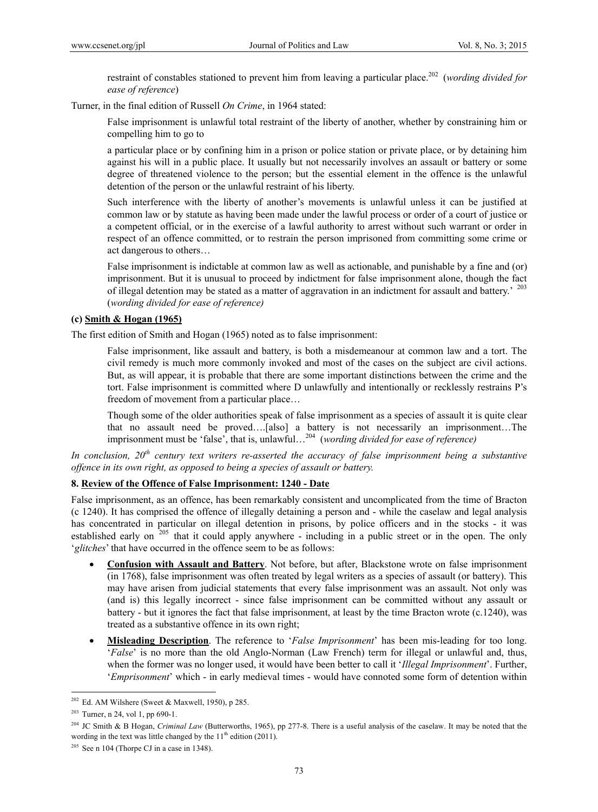restraint of constables stationed to prevent him from leaving a particular place.<sup>202</sup> (*wording divided for ease of reference*)

Turner, in the final edition of Russell *On Crime*, in 1964 stated:

False imprisonment is unlawful total restraint of the liberty of another, whether by constraining him or compelling him to go to

a particular place or by confining him in a prison or police station or private place, or by detaining him against his will in a public place. It usually but not necessarily involves an assault or battery or some degree of threatened violence to the person; but the essential element in the offence is the unlawful detention of the person or the unlawful restraint of his liberty.

Such interference with the liberty of another's movements is unlawful unless it can be justified at common law or by statute as having been made under the lawful process or order of a court of justice or a competent official, or in the exercise of a lawful authority to arrest without such warrant or order in respect of an offence committed, or to restrain the person imprisoned from committing some crime or act dangerous to others…

False imprisonment is indictable at common law as well as actionable, and punishable by a fine and (or) imprisonment. But it is unusual to proceed by indictment for false imprisonment alone, though the fact of illegal detention may be stated as a matter of aggravation in an indictment for assault and battery.<sup>203</sup> (*wording divided for ease of reference)*

### **(c) Smith & Hogan (1965)**

The first edition of Smith and Hogan (1965) noted as to false imprisonment:

False imprisonment, like assault and battery, is both a misdemeanour at common law and a tort. The civil remedy is much more commonly invoked and most of the cases on the subject are civil actions. But, as will appear, it is probable that there are some important distinctions between the crime and the tort. False imprisonment is committed where D unlawfully and intentionally or recklessly restrains P's freedom of movement from a particular place…

Though some of the older authorities speak of false imprisonment as a species of assault it is quite clear that no assault need be proved….[also] a battery is not necessarily an imprisonment…The imprisonment must be 'false', that is, unlawful…204 (*wording divided for ease of reference)*

*In conclusion, 20th century text writers re-asserted the accuracy of false imprisonment being a substantive offence in its own right, as opposed to being a species of assault or battery.* 

#### **8. Review of the Offence of False Imprisonment: 1240 - Date**

False imprisonment, as an offence, has been remarkably consistent and uncomplicated from the time of Bracton (c 1240). It has comprised the offence of illegally detaining a person and - while the caselaw and legal analysis has concentrated in particular on illegal detention in prisons, by police officers and in the stocks - it was established early on <sup>205</sup> that it could apply anywhere - including in a public street or in the open. The only '*glitches*' that have occurred in the offence seem to be as follows:

- **Confusion with Assault and Battery**. Not before, but after, Blackstone wrote on false imprisonment (in 1768), false imprisonment was often treated by legal writers as a species of assault (or battery). This may have arisen from judicial statements that every false imprisonment was an assault. Not only was (and is) this legally incorrect - since false imprisonment can be committed without any assault or battery - but it ignores the fact that false imprisonment, at least by the time Bracton wrote (c.1240), was treated as a substantive offence in its own right;
- **Misleading Description**. The reference to '*False Imprisonment*' has been mis-leading for too long. '*False*' is no more than the old Anglo-Norman (Law French) term for illegal or unlawful and, thus, when the former was no longer used, it would have been better to call it '*Illegal Imprisonment*'. Further, '*Emprisonment*' which - in early medieval times - would have connoted some form of detention within

 $202$  Ed. AM Wilshere (Sweet & Maxwell, 1950), p 285.

<sup>203</sup> Turner, n 24, vol 1, pp 690-1.

<sup>&</sup>lt;sup>204</sup> JC Smith & B Hogan, *Criminal Law* (Butterworths, 1965), pp 277-8. There is a useful analysis of the caselaw. It may be noted that the wording in the text was little changed by the  $11<sup>th</sup>$  edition (2011).

 $205$  See n 104 (Thorpe CJ in a case in 1348).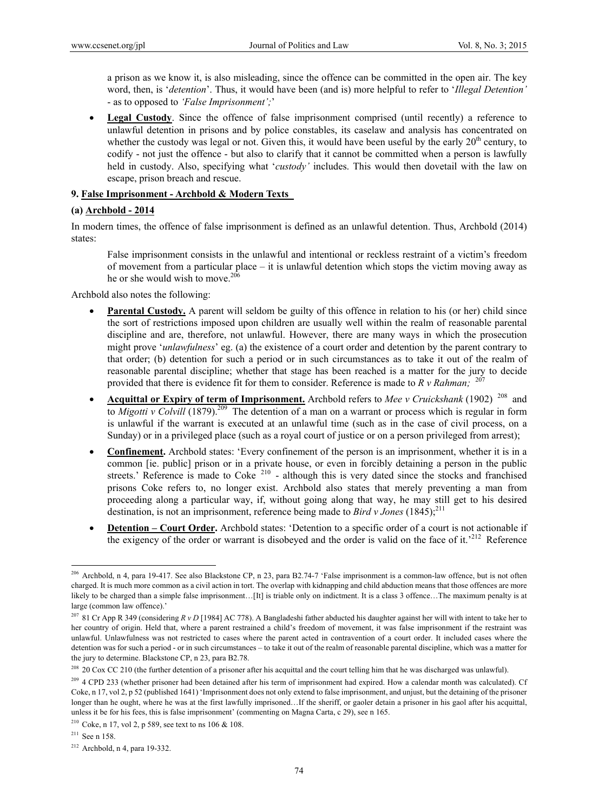a prison as we know it, is also misleading, since the offence can be committed in the open air. The key word, then, is '*detention*'. Thus, it would have been (and is) more helpful to refer to '*Illegal Detention'* - as to opposed to *'False Imprisonment';*'

• Legal Custody. Since the offence of false imprisonment comprised (until recently) a reference to unlawful detention in prisons and by police constables, its caselaw and analysis has concentrated on whether the custody was legal or not. Given this, it would have been useful by the early  $20<sup>th</sup>$  century, to codify - not just the offence - but also to clarify that it cannot be committed when a person is lawfully held in custody. Also, specifying what '*custody'* includes. This would then dovetail with the law on escape, prison breach and rescue.

### **9. False Imprisonment - Archbold & Modern Texts**

#### **(a) Archbold - 2014**

In modern times, the offence of false imprisonment is defined as an unlawful detention. Thus, Archbold (2014) states:

False imprisonment consists in the unlawful and intentional or reckless restraint of a victim's freedom of movement from a particular place – it is unlawful detention which stops the victim moving away as he or she would wish to move.<sup>206</sup>

Archbold also notes the following:

- **Parental Custody.** A parent will seldom be guilty of this offence in relation to his (or her) child since the sort of restrictions imposed upon children are usually well within the realm of reasonable parental discipline and are, therefore, not unlawful. However, there are many ways in which the prosecution might prove '*unlawfulness*' eg. (a) the existence of a court order and detention by the parent contrary to that order; (b) detention for such a period or in such circumstances as to take it out of the realm of reasonable parental discipline; whether that stage has been reached is a matter for the jury to decide provided that there is evidence fit for them to consider. Reference is made to *R v Rahman*; <sup>207</sup>
- **Acquittal or Expiry of term of Imprisonment.** Archbold refers to *Mee v Cruickshank* (1902) 208 and to *Migotti v Colvill* (1879).<sup>209</sup> The detention of a man on a warrant or process which is regular in form is unlawful if the warrant is executed at an unlawful time (such as in the case of civil process, on a Sunday) or in a privileged place (such as a royal court of justice or on a person privileged from arrest);
- **Confinement.** Archbold states: 'Every confinement of the person is an imprisonment, whether it is in a common [ie. public] prison or in a private house, or even in forcibly detaining a person in the public streets.' Reference is made to Coke  $210$  - although this is very dated since the stocks and franchised prisons Coke refers to, no longer exist. Archbold also states that merely preventing a man from proceeding along a particular way, if, without going along that way, he may still get to his desired destination, is not an imprisonment, reference being made to *Bird v Jones* (1845);<sup>211</sup>
- **Detention Court Order.** Archbold states: 'Detention to a specific order of a court is not actionable if the exigency of the order or warrant is disobeyed and the order is valid on the face of it.<sup>212</sup> Reference

 $211$  See n 158.

<sup>&</sup>lt;sup>206</sup> Archbold, n 4, para 19-417. See also Blackstone CP, n 23, para B2.74-7 'False imprisonment is a common-law offence, but is not often charged. It is much more common as a civil action in tort. The overlap with kidnapping and child abduction means that those offences are more likely to be charged than a simple false imprisonment...[It] is triable only on indictment. It is a class 3 offence...The maximum penalty is at large (common law offence).'

<sup>&</sup>lt;sup>207</sup> 81 Cr App R 349 (considering  $R \nu D$  [1984] AC 778). A Bangladeshi father abducted his daughter against her will with intent to take her to her country of origin. Held that, where a parent restrained a child's freedom of movement, it was false imprisonment if the restraint was unlawful. Unlawfulness was not restricted to cases where the parent acted in contravention of a court order. It included cases where the detention was for such a period - or in such circumstances – to take it out of the realm of reasonable parental discipline, which was a matter for the jury to determine. Blackstone CP, n 23, para B2.78.

<sup>&</sup>lt;sup>208</sup> 20 Cox CC 210 (the further detention of a prisoner after his acquittal and the court telling him that he was discharged was unlawful).

<sup>&</sup>lt;sup>209</sup> 4 CPD 233 (whether prisoner had been detained after his term of imprisonment had expired. How a calendar month was calculated). Cf Coke, n 17, vol 2, p 52 (published 1641) 'Imprisonment does not only extend to false imprisonment, and unjust, but the detaining of the prisoner longer than he ought, where he was at the first lawfully imprisoned…If the sheriff, or gaoler detain a prisoner in his gaol after his acquittal, unless it be for his fees, this is false imprisonment' (commenting on Magna Carta, c 29), see n 165.

<sup>&</sup>lt;sup>210</sup> Coke, n 17, vol 2, p 589, see text to ns 106 & 108.

<sup>212</sup> Archbold, n 4, para 19-332.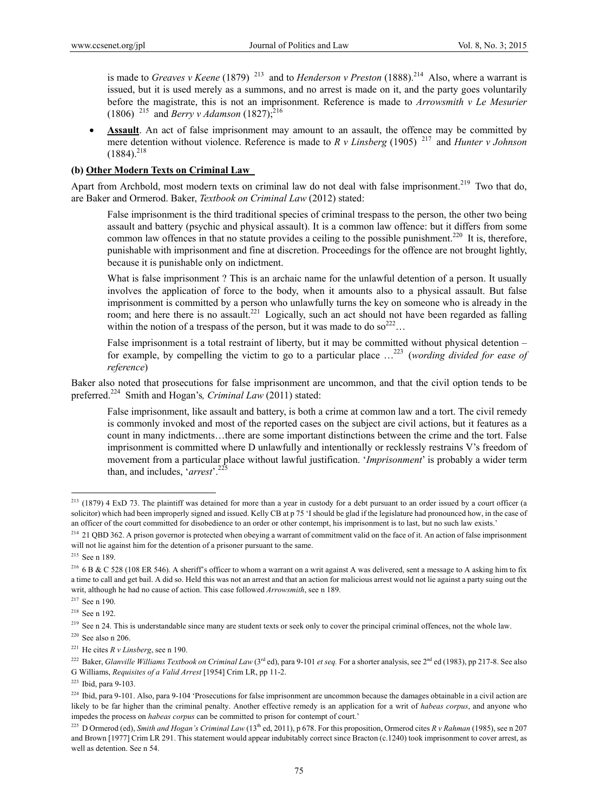is made to *Greaves v Keene* (1879)<sup>213</sup> and to *Henderson v Preston* (1888).<sup>214</sup> Also, where a warrant is issued, but it is used merely as a summons, and no arrest is made on it, and the party goes voluntarily before the magistrate, this is not an imprisonment. Reference is made to *Arrowsmith v Le Mesurier* (1806) <sup>215</sup> and *Berry v Adamson* (1827);<sup>216</sup>

 **Assault**. An act of false imprisonment may amount to an assault, the offence may be committed by mere detention without violence. Reference is made to *R v Linsberg* (1905) 217 and *Hunter v Johnson*  $(1884)^{218}$ 

### **(b) Other Modern Texts on Criminal Law**

Apart from Archbold, most modern texts on criminal law do not deal with false imprisonment.<sup>219</sup> Two that do, are Baker and Ormerod. Baker, *Textbook on Criminal Law* (2012) stated:

False imprisonment is the third traditional species of criminal trespass to the person, the other two being assault and battery (psychic and physical assault). It is a common law offence: but it differs from some common law offences in that no statute provides a ceiling to the possible punishment.<sup>220</sup> It is, therefore, punishable with imprisonment and fine at discretion. Proceedings for the offence are not brought lightly, because it is punishable only on indictment.

What is false imprisonment? This is an archaic name for the unlawful detention of a person. It usually involves the application of force to the body, when it amounts also to a physical assault. But false imprisonment is committed by a person who unlawfully turns the key on someone who is already in the room; and here there is no assault.<sup>221</sup> Logically, such an act should not have been regarded as falling within the notion of a trespass of the person, but it was made to do so  $2^{22}$ ...

False imprisonment is a total restraint of liberty, but it may be committed without physical detention for example, by compelling the victim to go to a particular place …223 (*wording divided for ease of reference*)

Baker also noted that prosecutions for false imprisonment are uncommon, and that the civil option tends to be preferred.224 Smith and Hogan's*, Criminal Law* (2011) stated:

False imprisonment, like assault and battery, is both a crime at common law and a tort. The civil remedy is commonly invoked and most of the reported cases on the subject are civil actions, but it features as a count in many indictments…there are some important distinctions between the crime and the tort. False imprisonment is committed where D unlawfully and intentionally or recklessly restrains V's freedom of movement from a particular place without lawful justification. '*Imprisonment*' is probably a wider term than, and includes, 'arrest'.<sup>2</sup>

 $^{213}$  (1879) 4 ExD 73. The plaintiff was detained for more than a year in custody for a debt pursuant to an order issued by a court officer (a solicitor) which had been improperly signed and issued. Kelly CB at p 75 'I should be glad if the legislature had pronounced how, in the case of an officer of the court committed for disobedience to an order or other contempt, his imprisonment is to last, but no such law exists.'

<sup>&</sup>lt;sup>214</sup> 21 QBD 362. A prison governor is protected when obeying a warrant of commitment valid on the face of it. An action of false imprisonment will not lie against him for the detention of a prisoner pursuant to the same.

<sup>215</sup> See n 189.

<sup>&</sup>lt;sup>216</sup> 6 B & C 528 (108 ER 546). A sheriff's officer to whom a warrant on a writ against A was delivered, sent a message to A asking him to fix a time to call and get bail. A did so. Held this was not an arrest and that an action for malicious arrest would not lie against a party suing out the writ, although he had no cause of action. This case followed *Arrowsmith*, see n 189.

<sup>217</sup> See n 190.

<sup>218</sup> See n 192.

 $^{219}$  See n 24. This is understandable since many are student texts or seek only to cover the principal criminal offences, not the whole law.

 $220$  See also n 206.

<sup>&</sup>lt;sup>221</sup> He cites  $R \nu$  *Linsberg*, see n 190.

<sup>&</sup>lt;sup>222</sup> Baker, *Glanville Williams Textbook on Criminal Law* (3<sup>rd</sup> ed), para 9-101 *et seq*. For a shorter analysis, see 2<sup>nd</sup> ed (1983), pp 217-8. See also G Williams, *Requisites of a Valid Arrest* [1954] Crim LR, pp 11-2.

<sup>223</sup> Ibid, para 9-103.

 $^{224}$  Ibid, para 9-101. Also, para 9-104 'Prosecutions for false imprisonment are uncommon because the damages obtainable in a civil action are likely to be far higher than the criminal penalty. Another effective remedy is an application for a writ of *habeas corpus*, and anyone who impedes the process on *habeas corpus* can be committed to prison for contempt of court.'

<sup>&</sup>lt;sup>225</sup> D Ormerod (ed), *Smith and Hogan's Criminal Law* (13<sup>th</sup> ed, 2011), p 678. For this proposition, Ormerod cites *R v Rahman* (1985), see n 207 and Brown [1977] Crim LR 291. This statement would appear indubitably correct since Bracton (c.1240) took imprisonment to cover arrest, as well as detention. See n 54.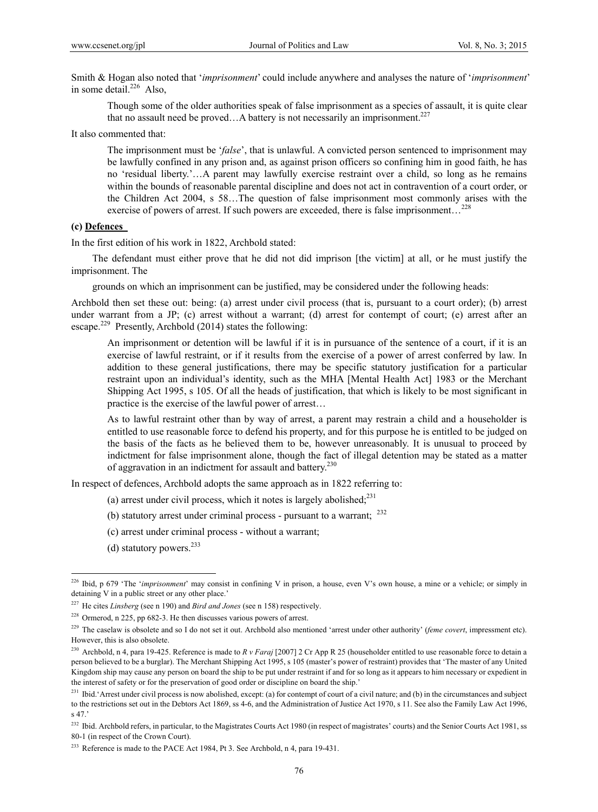Smith & Hogan also noted that '*imprisonment*' could include anywhere and analyses the nature of '*imprisonment*' in some detail. $^{226}$  Also,

Though some of the older authorities speak of false imprisonment as a species of assault, it is quite clear that no assault need be proved... A battery is not necessarily an imprisonment.<sup>227</sup>

It also commented that:

The imprisonment must be '*false*', that is unlawful. A convicted person sentenced to imprisonment may be lawfully confined in any prison and, as against prison officers so confining him in good faith, he has no 'residual liberty.'…A parent may lawfully exercise restraint over a child, so long as he remains within the bounds of reasonable parental discipline and does not act in contravention of a court order, or the Children Act 2004, s 58…The question of false imprisonment most commonly arises with the exercise of powers of arrest. If such powers are exceeded, there is false imprisonment...<sup>228</sup>

#### **(c) Defences**

In the first edition of his work in 1822, Archbold stated:

 The defendant must either prove that he did not did imprison [the victim] at all, or he must justify the imprisonment. The

grounds on which an imprisonment can be justified, may be considered under the following heads:

Archbold then set these out: being: (a) arrest under civil process (that is, pursuant to a court order); (b) arrest under warrant from a JP; (c) arrest without a warrant; (d) arrest for contempt of court; (e) arrest after an escape.<sup>229</sup> Presently, Archbold (2014) states the following:

An imprisonment or detention will be lawful if it is in pursuance of the sentence of a court, if it is an exercise of lawful restraint, or if it results from the exercise of a power of arrest conferred by law. In addition to these general justifications, there may be specific statutory justification for a particular restraint upon an individual's identity, such as the MHA [Mental Health Act] 1983 or the Merchant Shipping Act 1995, s 105. Of all the heads of justification, that which is likely to be most significant in practice is the exercise of the lawful power of arrest…

As to lawful restraint other than by way of arrest, a parent may restrain a child and a householder is entitled to use reasonable force to defend his property, and for this purpose he is entitled to be judged on the basis of the facts as he believed them to be, however unreasonably. It is unusual to proceed by indictment for false imprisonment alone, though the fact of illegal detention may be stated as a matter of aggravation in an indictment for assault and battery.<sup>230</sup>

In respect of defences, Archbold adopts the same approach as in 1822 referring to:

- (a) arrest under civil process, which it notes is largely abolished; $^{231}$
- (b) statutory arrest under criminal process pursuant to a warrant;  $^{232}$
- (c) arrest under criminal process without a warrant;
- (d) statutory powers. $^{233}$

<sup>&</sup>lt;sup>226</sup> Ibid, p 679 'The '*imprisonment*' may consist in confining V in prison, a house, even V's own house, a mine or a vehicle; or simply in detaining V in a public street or any other place.'

<sup>227</sup> He cites *Linsberg* (see n 190) and *Bird and Jones* (see n 158) respectively.

<sup>228</sup> Ormerod, n 225, pp 682-3. He then discusses various powers of arrest.

<sup>&</sup>lt;sup>229</sup> The caselaw is obsolete and so I do not set it out. Archbold also mentioned 'arrest under other authority' (feme covert, impressment etc). However, this is also obsolete.

<sup>230</sup> Archbold, n 4, para 19-425. Reference is made to *R v Faraj* [2007] 2 Cr App R 25 (householder entitled to use reasonable force to detain a person believed to be a burglar). The Merchant Shipping Act 1995, s 105 (master's power of restraint) provides that 'The master of any United Kingdom ship may cause any person on board the ship to be put under restraint if and for so long as it appears to him necessary or expedient in the interest of safety or for the preservation of good order or discipline on board the ship.'

<sup>&</sup>lt;sup>231</sup> Ibid.'Arrest under civil process is now abolished, except: (a) for contempt of court of a civil nature; and (b) in the circumstances and subject to the restrictions set out in the Debtors Act 1869, ss 4-6, and the Administration of Justice Act 1970, s 11. See also the Family Law Act 1996, s 47.'

<sup>&</sup>lt;sup>232</sup> Ibid. Archbold refers, in particular, to the Magistrates Courts Act 1980 (in respect of magistrates' courts) and the Senior Courts Act 1981, ss 80-1 (in respect of the Crown Court).

<sup>&</sup>lt;sup>233</sup> Reference is made to the PACE Act 1984, Pt 3. See Archbold, n 4, para 19-431.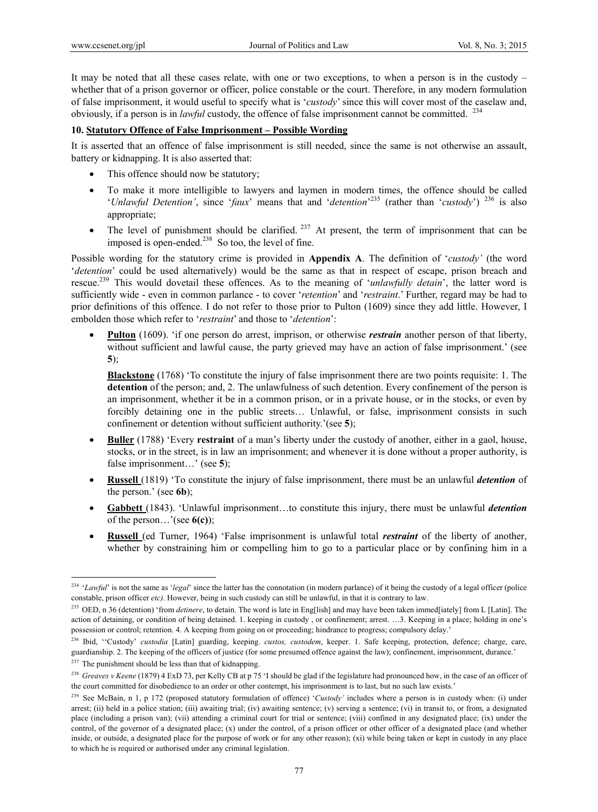It may be noted that all these cases relate, with one or two exceptions, to when a person is in the custody – whether that of a prison governor or officer, police constable or the court. Therefore, in any modern formulation of false imprisonment, it would useful to specify what is '*custody*' since this will cover most of the caselaw and, obviously, if a person is in *lawful* custody, the offence of false imprisonment cannot be committed. <sup>234</sup>

### **10. Statutory Offence of False Imprisonment – Possible Wording**

It is asserted that an offence of false imprisonment is still needed, since the same is not otherwise an assault, battery or kidnapping. It is also asserted that:

- This offence should now be statutory;
- To make it more intelligible to lawyers and laymen in modern times, the offence should be called '*Unlawful Detention'*, since '*faux*' means that and '*detention*' 235 (rather than '*custody*') 236 is also appropriate;
- The level of punishment should be clarified.  $237$  At present, the term of imprisonment that can be imposed is open-ended. $^{238}$  So too, the level of fine.

Possible wording for the statutory crime is provided in **Appendix A**. The definition of '*custody'* (the word '*detention*' could be used alternatively) would be the same as that in respect of escape, prison breach and rescue.239 This would dovetail these offences. As to the meaning of '*unlawfully detain*', the latter word is sufficiently wide - even in common parlance - to cover '*retention*' and '*restraint*.' Further, regard may be had to prior definitions of this offence. I do not refer to those prior to Pulton (1609) since they add little. However, I embolden those which refer to '*restraint*' and those to '*detention*':

**Pulton** (1609). 'if one person do arrest, imprison, or otherwise *restrain* another person of that liberty, without sufficient and lawful cause, the party grieved may have an action of false imprisonment.' (see **5**);

**Blackstone** (1768) 'To constitute the injury of false imprisonment there are two points requisite: 1. The **detention** of the person; and, 2. The unlawfulness of such detention. Every confinement of the person is an imprisonment, whether it be in a common prison, or in a private house, or in the stocks, or even by forcibly detaining one in the public streets… Unlawful, or false, imprisonment consists in such confinement or detention without sufficient authority.'(see **5**);

- **Buller** (1788) 'Every **restraint** of a man's liberty under the custody of another, either in a gaol, house, stocks, or in the street, is in law an imprisonment; and whenever it is done without a proper authority, is false imprisonment...' (see 5);
- **Russell** (1819) 'To constitute the injury of false imprisonment, there must be an unlawful *detention* of the person.' (see **6b**);
- **Gabbett** (1843). 'Unlawful imprisonment…to constitute this injury, there must be unlawful *detention* of the person…'(see **6(c)**);
- **Russell** (ed Turner, 1964) 'False imprisonment is unlawful total *restraint* of the liberty of another, whether by constraining him or compelling him to go to a particular place or by confining him in a

<sup>&</sup>lt;sup>234</sup> '*Lawful*' is not the same as '*legal*' since the latter has the connotation (in modern parlance) of it being the custody of a legal officer (police constable, prison officer *etc)*. However, being in such custody can still be unlawful, in that it is contrary to law.

<sup>&</sup>lt;sup>235</sup> OED, n 36 (detention) 'from *detinere*, to detain. The word is late in Eng[lish] and may have been taken immed[iately] from L [Latin]. The action of detaining, or condition of being detained. 1. keeping in custody , or confinement; arrest. …3. Keeping in a place; holding in one's possession or control; retention. 4. A keeping from going on or proceeding; hindrance to progress; compulsory delay.'

<sup>236</sup> Ibid, ''Custody' *custodia* [Latin] guarding, keeping. *custos, custodem*, keeper. 1. Safe keeping, protection, defence; charge, care, guardianship. 2. The keeping of the officers of justice (for some presumed offence against the law); confinement, imprisonment, durance.'

 $237$  The punishment should be less than that of kidnapping.

<sup>&</sup>lt;sup>238</sup> Greaves v Keene (1879) 4 ExD 73, per Kelly CB at p 75 'I should be glad if the legislature had pronounced how, in the case of an officer of the court committed for disobedience to an order or other contempt, his imprisonment is to last, but no such law exists.'

<sup>&</sup>lt;sup>239</sup> See McBain, n 1, p 172 (proposed statutory formulation of offence) '*Custody'* includes where a person is in custody when: (i) under arrest; (ii) held in a police station; (iii) awaiting trial; (iv) awaiting sentence; (v) serving a sentence; (vi) in transit to, or from, a designated place (including a prison van); (vii) attending a criminal court for trial or sentence; (viii) confined in any designated place; (ix) under the control, of the governor of a designated place; (x) under the control, of a prison officer or other officer of a designated place (and whether inside, or outside, a designated place for the purpose of work or for any other reason); (xi) while being taken or kept in custody in any place to which he is required or authorised under any criminal legislation.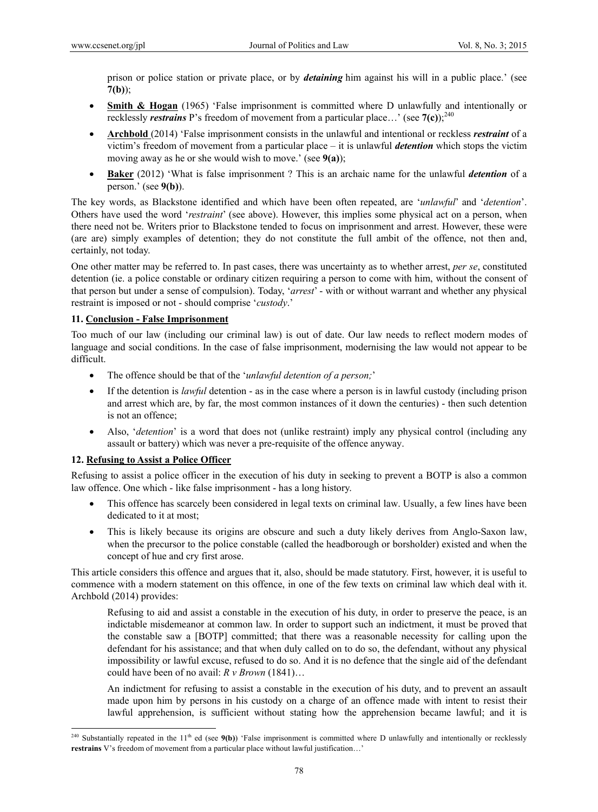prison or police station or private place, or by *detaining* him against his will in a public place.' (see **7(b)**);

- **Smith & Hogan** (1965) 'False imprisonment is committed where D unlawfully and intentionally or recklessly *restrains* P's freedom of movement from a particular place...' (see  $7(c)$ );<sup>240</sup>
- **Archbold** (2014) 'False imprisonment consists in the unlawful and intentional or reckless *restraint* of a victim's freedom of movement from a particular place – it is unlawful *detention* which stops the victim moving away as he or she would wish to move.' (see **9(a)**);
- **Baker** (2012) 'What is false imprisonment ? This is an archaic name for the unlawful *detention* of a person.' (see **9(b)**).

The key words, as Blackstone identified and which have been often repeated, are '*unlawful*' and '*detention*'. Others have used the word '*restraint*' (see above). However, this implies some physical act on a person, when there need not be. Writers prior to Blackstone tended to focus on imprisonment and arrest. However, these were (are are) simply examples of detention; they do not constitute the full ambit of the offence, not then and, certainly, not today.

One other matter may be referred to. In past cases, there was uncertainty as to whether arrest, *per se*, constituted detention (ie. a police constable or ordinary citizen requiring a person to come with him, without the consent of that person but under a sense of compulsion). Today, '*arrest*' - with or without warrant and whether any physical restraint is imposed or not - should comprise '*custody*.'

### **11. Conclusion - False Imprisonment**

Too much of our law (including our criminal law) is out of date. Our law needs to reflect modern modes of language and social conditions. In the case of false imprisonment, modernising the law would not appear to be difficult.

- The offence should be that of the '*unlawful detention of a person;*'
- If the detention is *lawful* detention as in the case where a person is in lawful custody (including prison and arrest which are, by far, the most common instances of it down the centuries) - then such detention is not an offence;
- Also, '*detention*' is a word that does not (unlike restraint) imply any physical control (including any assault or battery) which was never a pre-requisite of the offence anyway.

### **12. Refusing to Assist a Police Officer**

 $\overline{a}$ 

Refusing to assist a police officer in the execution of his duty in seeking to prevent a BOTP is also a common law offence. One which - like false imprisonment - has a long history.

- This offence has scarcely been considered in legal texts on criminal law. Usually, a few lines have been dedicated to it at most;
- This is likely because its origins are obscure and such a duty likely derives from Anglo-Saxon law, when the precursor to the police constable (called the headborough or borsholder) existed and when the concept of hue and cry first arose.

This article considers this offence and argues that it, also, should be made statutory. First, however, it is useful to commence with a modern statement on this offence, in one of the few texts on criminal law which deal with it. Archbold (2014) provides:

Refusing to aid and assist a constable in the execution of his duty, in order to preserve the peace, is an indictable misdemeanor at common law. In order to support such an indictment, it must be proved that the constable saw a [BOTP] committed; that there was a reasonable necessity for calling upon the defendant for his assistance; and that when duly called on to do so, the defendant, without any physical impossibility or lawful excuse, refused to do so. And it is no defence that the single aid of the defendant could have been of no avail: *R v Brown* (1841)…

An indictment for refusing to assist a constable in the execution of his duty, and to prevent an assault made upon him by persons in his custody on a charge of an offence made with intent to resist their lawful apprehension, is sufficient without stating how the apprehension became lawful; and it is

<sup>&</sup>lt;sup>240</sup> Substantially repeated in the 11<sup>th</sup> ed (see  $9(b)$ ) 'False imprisonment is committed where D unlawfully and intentionally or recklessly **restrains** V's freedom of movement from a particular place without lawful justification…'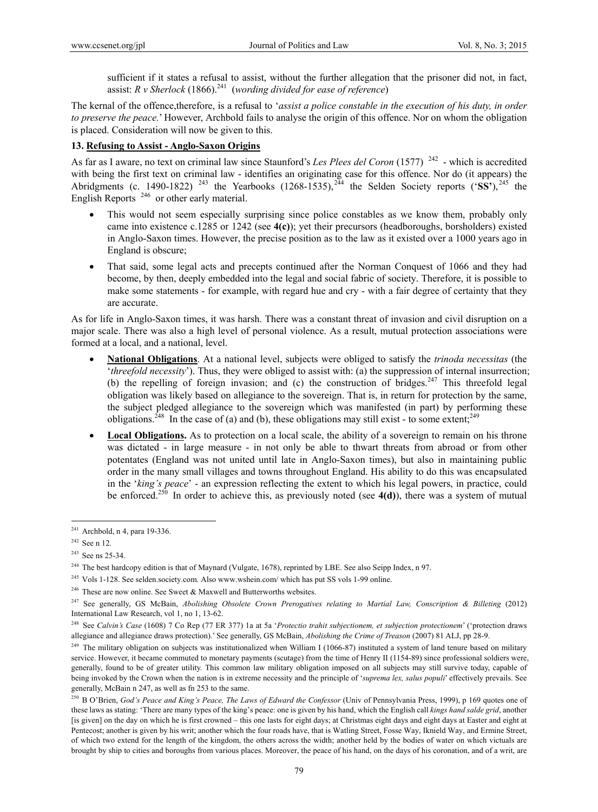sufficient if it states a refusal to assist, without the further allegation that the prisoner did not, in fact, assist: *R v Sherlock* (1866).<sup>241</sup> (*wording divided for ease of reference*)

The kernal of the offence,therefore, is a refusal to '*assist a police constable in the execution of his duty, in order to preserve the peace.*' However, Archbold fails to analyse the origin of this offence. Nor on whom the obligation is placed. Consideration will now be given to this.

### **13. Refusing to Assist - Anglo-Saxon Origins**

As far as I aware, no text on criminal law since Staunford's Les Plees del Coron (1577)<sup>242</sup> - which is accredited with being the first text on criminal law - identifies an originating case for this offence. Nor do (it appears) the Abridgments (c. 1490-1822) <sup>243</sup> the Yearbooks (1268-1535),<sup>244</sup> the Selden Society reports (' $\overline{\text{SS'}}$ ),<sup>245</sup> the English Reports<sup>246</sup> or other early material.

- This would not seem especially surprising since police constables as we know them, probably only came into existence c.1285 or 1242 (see **4(c)**); yet their precursors (headboroughs, borsholders) existed in Anglo-Saxon times. However, the precise position as to the law as it existed over a 1000 years ago in England is obscure;
- That said, some legal acts and precepts continued after the Norman Conquest of 1066 and they had become, by then, deeply embedded into the legal and social fabric of society. Therefore, it is possible to make some statements - for example, with regard hue and cry - with a fair degree of certainty that they are accurate.

As for life in Anglo-Saxon times, it was harsh. There was a constant threat of invasion and civil disruption on a major scale. There was also a high level of personal violence. As a result, mutual protection associations were formed at a local, and a national, level.

- **National Obligations**. At a national level, subjects were obliged to satisfy the *trinoda necessitas* (the '*threefold necessity*'). Thus, they were obliged to assist with: (a) the suppression of internal insurrection; (b) the repelling of foreign invasion; and (c) the construction of bridges.<sup>247</sup> This threefold legal obligation was likely based on allegiance to the sovereign. That is, in return for protection by the same, the subject pledged allegiance to the sovereign which was manifested (in part) by performing these obligations.<sup>248</sup> In the case of (a) and (b), these obligations may still exist - to some extent;<sup>249</sup>
- **Local Obligations.** As to protection on a local scale, the ability of a sovereign to remain on his throne was dictated - in large measure - in not only be able to thwart threats from abroad or from other potentates (England was not united until late in Anglo-Saxon times), but also in maintaining public order in the many small villages and towns throughout England. His ability to do this was encapsulated in the '*king's peace*' - an expression reflecting the extent to which his legal powers, in practice, could be enforced.<sup>250</sup> In order to achieve this, as previously noted (see  $4(d)$ ), there was a system of mutual

 $241$  Archbold, n 4, para 19-336.

<sup>&</sup>lt;sup>242</sup> See n 12.

<sup>&</sup>lt;sup>243</sup> See ns 25-34.

<sup>&</sup>lt;sup>244</sup> The best hardcopy edition is that of Maynard (Vulgate, 1678), reprinted by LBE. See also Seipp Index, n 97.

<sup>245</sup> Vols 1-128. See selden.society.com. Also www.wshein.com/ which has put SS vols 1-99 online.

<sup>&</sup>lt;sup>246</sup> These are now online. See Sweet & Maxwell and Butterworths websites.

<sup>&</sup>lt;sup>247</sup> See generally, GS McBain, *Abolishing Obsolete Crown Prerogatives relating to Martial Law, Conscription & Billeting (2012)* International Law Research, vol 1, no 1, 13-62.

<sup>248</sup> See *Calvin's Case* (1608) 7 Co Rep (77 ER 377) 1a at 5a '*Protectio trahit subjectionem, et subjection protectionem*' ('protection draws allegiance and allegiance draws protection).' See generally, GS McBain, *Abolishing the Crime of Treason* (2007) 81 ALJ, pp 28-9.

<sup>&</sup>lt;sup>249</sup> The military obligation on subjects was institutionalized when William I (1066-87) instituted a system of land tenure based on military service. However, it became commuted to monetary payments (scutage) from the time of Henry II (1154-89) since professional soldiers were, generally, found to be of greater utility. This common law military obligation imposed on all subjects may still survive today, capable of being invoked by the Crown when the nation is in extreme necessity and the principle of '*suprema lex, salus populi*' effectively prevails. See generally, McBain n 247, as well as fn 253 to the same.

<sup>250</sup> B O'Brien, *God's Peace and King's Peace, The Laws of Edward the Confessor* (Univ of Pennsylvania Press, 1999), p 169 quotes one of these laws as stating: 'There are many types of the king's peace: one is given by his hand, which the English call *kings hand salde grid*, another [is given] on the day on which he is first crowned – this one lasts for eight days; at Christmas eight days and eight days at Easter and eight at Pentecost; another is given by his writ; another which the four roads have, that is Watling Street, Fosse Way, Iknield Way, and Ermine Street, of which two extend for the length of the kingdom, the others across the width; another held by the bodies of water on which victuals are brought by ship to cities and boroughs from various places. Moreover, the peace of his hand, on the days of his coronation, and of a writ, are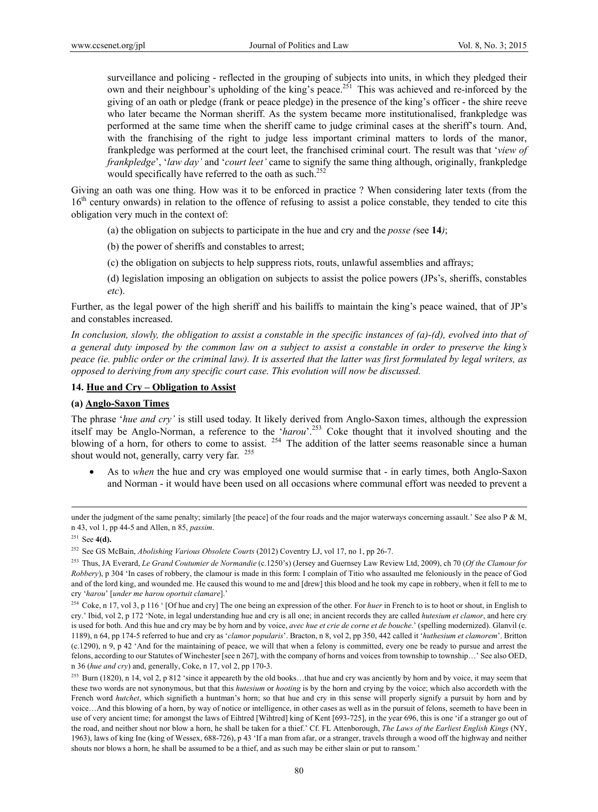surveillance and policing - reflected in the grouping of subjects into units, in which they pledged their own and their neighbour's upholding of the king's peace.<sup>251</sup> This was achieved and re-inforced by the giving of an oath or pledge (frank or peace pledge) in the presence of the king's officer - the shire reeve who later became the Norman sheriff. As the system became more institutionalised, frankpledge was performed at the same time when the sheriff came to judge criminal cases at the sheriff's tourn. And, with the franchising of the right to judge less important criminal matters to lords of the manor, frankpledge was performed at the court leet, the franchised criminal court. The result was that '*view of frankpledge*', '*law day'* and '*court leet'* came to signify the same thing although, originally, frankpledge would specifically have referred to the oath as such.<sup>252</sup>

Giving an oath was one thing. How was it to be enforced in practice ? When considering later texts (from the 16<sup>th</sup> century onwards) in relation to the offence of refusing to assist a police constable, they tended to cite this obligation very much in the context of:

(a) the obligation on subjects to participate in the hue and cry and the *posse (*see **14***)*;

(b) the power of sheriffs and constables to arrest;

(c) the obligation on subjects to help suppress riots, routs, unlawful assemblies and affrays;

(d) legislation imposing an obligation on subjects to assist the police powers (JPs's, sheriffs, constables *etc*).

Further, as the legal power of the high sheriff and his bailiffs to maintain the king's peace wained, that of JP's and constables increased.

*In conclusion, slowly, the obligation to assist a constable in the specific instances of (a)-(d), evolved into that of a general duty imposed by the common law on a subject to assist a constable in order to preserve the king's peace (ie. public order or the criminal law). It is asserted that the latter was first formulated by legal writers, as opposed to deriving from any specific court case. This evolution will now be discussed.* 

#### **14. Hue and Cry – Obligation to Assist**

**(a) Anglo-Saxon Times** 

The phrase '*hue and cry'* is still used today. It likely derived from Anglo-Saxon times, although the expression itself may be Anglo-Norman, a reference to the '*harou*'.253 Coke thought that it involved shouting and the blowing of a horn, for others to come to assist. <sup>254</sup> The addition of the latter seems reasonable since a human shout would not, generally, carry very far. 255

 As to *when* the hue and cry was employed one would surmise that - in early times, both Anglo-Saxon and Norman - it would have been used on all occasions where communal effort was needed to prevent a

under the judgment of the same penalty; similarly [the peace] of the four roads and the major waterways concerning assault.' See also P & M, n 43, vol 1, pp 44-5 and Allen, n 85, *passim*.

<sup>251</sup> See **4(d).** 

<sup>252</sup> See GS McBain, *Abolishing Various Obsolete Courts* (2012) Coventry LJ, vol 17, no 1, pp 26-7.

<sup>253</sup> Thus, JA Everard, *Le Grand Coutumier de Normandie* (c.1250's) (Jersey and Guernsey Law Review Ltd, 2009), ch 70 (*Of the Clamour for Robbery*), p 304 'In cases of robbery, the clamour is made in this form: I complain of Titio who assaulted me feloniously in the peace of God and of the lord king, and wounded me. He caused this wound to me and [drew] this blood and he took my cape in robbery, when it fell to me to cry '*harou*' [*under me harou oportuit clamare*].'

<sup>&</sup>lt;sup>254</sup> Coke, n 17, vol 3, p 116 ' [Of hue and cry] The one being an expression of the other. For *huer* in French to is to hoot or shout, in English to cry.' Ibid, vol 2, p 172 'Note, in legal understanding hue and cry is all one; in ancient records they are called *hutesium et clamor*, and here cry is used for both. And this hue and cry may be by horn and by voice, *avec hue et crie de corne et de bouche*.' (spelling modernized). Glanvil (c. 1189), n 64, pp 174-5 referred to hue and cry as '*clamor popularis*'. Bracton, n 8, vol 2, pp 350, 442 called it '*huthesium et clamorem*'. Britton (c.1290), n 9, p 42 'And for the maintaining of peace, we will that when a felony is committed, every one be ready to pursue and arrest the felons, according to our Statutes of Winchester [see n 267], with the company of horns and voices from township to township…' See also OED, n 36 (*hue and cry*) and, generally, Coke, n 17, vol 2, pp 170-3.

<sup>&</sup>lt;sup>255</sup> Burn (1820), n 14, vol 2, p 812 'since it appeareth by the old books...that hue and cry was anciently by horn and by voice, it may seem that these two words are not synonymous, but that this *hutesium* or *hooting* is by the horn and crying by the voice; which also accordeth with the French word *hutchet*, which signifieth a huntman's horn; so that hue and cry in this sense will properly signify a pursuit by horn and by voice…And this blowing of a horn, by way of notice or intelligence, in other cases as well as in the pursuit of felons, seemeth to have been in use of very ancient time; for amongst the laws of Eihtred [Wihtred] king of Kent [693-725], in the year 696, this is one 'if a stranger go out of the road, and neither shout nor blow a horn, he shall be taken for a thief.' Cf. FL Attenborough, *The Laws of the Earliest English Kings* (NY, 1963), laws of king Ine (king of Wessex, 688-726), p 43 'If a man from afar, or a stranger, travels through a wood off the highway and neither shouts nor blows a horn, he shall be assumed to be a thief, and as such may be either slain or put to ransom.'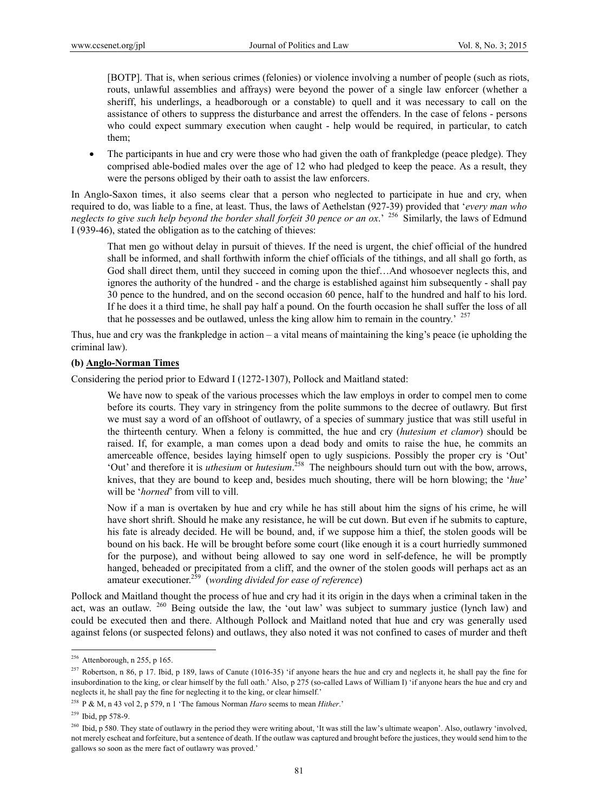[BOTP]. That is, when serious crimes (felonies) or violence involving a number of people (such as riots, routs, unlawful assemblies and affrays) were beyond the power of a single law enforcer (whether a sheriff, his underlings, a headborough or a constable) to quell and it was necessary to call on the assistance of others to suppress the disturbance and arrest the offenders. In the case of felons - persons who could expect summary execution when caught - help would be required, in particular, to catch them;

 The participants in hue and cry were those who had given the oath of frankpledge (peace pledge). They comprised able-bodied males over the age of 12 who had pledged to keep the peace. As a result, they were the persons obliged by their oath to assist the law enforcers.

In Anglo-Saxon times, it also seems clear that a person who neglected to participate in hue and cry, when required to do, was liable to a fine, at least. Thus, the laws of Aethelstan (927-39) provided that '*every man who neglects to give such help beyond the border shall forfeit 30 pence or an ox*.' 256 Similarly, the laws of Edmund I (939-46), stated the obligation as to the catching of thieves:

That men go without delay in pursuit of thieves. If the need is urgent, the chief official of the hundred shall be informed, and shall forthwith inform the chief officials of the tithings, and all shall go forth, as God shall direct them, until they succeed in coming upon the thief…And whosoever neglects this, and ignores the authority of the hundred - and the charge is established against him subsequently - shall pay 30 pence to the hundred, and on the second occasion 60 pence, half to the hundred and half to his lord. If he does it a third time, he shall pay half a pound. On the fourth occasion he shall suffer the loss of all that he possesses and be outlawed, unless the king allow him to remain in the country.' <sup>257</sup>

Thus, hue and cry was the frankpledge in action – a vital means of maintaining the king's peace (ie upholding the criminal law).

#### **(b) Anglo-Norman Times**

Considering the period prior to Edward I (1272-1307), Pollock and Maitland stated:

We have now to speak of the various processes which the law employs in order to compel men to come before its courts. They vary in stringency from the polite summons to the decree of outlawry. But first we must say a word of an offshoot of outlawry, of a species of summary justice that was still useful in the thirteenth century. When a felony is committed, the hue and cry (*hutesium et clamor*) should be raised. If, for example, a man comes upon a dead body and omits to raise the hue, he commits an amerceable offence, besides laying himself open to ugly suspicions. Possibly the proper cry is 'Out' 'Out' and therefore it is *uthesium* or *hutesium*. 258 The neighbours should turn out with the bow, arrows, knives, that they are bound to keep and, besides much shouting, there will be horn blowing; the '*hue*' will be '*horned*' from vill to vill.

Now if a man is overtaken by hue and cry while he has still about him the signs of his crime, he will have short shrift. Should he make any resistance, he will be cut down. But even if he submits to capture, his fate is already decided. He will be bound, and, if we suppose him a thief, the stolen goods will be bound on his back. He will be brought before some court (like enough it is a court hurriedly summoned for the purpose), and without being allowed to say one word in self-defence, he will be promptly hanged, beheaded or precipitated from a cliff, and the owner of the stolen goods will perhaps act as an amateur executioner.259 (*wording divided for ease of reference*)

Pollock and Maitland thought the process of hue and cry had it its origin in the days when a criminal taken in the act, was an outlaw.  $260$  Being outside the law, the 'out law' was subject to summary justice (lynch law) and could be executed then and there. Although Pollock and Maitland noted that hue and cry was generally used against felons (or suspected felons) and outlaws, they also noted it was not confined to cases of murder and theft

 $256$  Attenborough, n 255, p 165.

<sup>&</sup>lt;sup>257</sup> Robertson, n 86, p 17. Ibid, p 189, laws of Canute (1016-35) 'if anyone hears the hue and cry and neglects it, he shall pay the fine for insubordination to the king, or clear himself by the full oath.' Also, p 275 (so-called Laws of William I) 'if anyone hears the hue and cry and neglects it, he shall pay the fine for neglecting it to the king, or clear himself.'

<sup>258</sup> P & M, n 43 vol 2, p 579, n 1 'The famous Norman *Haro* seems to mean *Hither*.'

<sup>259</sup> Ibid, pp 578-9.

<sup>&</sup>lt;sup>260</sup> Ibid, p 580. They state of outlawry in the period they were writing about, 'It was still the law's ultimate weapon'. Also, outlawry 'involved, not merely escheat and forfeiture, but a sentence of death. If the outlaw was captured and brought before the justices, they would send him to the gallows so soon as the mere fact of outlawry was proved.'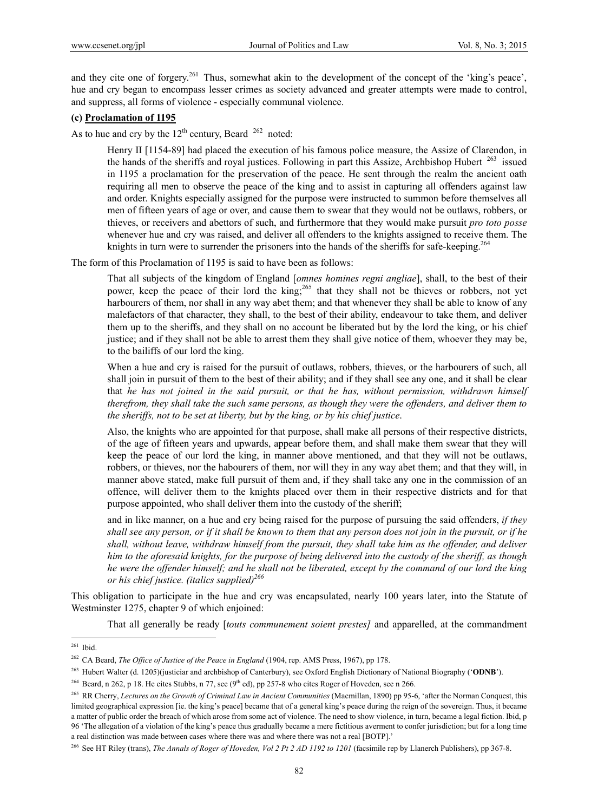and they cite one of forgery.<sup>261</sup> Thus, somewhat akin to the development of the concept of the 'king's peace', hue and cry began to encompass lesser crimes as society advanced and greater attempts were made to control, and suppress, all forms of violence - especially communal violence.

### **(c) Proclamation of 1195**

As to hue and cry by the  $12<sup>th</sup>$  century, Beard  $^{262}$  noted:

Henry II [1154-89] had placed the execution of his famous police measure, the Assize of Clarendon, in the hands of the sheriffs and royal justices. Following in part this Assize, Archbishop Hubert  $^{263}$  issued in 1195 a proclamation for the preservation of the peace. He sent through the realm the ancient oath requiring all men to observe the peace of the king and to assist in capturing all offenders against law and order. Knights especially assigned for the purpose were instructed to summon before themselves all men of fifteen years of age or over, and cause them to swear that they would not be outlaws, robbers, or thieves, or receivers and abettors of such, and furthermore that they would make pursuit *pro toto posse* whenever hue and cry was raised, and deliver all offenders to the knights assigned to receive them. The knights in turn were to surrender the prisoners into the hands of the sheriffs for safe-keeping.<sup>264</sup>

The form of this Proclamation of 1195 is said to have been as follows:

That all subjects of the kingdom of England [*omnes homines regni angliae*], shall, to the best of their power, keep the peace of their lord the king;<sup>265</sup> that they shall not be thieves or robbers, not yet harbourers of them, nor shall in any way abet them; and that whenever they shall be able to know of any malefactors of that character, they shall, to the best of their ability, endeavour to take them, and deliver them up to the sheriffs, and they shall on no account be liberated but by the lord the king, or his chief justice; and if they shall not be able to arrest them they shall give notice of them, whoever they may be, to the bailiffs of our lord the king.

When a hue and cry is raised for the pursuit of outlaws, robbers, thieves, or the harbourers of such, all shall join in pursuit of them to the best of their ability; and if they shall see any one, and it shall be clear that *he has not joined in the said pursuit, or that he has, without permission, withdrawn himself therefrom, they shall take the such same persons, as though they were the offenders, and deliver them to the sheriffs, not to be set at liberty, but by the king, or by his chief justice*.

Also, the knights who are appointed for that purpose, shall make all persons of their respective districts, of the age of fifteen years and upwards, appear before them, and shall make them swear that they will keep the peace of our lord the king, in manner above mentioned, and that they will not be outlaws, robbers, or thieves, nor the habourers of them, nor will they in any way abet them; and that they will, in manner above stated, make full pursuit of them and, if they shall take any one in the commission of an offence, will deliver them to the knights placed over them in their respective districts and for that purpose appointed, who shall deliver them into the custody of the sheriff;

and in like manner, on a hue and cry being raised for the purpose of pursuing the said offenders, *if they shall see any person, or if it shall be known to them that any person does not join in the pursuit, or if he shall, without leave, withdraw himself from the pursuit, they shall take him as the offender, and deliver him to the aforesaid knights, for the purpose of being delivered into the custody of the sheriff, as though he were the offender himself; and he shall not be liberated, except by the command of our lord the king or his chief justice. (italics supplied)266*

This obligation to participate in the hue and cry was encapsulated, nearly 100 years later, into the Statute of Westminster 1275, chapter 9 of which enjoined:

That all generally be ready [*touts communement soient prestes]* and apparelled, at the commandment

 $261$  Ibid.

<sup>&</sup>lt;sup>262</sup> CA Beard, *The Office of Justice of the Peace in England* (1904, rep. AMS Press, 1967), pp 178.

<sup>263</sup> Hubert Walter (d. 1205)(justiciar and archbishop of Canterbury), see Oxford English Dictionary of National Biography ('**ODNB**').

<sup>&</sup>lt;sup>264</sup> Beard, n 262, p 18. He cites Stubbs, n 77, see ( $9<sup>th</sup>$  ed), pp 257-8 who cites Roger of Hoveden, see n 266.

<sup>265</sup> RR Cherry, *Lectures on the Growth of Criminal Law in Ancient Communities* (Macmillan, 1890) pp 95-6, 'after the Norman Conquest, this limited geographical expression [ie. the king's peace] became that of a general king's peace during the reign of the sovereign. Thus, it became a matter of public order the breach of which arose from some act of violence. The need to show violence, in turn, became a legal fiction. Ibid, p 96 'The allegation of a violation of the king's peace thus gradually became a mere fictitious averment to confer jurisdiction; but for a long time a real distinction was made between cases where there was and where there was not a real [BOTP].'

<sup>266</sup> See HT Riley (trans), *The Annals of Roger of Hoveden, Vol 2 Pt 2 AD 1192 to 1201* (facsimile rep by Llanerch Publishers), pp 367-8.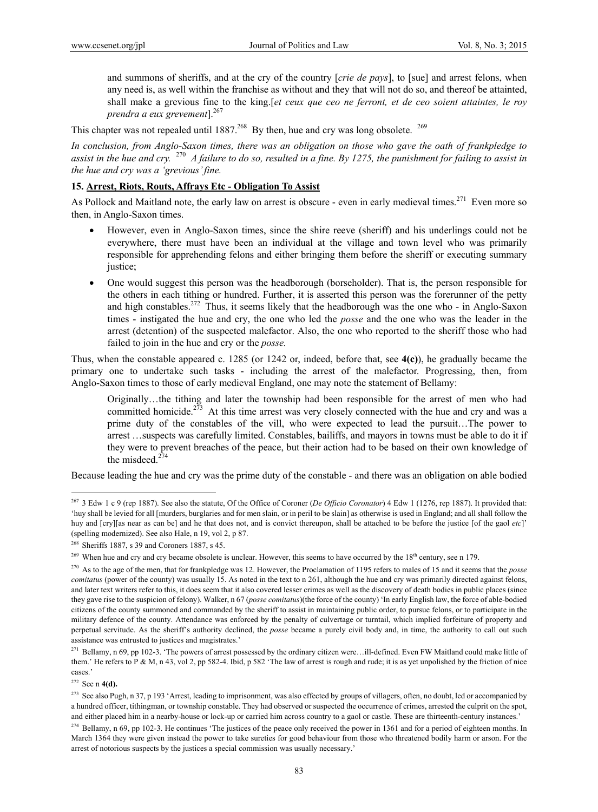and summons of sheriffs, and at the cry of the country [*crie de pays*], to [sue] and arrest felons, when any need is, as well within the franchise as without and they that will not do so, and thereof be attainted, shall make a grevious fine to the king.[*et ceux que ceo ne ferront, et de ceo soient attaintes, le roy prendra a eux grevement*].267

This chapter was not repealed until  $1887<sup>268</sup>$  By then, hue and cry was long obsolete. <sup>269</sup>

*In conclusion, from Anglo-Saxon times, there was an obligation on those who gave the oath of frankpledge to assist in the hue and cry.* <sup>270</sup> *A failure to do so, resulted in a fine. By 1275, the punishment for failing to assist in the hue and cry was a 'grevious' fine.*

### **15. Arrest, Riots, Routs, Affrays Etc - Obligation To Assist**

As Pollock and Maitland note, the early law on arrest is obscure - even in early medieval times.<sup>271</sup> Even more so then, in Anglo-Saxon times.

- However, even in Anglo-Saxon times, since the shire reeve (sheriff) and his underlings could not be everywhere, there must have been an individual at the village and town level who was primarily responsible for apprehending felons and either bringing them before the sheriff or executing summary justice;
- One would suggest this person was the headborough (borseholder). That is, the person responsible for the others in each tithing or hundred. Further, it is asserted this person was the forerunner of the petty and high constables.<sup>272</sup> Thus, it seems likely that the headborough was the one who - in Anglo-Saxon times - instigated the hue and cry, the one who led the *posse* and the one who was the leader in the arrest (detention) of the suspected malefactor. Also, the one who reported to the sheriff those who had failed to join in the hue and cry or the *posse.*

Thus, when the constable appeared c. 1285 (or 1242 or, indeed, before that, see **4(c)**), he gradually became the primary one to undertake such tasks - including the arrest of the malefactor. Progressing, then, from Anglo-Saxon times to those of early medieval England, one may note the statement of Bellamy:

Originally…the tithing and later the township had been responsible for the arrest of men who had committed homicide.<sup>273</sup> At this time arrest was very closely connected with the hue and cry and was a prime duty of the constables of the vill, who were expected to lead the pursuit…The power to arrest …suspects was carefully limited. Constables, bailiffs, and mayors in towns must be able to do it if they were to prevent breaches of the peace, but their action had to be based on their own knowledge of the misdeed. $274$ 

Because leading the hue and cry was the prime duty of the constable - and there was an obligation on able bodied

<sup>267 3</sup> Edw 1 c 9 (rep 1887). See also the statute, Of the Office of Coroner (*De Officio Coronator*) 4 Edw 1 (1276, rep 1887). It provided that: 'huy shall be levied for all [murders, burglaries and for men slain, or in peril to be slain] as otherwise is used in England; and all shall follow the huy and [cry][as near as can be] and he that does not, and is convict thereupon, shall be attached to be before the justice [of the gaol *etc*]' (spelling modernized). See also Hale, n 19, vol 2, p 87.

<sup>&</sup>lt;sup>268</sup> Sheriffs 1887, s 39 and Coroners 1887, s 45.

<sup>&</sup>lt;sup>269</sup> When hue and cry and cry became obsolete is unclear. However, this seems to have occurred by the 18<sup>th</sup> century, see n 179.

<sup>270</sup> As to the age of the men, that for frankpledge was 12. However, the Proclamation of 1195 refers to males of 15 and it seems that the *posse comitatus* (power of the county) was usually 15. As noted in the text to n 261, although the hue and cry was primarily directed against felons, and later text writers refer to this, it does seem that it also covered lesser crimes as well as the discovery of death bodies in public places (since they gave rise to the suspicion of felony). Walker, n 67 (*posse comitatus*)(the force of the county) 'In early English law, the force of able-bodied citizens of the county summoned and commanded by the sheriff to assist in maintaining public order, to pursue felons, or to participate in the military defence of the county. Attendance was enforced by the penalty of culvertage or turntail, which implied forfeiture of property and perpetual servitude. As the sheriff's authority declined, the *posse* became a purely civil body and, in time, the authority to call out such assistance was entrusted to justices and magistrates.'

<sup>&</sup>lt;sup>271</sup> Bellamy, n 69, pp 102-3. 'The powers of arrest possessed by the ordinary citizen were...ill-defined. Even FW Maitland could make little of them.' He refers to P & M, n 43, vol 2, pp 582-4. Ibid, p 582 'The law of arrest is rough and rude; it is as yet unpolished by the friction of nice cases.'

<sup>272</sup> See n **4(d).** 

<sup>&</sup>lt;sup>273</sup> See also Pugh, n 37, p 193 'Arrest, leading to imprisonment, was also effected by groups of villagers, often, no doubt, led or accompanied by a hundred officer, tithingman, or township constable. They had observed or suspected the occurrence of crimes, arrested the culprit on the spot, and either placed him in a nearby-house or lock-up or carried him across country to a gaol or castle. These are thirteenth-century instances.'

 $^{274}$  Bellamy, n 69, pp 102-3. He continues 'The justices of the peace only received the power in 1361 and for a period of eighteen months. In March 1364 they were given instead the power to take sureties for good behaviour from those who threatened bodily harm or arson. For the arrest of notorious suspects by the justices a special commission was usually necessary.'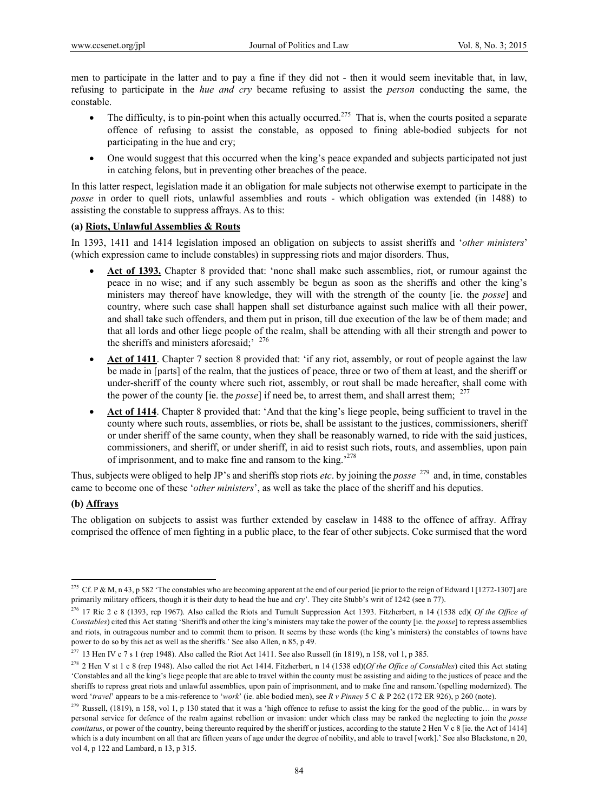men to participate in the latter and to pay a fine if they did not - then it would seem inevitable that, in law, refusing to participate in the *hue and cry* became refusing to assist the *person* conducting the same, the constable.

- The difficulty, is to pin-point when this actually occurred.<sup>275</sup> That is, when the courts posited a separate offence of refusing to assist the constable, as opposed to fining able-bodied subjects for not participating in the hue and cry;
- One would suggest that this occurred when the king's peace expanded and subjects participated not just in catching felons, but in preventing other breaches of the peace.

In this latter respect, legislation made it an obligation for male subjects not otherwise exempt to participate in the *posse* in order to quell riots, unlawful assemblies and routs - which obligation was extended (in 1488) to assisting the constable to suppress affrays. As to this:

### **(a) Riots, Unlawful Assemblies & Routs**

In 1393, 1411 and 1414 legislation imposed an obligation on subjects to assist sheriffs and '*other ministers*' (which expression came to include constables) in suppressing riots and major disorders. Thus,

- **Act of 1393.** Chapter 8 provided that: 'none shall make such assemblies, riot, or rumour against the peace in no wise; and if any such assembly be begun as soon as the sheriffs and other the king's ministers may thereof have knowledge, they will with the strength of the county [ie. the *posse*] and country, where such case shall happen shall set disturbance against such malice with all their power, and shall take such offenders, and them put in prison, till due execution of the law be of them made; and that all lords and other liege people of the realm, shall be attending with all their strength and power to the sheriffs and ministers aforesaid;<sup>' 276</sup>
- **Act of 1411**. Chapter 7 section 8 provided that: 'if any riot, assembly, or rout of people against the law be made in [parts] of the realm, that the justices of peace, three or two of them at least, and the sheriff or under-sheriff of the county where such riot, assembly, or rout shall be made hereafter, shall come with the power of the county [ie. the *posse*] if need be, to arrest them, and shall arrest them: <sup>277</sup>
- **Act of 1414**. Chapter 8 provided that: 'And that the king's liege people, being sufficient to travel in the county where such routs, assemblies, or riots be, shall be assistant to the justices, commissioners, sheriff or under sheriff of the same county, when they shall be reasonably warned, to ride with the said justices, commissioners, and sheriff, or under sheriff, in aid to resist such riots, routs, and assemblies, upon pain of imprisonment, and to make fine and ransom to the king.<sup>278</sup>

Thus, subjects were obliged to help JP's and sheriffs stop riots *etc*. by joining the *posse* 279 and, in time, constables came to become one of these '*other ministers*', as well as take the place of the sheriff and his deputies.

#### **(b) Affrays**

 $\overline{a}$ 

The obligation on subjects to assist was further extended by caselaw in 1488 to the offence of affray. Affray comprised the offence of men fighting in a public place, to the fear of other subjects. Coke surmised that the word

<sup>&</sup>lt;sup>275</sup> Cf. P & M, n 43, p 582 'The constables who are becoming apparent at the end of our period [ie prior to the reign of Edward I [1272-1307] are primarily military officers, though it is their duty to head the hue and cry'. They cite Stubb's writ of 1242 (see n 77).

<sup>276 17</sup> Ric 2 c 8 (1393, rep 1967). Also called the Riots and Tumult Suppression Act 1393. Fitzherbert, n 14 (1538 ed)( *Of the Office of Constables*) cited this Act stating 'Sheriffs and other the king's ministers may take the power of the county [ie. the *posse*] to repress assemblies and riots, in outrageous number and to commit them to prison. It seems by these words (the king's ministers) the constables of towns have power to do so by this act as well as the sheriffs.' See also Allen, n 85, p 49.

<sup>&</sup>lt;sup>277</sup> 13 Hen IV c 7 s 1 (rep 1948). Also called the Riot Act 1411. See also Russell (in 1819), n 158, vol 1, p 385.

<sup>278 2</sup> Hen V st 1 c 8 (rep 1948). Also called the riot Act 1414. Fitzherbert, n 14 (1538 ed)(*Of the Office of Constables*) cited this Act stating 'Constables and all the king's liege people that are able to travel within the county must be assisting and aiding to the justices of peace and the sheriffs to repress great riots and unlawful assemblies, upon pain of imprisonment, and to make fine and ransom.'(spelling modernized). The word '*travel*' appears to be a mis-reference to '*work*' (ie. able bodied men), see *R v Pinney* 5 C & P 262 (172 ER 926), p 260 (note).

<sup>&</sup>lt;sup>279</sup> Russell, (1819), n 158, vol 1, p 130 stated that it was a 'high offence to refuse to assist the king for the good of the public... in wars by personal service for defence of the realm against rebellion or invasion: under which class may be ranked the neglecting to join the *posse comitatus*, or power of the country, being thereunto required by the sheriff or justices, according to the statute 2 Hen V c 8 [ie. the Act of 1414] which is a duty incumbent on all that are fifteen years of age under the degree of nobility, and able to travel [work].' See also Blackstone, n 20, vol 4, p 122 and Lambard, n 13, p 315.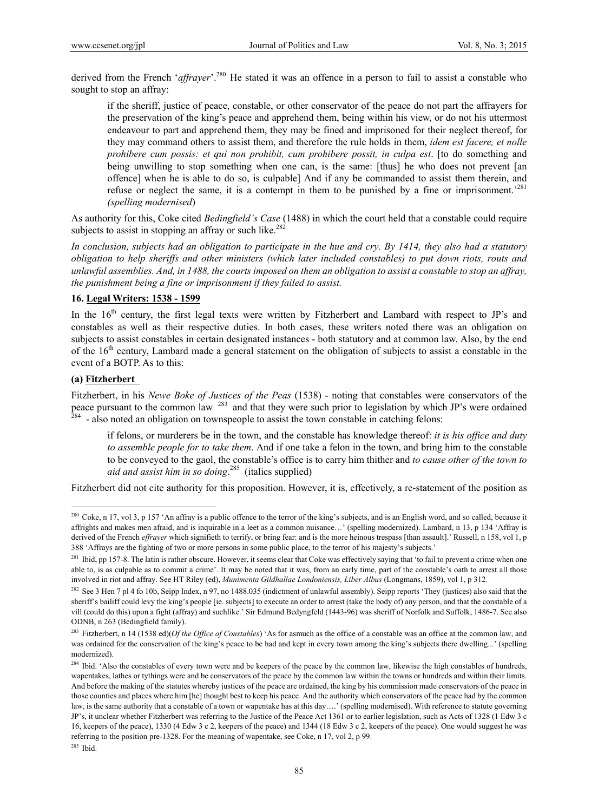derived from the French '*affrayer*'.<sup>280</sup> He stated it was an offence in a person to fail to assist a constable who sought to stop an affray:

if the sheriff, justice of peace, constable, or other conservator of the peace do not part the affrayers for the preservation of the king's peace and apprehend them, being within his view, or do not his uttermost endeavour to part and apprehend them, they may be fined and imprisoned for their neglect thereof, for they may command others to assist them, and therefore the rule holds in them, *idem est facere, et nolle prohibere cum possis: et qui non prohibit, cum prohibere possit, in culpa est*. [to do something and being unwilling to stop something when one can, is the same: [thus] he who does not prevent [an offence] when he is able to do so, is culpable] And if any be commanded to assist them therein, and refuse or neglect the same, it is a contempt in them to be punished by a fine or imprisonment.<sup>281</sup> *(spelling modernised*)

As authority for this, Coke cited *Bedingfield's Case* (1488) in which the court held that a constable could require subjects to assist in stopping an affray or such like.<sup>282</sup>

*In conclusion, subjects had an obligation to participate in the hue and cry. By 1414, they also had a statutory obligation to help sheriffs and other ministers (which later included constables) to put down riots, routs and unlawful assemblies. And, in 1488, the courts imposed on them an obligation to assist a constable to stop an affray, the punishment being a fine or imprisonment if they failed to assist.* 

## **16. Legal Writers: 1538 - 1599**

In the 16<sup>th</sup> century, the first legal texts were written by Fitzherbert and Lambard with respect to JP's and constables as well as their respective duties. In both cases, these writers noted there was an obligation on subjects to assist constables in certain designated instances - both statutory and at common law. Also, by the end of the  $16<sup>th</sup>$  century, Lambard made a general statement on the obligation of subjects to assist a constable in the event of a BOTP. As to this:

#### **(a) Fitzherbert**

 $\overline{a}$ 

Fitzherbert, in his *Newe Boke of Justices of the Peas* (1538) - noting that constables were conservators of the peace pursuant to the common law  $^{283}$  and that they were such prior to legislation by which JP's were ordained  $^{284}$  - also noted an obligation on townspeople to assist the town constable in catching felons:

if felons, or murderers be in the town, and the constable has knowledge thereof: *it is his office and duty to assemble people for to take them*. And if one take a felon in the town, and bring him to the constable to be conveyed to the gaol, the constable's office is to carry him thither and *to cause other of the town to aid and assist him in so doing*. 285 (italics supplied)

Fitzherbert did not cite authority for this proposition. However, it is, effectively, a re-statement of the position as

<sup>&</sup>lt;sup>280</sup> Coke, n 17, vol 3, p 157 'An affray is a public offence to the terror of the king's subjects, and is an English word, and so called, because it affrights and makes men afraid, and is inquirable in a leet as a common nuisance…' (spelling modernized). Lambard, n 13, p 134 'Affray is derived of the French *effrayer* which signifieth to terrify, or bring fear: and is the more heinous trespass [than assault].' Russell, n 158, vol 1, p 388 'Affrays are the fighting of two or more persons in some public place, to the terror of his majesty's subjects.'

<sup>&</sup>lt;sup>281</sup> Ibid, pp 157-8. The latin is rather obscure. However, it seems clear that Coke was effectively saying that 'to fail to prevent a crime when one able to, is as culpable as to commit a crime'. It may be noted that it was, from an early time, part of the constable's oath to arrest all those involved in riot and affray. See HT Riley (ed), *Munimenta Gildhallae Londoniensis, Liber Albus* (Longmans, 1859), vol 1, p 312.

<sup>&</sup>lt;sup>282</sup> See 3 Hen 7 pl 4 fo 10b, Seipp Index, n 97, no 1488.035 (indictment of unlawful assembly). Seipp reports 'They (justices) also said that the sheriff's bailiff could levy the king's people [ie. subjects] to execute an order to arrest (take the body of) any person, and that the constable of a vill (could do this) upon a fight (affray) and suchlike.' Sir Edmund Bedyngfeld (1443-96) was sheriff of Norfolk and Suffolk, 1486-7. See also ODNB, n 263 (Bedingfield family).

<sup>283</sup> Fitzherbert, n 14 (1538 ed)(*Of the Office of Constables*) 'As for asmuch as the office of a constable was an office at the common law, and was ordained for the conservation of the king's peace to be had and kept in every town among the king's subjects there dwelling...' (spelling modernized).

<sup>&</sup>lt;sup>284</sup> Ibid. 'Also the constables of every town were and be keepers of the peace by the common law, likewise the high constables of hundreds, wapentakes, lathes or tythings were and be conservators of the peace by the common law within the towns or hundreds and within their limits. And before the making of the statutes whereby justices of the peace are ordained, the king by his commission made conservators of the peace in those counties and places where him [he] thought best to keep his peace. And the authority which conservators of the peace had by the common law, is the same authority that a constable of a town or wapentake has at this day....' (spelling modernised). With reference to statute governing JP's, it unclear whether Fitzherbert was referring to the Justice of the Peace Act 1361 or to earlier legislation, such as Acts of 1328 (1 Edw 3 c 16, keepers of the peace), 1330 (4 Edw 3 c 2, keepers of the peace) and 1344 (18 Edw 3 c 2, keepers of the peace). One would suggest he was referring to the position pre-1328. For the meaning of wapentake, see Coke, n 17, vol 2, p 99.

<sup>285</sup> Ibid.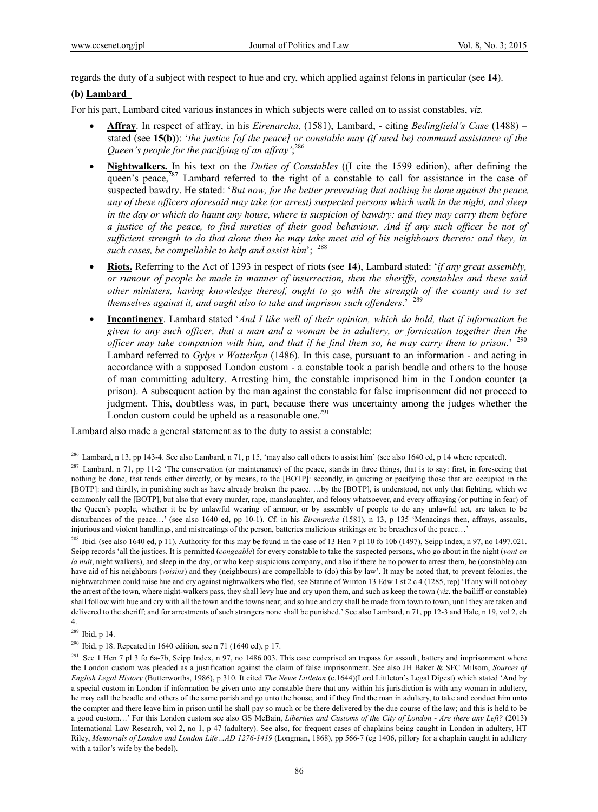regards the duty of a subject with respect to hue and cry, which applied against felons in particular (see **14**).

#### **(b) Lambard**

For his part, Lambard cited various instances in which subjects were called on to assist constables, *viz.*

- **Affray**. In respect of affray, in his *Eirenarcha*, (1581), Lambard, citing *Bedingfield's Case* (1488) stated (see **15(b)**): '*the justice [of the peace] or constable may (if need be) command assistance of the Queen's people for the pacifying of an affray'*; 286
- **Nightwalkers.** In his text on the *Duties of Constables* ((I cite the 1599 edition), after defining the queen's peace, $287$  Lambard referred to the right of a constable to call for assistance in the case of suspected bawdry. He stated: '*But now, for the better preventing that nothing be done against the peace, any of these officers aforesaid may take (or arrest) suspected persons which walk in the night, and sleep in the day or which do haunt any house, where is suspicion of bawdry: and they may carry them before a justice of the peace, to find sureties of their good behaviour. And if any such officer be not of sufficient strength to do that alone then he may take meet aid of his neighbours thereto: and they, in such cases, be compellable to help and assist him*'; 288
- **Riots.** Referring to the Act of 1393 in respect of riots (see **14**), Lambard stated: '*if any great assembly, or rumour of people be made in manner of insurrection, then the sheriffs, constables and these said other ministers, having knowledge thereof, ought to go with the strength of the county and to set themselves against it, and ought also to take and imprison such offenders*.' 289
- **Incontinency**. Lambard stated '*And I like well of their opinion, which do hold, that if information be given to any such officer, that a man and a woman be in adultery, or fornication together then the officer may take companion with him, and that if he find them so, he may carry them to prison*.' <sup>290</sup> Lambard referred to *Gylys v Watterkyn* (1486). In this case, pursuant to an information - and acting in accordance with a supposed London custom - a constable took a parish beadle and others to the house of man committing adultery. Arresting him, the constable imprisoned him in the London counter (a prison). A subsequent action by the man against the constable for false imprisonment did not proceed to judgment. This, doubtless was, in part, because there was uncertainty among the judges whether the London custom could be upheld as a reasonable one. $291$

Lambard also made a general statement as to the duty to assist a constable:

<sup>288</sup> Ibid. (see also 1640 ed, p 11). Authority for this may be found in the case of 13 Hen 7 pl 10 fo 10b (1497), Seipp Index, n 97, no 1497.021. Seipp records 'all the justices. It is permitted (*congeable*) for every constable to take the suspected persons, who go about in the night (*vont en la nuit*, night walkers), and sleep in the day, or who keep suspicious company, and also if there be no power to arrest them, he (constable) can have aid of his neighbours (*voisins*) and they (neighbours) are compellable to (do) this by law'. It may be noted that, to prevent felonies, the nightwatchmen could raise hue and cry against nightwalkers who fled, see Statute of Winton 13 Edw 1 st 2 c 4 (1285, rep) 'If any will not obey the arrest of the town, where night-walkers pass, they shall levy hue and cry upon them, and such as keep the town (*viz*. the bailiff or constable) shall follow with hue and cry with all the town and the towns near; and so hue and cry shall be made from town to town, until they are taken and delivered to the sheriff; and for arrestments of such strangers none shall be punished.' See also Lambard, n 71, pp 12-3 and Hale, n 19, vol 2, ch 4.

<sup>&</sup>lt;sup>286</sup> Lambard, n 13, pp 143-4. See also Lambard, n 71, p 15, 'may also call others to assist him' (see also 1640 ed, p 14 where repeated).

 $287$  Lambard, n 71, pp 11-2 'The conservation (or maintenance) of the peace, stands in three things, that is to say: first, in foreseeing that nothing be done, that tends either directly, or by means, to the [BOTP]: secondly, in quieting or pacifying those that are occupied in the [BOTP]: and thirdly, in punishing such as have already broken the peace. …by the [BOTP], is understood, not only that fighting, which we commonly call the [BOTP], but also that every murder, rape, manslaughter, and felony whatsoever, and every affraying (or putting in fear) of the Queen's people, whether it be by unlawful wearing of armour, or by assembly of people to do any unlawful act, are taken to be disturbances of the peace…' (see also 1640 ed, pp 10-1). Cf. in his *Eirenarcha* (1581), n 13, p 135 'Menacings then, affrays, assaults, injurious and violent handlings, and mistreatings of the person, batteries malicious strikings *etc* be breaches of the peace…'

<sup>289</sup> Ibid, p 14.

<sup>&</sup>lt;sup>290</sup> Ibid, p 18. Repeated in 1640 edition, see n 71 (1640 ed), p 17.

<sup>&</sup>lt;sup>291</sup> See 1 Hen 7 pl 3 fo 6a-7b, Seipp Index, n 97, no 1486.003. This case comprised an trepass for assault, battery and imprisonment where the London custom was pleaded as a justification against the claim of false imprisonment. See also JH Baker & SFC Milsom, *Sources of English Legal History* (Butterworths, 1986), p 310. It cited *The Newe Littleton* (c.1644)(Lord Littleton's Legal Digest) which stated 'And by a special custom in London if information be given unto any constable there that any within his jurisdiction is with any woman in adultery, he may call the beadle and others of the same parish and go unto the house, and if they find the man in adultery, to take and conduct him unto the compter and there leave him in prison until he shall pay so much or be there delivered by the due course of the law; and this is held to be a good custom…' For this London custom see also GS McBain, *Liberties and Customs of the City of London - Are there any Left?* (2013) International Law Research, vol 2, no 1, p 47 (adultery). See also, for frequent cases of chaplains being caught in London in adultery, HT Riley, *Memorials of London and London Life…AD 1276-1419* (Longman, 1868), pp 566-7 (eg 1406, pillory for a chaplain caught in adultery with a tailor's wife by the bedel).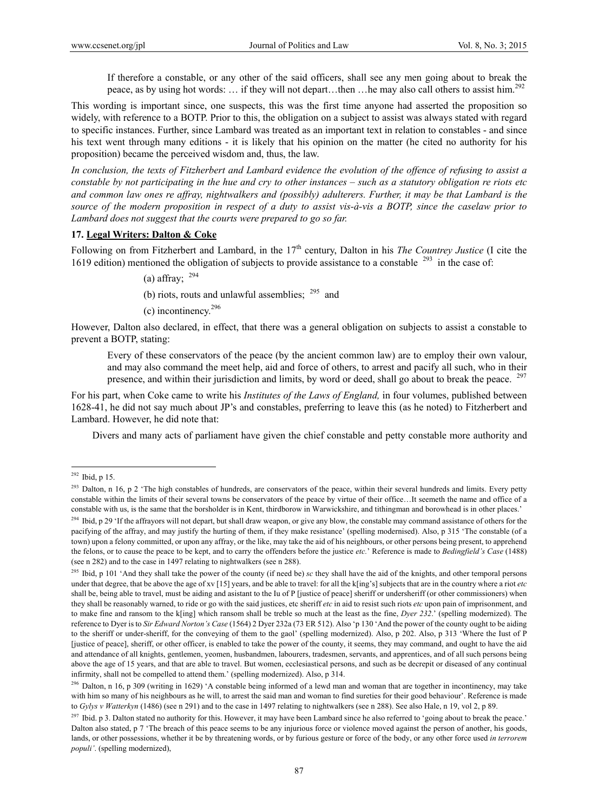If therefore a constable, or any other of the said officers, shall see any men going about to break the peace, as by using hot words: ... if they will not depart...then …he may also call others to assist him.<sup>292</sup>

This wording is important since, one suspects, this was the first time anyone had asserted the proposition so widely, with reference to a BOTP. Prior to this, the obligation on a subject to assist was always stated with regard to specific instances. Further, since Lambard was treated as an important text in relation to constables - and since his text went through many editions - it is likely that his opinion on the matter (he cited no authority for his proposition) became the perceived wisdom and, thus, the law.

*In conclusion, the texts of Fitzherbert and Lambard evidence the evolution of the offence of refusing to assist a constable by not participating in the hue and cry to other instances – such as a statutory obligation re riots etc and common law ones re affray, nightwalkers and (possibly) adulterers. Further, it may be that Lambard is the source of the modern proposition in respect of a duty to assist vis-à-vis a BOTP, since the caselaw prior to Lambard does not suggest that the courts were prepared to go so far.*

#### **17. Legal Writers: Dalton & Coke**

Following on from Fitzherbert and Lambard, in the 17<sup>th</sup> century, Dalton in his *The Countrey Justice* (I cite the 1619 edition) mentioned the obligation of subjects to provide assistance to a constable <sup>293</sup> in the case of:

(a) affray;  $^{294}$ 

(b) riots, routs and unlawful assemblies;  $^{295}$  and

(c) incontinency.296

However, Dalton also declared, in effect, that there was a general obligation on subjects to assist a constable to prevent a BOTP, stating:

Every of these conservators of the peace (by the ancient common law) are to employ their own valour, and may also command the meet help, aid and force of others, to arrest and pacify all such, who in their presence, and within their jurisdiction and limits, by word or deed, shall go about to break the peace. <sup>297</sup>

For his part, when Coke came to write his *Institutes of the Laws of England,* in four volumes, published between 1628-41, he did not say much about JP's and constables, preferring to leave this (as he noted) to Fitzherbert and Lambard. However, he did note that:

Divers and many acts of parliament have given the chief constable and petty constable more authority and

 $292$  Ibid, p 15.

<sup>&</sup>lt;sup>293</sup> Dalton, n 16, p 2 'The high constables of hundreds, are conservators of the peace, within their several hundreds and limits. Every petty constable within the limits of their several towns be conservators of the peace by virtue of their office…It seemeth the name and office of a constable with us, is the same that the borsholder is in Kent, thirdborow in Warwickshire, and tithingman and borowhead is in other places.'

<sup>&</sup>lt;sup>294</sup> Ibid, p 29 'If the affrayors will not depart, but shall draw weapon, or give any blow, the constable may command assistance of others for the pacifying of the affray, and may justify the hurting of them, if they make resistance' (spelling modernised). Also, p 315 'The constable (of a town) upon a felony committed, or upon any affray, or the like, may take the aid of his neighbours, or other persons being present, to apprehend the felons, or to cause the peace to be kept, and to carry the offenders before the justice *etc.*' Reference is made to *Bedingfield's Case* (1488) (see n 282) and to the case in 1497 relating to nightwalkers (see n 288).

<sup>&</sup>lt;sup>295</sup> Ibid, p 101 'And they shall take the power of the county (if need be) *sc* they shall have the aid of the knights, and other temporal persons under that degree, that be above the age of xv [15] years, and be able to travel: for all the k[ing's] subjects that are in the country where a riot *etc* shall be, being able to travel, must be aiding and asistant to the Iu of P [justice of peace] sheriff or undersheriff (or other commissioners) when they shall be reasonably warned, to ride or go with the said justices, etc sheriff *etc* in aid to resist such riots *etc* upon pain of imprisonment, and to make fine and ransom to the k[ing] which ransom shall be treble so much at the least as the fine, *Dyer 232*.' (spelling modernized). The reference to Dyer is to *Sir Edward Norton's Case* (1564) 2 Dyer 232a (73 ER 512). Also 'p 130 'And the power of the county ought to be aiding to the sheriff or under-sheriff, for the conveying of them to the gaol' (spelling modernized). Also, p 202. Also, p 313 'Where the Iust of P [justice of peace], sheriff, or other officer, is enabled to take the power of the county, it seems, they may command, and ought to have the aid and attendance of all knights, gentlemen, yeomen, husbandmen, labourers, tradesmen, servants, and apprentices, and of all such persons being above the age of 15 years, and that are able to travel. But women, ecclesiastical persons, and such as be decrepit or diseased of any continual infirmity, shall not be compelled to attend them.' (spelling modernized). Also, p 314.

 $296$  Dalton, n 16, p 309 (writing in 1629) 'A constable being informed of a lewd man and woman that are together in incontinency, may take with him so many of his neighbours as he will, to arrest the said man and woman to find sureties for their good behaviour'. Reference is made to *Gylys v Watterkyn* (1486) (see n 291) and to the case in 1497 relating to nightwalkers (see n 288). See also Hale, n 19, vol 2, p 89.

 $297$  Ibid. p 3. Dalton stated no authority for this. However, it may have been Lambard since he also referred to 'going about to break the peace.' Dalton also stated, p 7 'The breach of this peace seems to be any injurious force or violence moved against the person of another, his goods, lands, or other possessions, whether it be by threatening words, or by furious gesture or force of the body, or any other force used *in terrorem populi'*. (spelling modernized),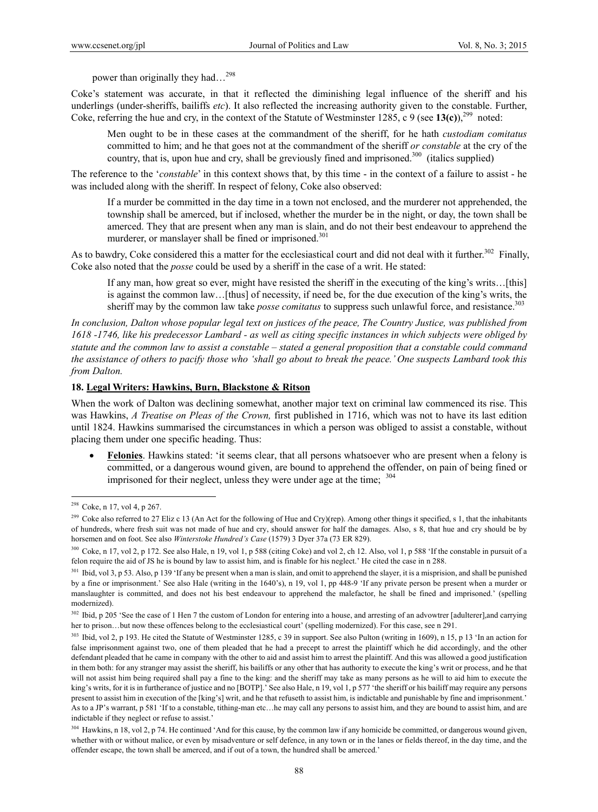power than originally they had…298

Coke's statement was accurate, in that it reflected the diminishing legal influence of the sheriff and his underlings (under-sheriffs, bailiffs *etc*). It also reflected the increasing authority given to the constable. Further, Coke, referring the hue and cry, in the context of the Statute of Westminster 1285, c 9 (see  $13(c)$ ),<sup>299</sup> noted:

Men ought to be in these cases at the commandment of the sheriff, for he hath *custodiam comitatus* committed to him; and he that goes not at the commandment of the sheriff *or constable* at the cry of the country, that is, upon hue and cry, shall be greviously fined and imprisoned.<sup>300</sup> (italics supplied)

The reference to the '*constable*' in this context shows that, by this time - in the context of a failure to assist - he was included along with the sheriff. In respect of felony, Coke also observed:

If a murder be committed in the day time in a town not enclosed, and the murderer not apprehended, the township shall be amerced, but if inclosed, whether the murder be in the night, or day, the town shall be amerced. They that are present when any man is slain, and do not their best endeavour to apprehend the murderer, or manslayer shall be fined or imprisoned.<sup>301</sup>

As to bawdry, Coke considered this a matter for the ecclesiastical court and did not deal with it further.<sup>302</sup> Finally. Coke also noted that the *posse* could be used by a sheriff in the case of a writ. He stated:

If any man, how great so ever, might have resisted the sheriff in the executing of the king's writs…[this] is against the common law…[thus] of necessity, if need be, for the due execution of the king's writs, the sheriff may by the common law take *posse comitatus* to suppress such unlawful force, and resistance.<sup>303</sup>

*In conclusion, Dalton whose popular legal text on justices of the peace, The Country Justice, was published from 1618 -1746, like his predecessor Lambard - as well as citing specific instances in which subjects were obliged by statute and the common law to assist a constable – stated a general proposition that a constable could command the assistance of others to pacify those who 'shall go about to break the peace.' One suspects Lambard took this from Dalton.* 

#### **18. Legal Writers: Hawkins, Burn, Blackstone & Ritson**

When the work of Dalton was declining somewhat, another major text on criminal law commenced its rise. This was Hawkins, *A Treatise on Pleas of the Crown,* first published in 1716, which was not to have its last edition until 1824. Hawkins summarised the circumstances in which a person was obliged to assist a constable, without placing them under one specific heading. Thus:

 **Felonies**. Hawkins stated: 'it seems clear, that all persons whatsoever who are present when a felony is committed, or a dangerous wound given, are bound to apprehend the offender, on pain of being fined or imprisoned for their neglect, unless they were under age at the time;  $304$ 

 $298$  Coke, n 17, vol 4, p 267.

<sup>&</sup>lt;sup>299</sup> Coke also referred to 27 Eliz c 13 (An Act for the following of Hue and Cry)(rep). Among other things it specified, s 1, that the inhabitants of hundreds, where fresh suit was not made of hue and cry, should answer for half the damages. Also, s 8, that hue and cry should be by horsemen and on foot. See also *Winterstoke Hundred's Case* (1579) 3 Dyer 37a (73 ER 829).

<sup>&</sup>lt;sup>300</sup> Coke, n 17, vol 2, p 172. See also Hale, n 19, vol 1, p 588 (citing Coke) and vol 2, ch 12. Also, vol 1, p 588 'If the constable in pursuit of a felon require the aid of JS he is bound by law to assist him, and is finable for his neglect.' He cited the case in n 288.

<sup>&</sup>lt;sup>301</sup> Ibid, vol 3, p 53. Also, p 139 'If any be present when a man is slain, and omit to apprehend the slayer, it is a misprision, and shall be punished by a fine or imprisonment.' See also Hale (writing in the 1640's), n 19, vol 1, pp 448-9 'If any private person be present when a murder or manslaughter is committed, and does not his best endeavour to apprehend the malefactor, he shall be fined and imprisoned.' (spelling modernized).

<sup>&</sup>lt;sup>302</sup> Ibid, p 205 'See the case of 1 Hen 7 the custom of London for entering into a house, and arresting of an advowtrer [adulterer],and carrying her to prison…but now these offences belong to the ecclesiastical court' (spelling modernized). For this case, see n 291.

<sup>&</sup>lt;sup>303</sup> Ibid, vol 2, p 193. He cited the Statute of Westminster 1285, c 39 in support. See also Pulton (writing in 1609), n 15, p 13 'In an action for false imprisonment against two, one of them pleaded that he had a precept to arrest the plaintiff which he did accordingly, and the other defendant pleaded that he came in company with the other to aid and assist him to arrest the plaintiff. And this was allowed a good justification in them both: for any stranger may assist the sheriff, his bailiffs or any other that has authority to execute the king's writ or process, and he that will not assist him being required shall pay a fine to the king: and the sheriff may take as many persons as he will to aid him to execute the king's writs, for it is in furtherance of justice and no [BOTP].' See also Hale, n 19, vol 1, p 577 'the sheriff or his bailiff may require any persons present to assist him in execution of the [king's] writ, and he that refuseth to assist him, is indictable and punishable by fine and imprisonment.' As to a JP's warrant, p 581 'If to a constable, tithing-man etc…he may call any persons to assist him, and they are bound to assist him, and are indictable if they neglect or refuse to assist.'

<sup>&</sup>lt;sup>304</sup> Hawkins, n 18, vol 2, p 74. He continued 'And for this cause, by the common law if any homicide be committed, or dangerous wound given, whether with or without malice, or even by misadventure or self defence, in any town or in the lanes or fields thereof, in the day time, and the offender escape, the town shall be amerced, and if out of a town, the hundred shall be amerced.'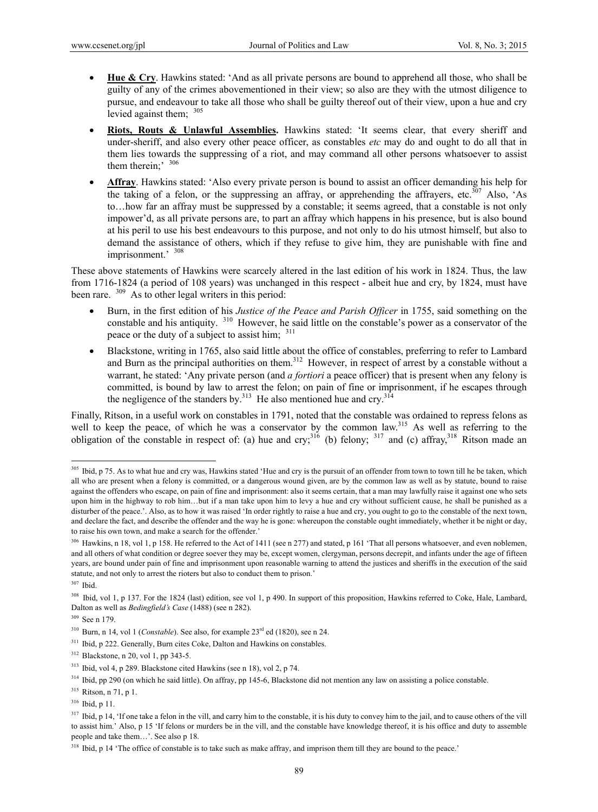- **Hue & Cry**. Hawkins stated: 'And as all private persons are bound to apprehend all those, who shall be guilty of any of the crimes abovementioned in their view; so also are they with the utmost diligence to pursue, and endeavour to take all those who shall be guilty thereof out of their view, upon a hue and cry levied against them;  $305$
- Riots, Routs & Unlawful Assemblies. Hawkins stated: 'It seems clear, that every sheriff and under-sheriff, and also every other peace officer, as constables *etc* may do and ought to do all that in them lies towards the suppressing of a riot, and may command all other persons whatsoever to assist them therein;<sup>'</sup> <sup>306</sup>
- **Affray**. Hawkins stated: 'Also every private person is bound to assist an officer demanding his help for the taking of a felon, or the suppressing an affray, or apprehending the affrayers, etc.<sup>307</sup> Also, 'As to…how far an affray must be suppressed by a constable; it seems agreed, that a constable is not only impower'd, as all private persons are, to part an affray which happens in his presence, but is also bound at his peril to use his best endeavours to this purpose, and not only to do his utmost himself, but also to demand the assistance of others, which if they refuse to give him, they are punishable with fine and imprisonment.' <sup>308</sup>

These above statements of Hawkins were scarcely altered in the last edition of his work in 1824. Thus, the law from 1716-1824 (a period of 108 years) was unchanged in this respect - albeit hue and cry, by 1824, must have been rare. <sup>309</sup> As to other legal writers in this period:

- Burn, in the first edition of his *Justice of the Peace and Parish Officer* in 1755, said something on the constable and his antiquity. 310 However, he said little on the constable's power as a conservator of the peace or the duty of a subject to assist him;  $311$
- Blackstone, writing in 1765, also said little about the office of constables, preferring to refer to Lambard and Burn as the principal authorities on them.<sup>312</sup> However, in respect of arrest by a constable without a warrant, he stated: 'Any private person (and *a fortiori* a peace officer) that is present when any felony is committed, is bound by law to arrest the felon; on pain of fine or imprisonment, if he escapes through the negligence of the standers by.<sup>313</sup> He also mentioned hue and cry.<sup>314</sup>

Finally, Ritson, in a useful work on constables in 1791, noted that the constable was ordained to repress felons as well to keep the peace, of which he was a conservator by the common law.<sup>315</sup> As well as referring to the obligation of the constable in respect of: (a) hue and cry;<sup>316</sup> (b) felony; <sup>317</sup> and (c) affray,<sup>318</sup> Ritson made an

<sup>&</sup>lt;sup>305</sup> Ibid, p 75. As to what hue and cry was, Hawkins stated 'Hue and cry is the pursuit of an offender from town to town till he be taken, which all who are present when a felony is committed, or a dangerous wound given, are by the common law as well as by statute, bound to raise against the offenders who escape, on pain of fine and imprisonment: also it seems certain, that a man may lawfully raise it against one who sets upon him in the highway to rob him...but if a man take upon him to levy a hue and cry without sufficient cause, he shall be punished as a disturber of the peace.'. Also, as to how it was raised 'In order rightly to raise a hue and cry, you ought to go to the constable of the next town, and declare the fact, and describe the offender and the way he is gone: whereupon the constable ought immediately, whether it be night or day, to raise his own town, and make a search for the offender.'

<sup>306</sup> Hawkins, n 18, vol 1, p 158. He referred to the Act of 1411 (see n 277) and stated, p 161 'That all persons whatsoever, and even noblemen, and all others of what condition or degree soever they may be, except women, clergyman, persons decrepit, and infants under the age of fifteen years, are bound under pain of fine and imprisonment upon reasonable warning to attend the justices and sheriffs in the execution of the said statute, and not only to arrest the rioters but also to conduct them to prison.'

<sup>307</sup> Ibid.

<sup>&</sup>lt;sup>308</sup> Ibid, vol 1, p 137. For the 1824 (last) edition, see vol 1, p 490. In support of this proposition, Hawkins referred to Coke, Hale, Lambard, Dalton as well as *Bedingfield's Case* (1488) (see n 282).

<sup>309</sup> See n 179.

<sup>&</sup>lt;sup>310</sup> Burn, n 14, vol 1 (*Constable*). See also, for example 23<sup>rd</sup> ed (1820), see n 24.

<sup>&</sup>lt;sup>311</sup> Ibid, p 222. Generally, Burn cites Coke, Dalton and Hawkins on constables.

<sup>312</sup> Blackstone, n 20, vol 1, pp 343-5.

<sup>313</sup> Ibid, vol 4, p 289. Blackstone cited Hawkins (see n 18), vol 2, p 74.

<sup>&</sup>lt;sup>314</sup> Ibid, pp 290 (on which he said little). On affray, pp 145-6, Blackstone did not mention any law on assisting a police constable.

<sup>315</sup> Ritson, n 71, p 1.

<sup>316</sup> Ibid, p 11.

<sup>&</sup>lt;sup>317</sup> Ibid, p 14, 'If one take a felon in the vill, and carry him to the constable, it is his duty to convey him to the jail, and to cause others of the vill to assist him.' Also, p 15 'If felons or murders be in the vill, and the constable have knowledge thereof, it is his office and duty to assemble people and take them…'. See also p 18.

 $318$  Ibid, p 14 'The office of constable is to take such as make affray, and imprison them till they are bound to the peace.'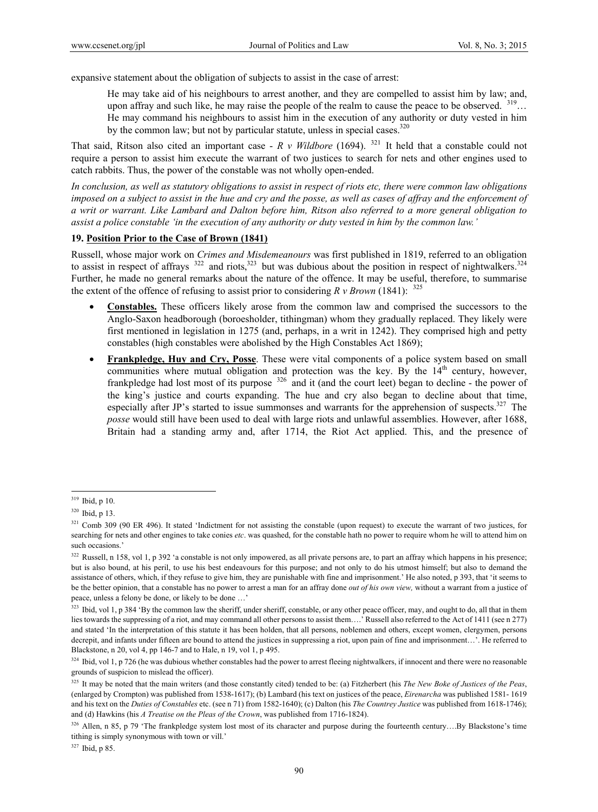expansive statement about the obligation of subjects to assist in the case of arrest:

He may take aid of his neighbours to arrest another, and they are compelled to assist him by law; and, upon affray and such like, he may raise the people of the realm to cause the peace to be observed.  $319...$ He may command his neighbours to assist him in the execution of any authority or duty vested in him by the common law; but not by particular statute, unless in special cases.<sup>320</sup>

That said, Ritson also cited an important case - *R v Wildbore* (1694). 321 It held that a constable could not require a person to assist him execute the warrant of two justices to search for nets and other engines used to catch rabbits. Thus, the power of the constable was not wholly open-ended.

*In conclusion, as well as statutory obligations to assist in respect of riots etc, there were common law obligations imposed on a subject to assist in the hue and cry and the posse, as well as cases of affray and the enforcement of a writ or warrant. Like Lambard and Dalton before him, Ritson also referred to a more general obligation to assist a police constable 'in the execution of any authority or duty vested in him by the common law.'* 

### **19. Position Prior to the Case of Brown (1841)**

Russell, whose major work on *Crimes and Misdemeanours* was first published in 1819, referred to an obligation to assist in respect of affrays  $322$  and riots,  $323$  but was dubious about the position in respect of nightwalkers.  $324$ Further, he made no general remarks about the nature of the offence. It may be useful, therefore, to summarise the extent of the offence of refusing to assist prior to considering  $R v Brown$  (1841): <sup>325</sup>

- **Constables.** These officers likely arose from the common law and comprised the successors to the Anglo-Saxon headborough (boroesholder, tithingman) whom they gradually replaced. They likely were first mentioned in legislation in 1275 (and, perhaps, in a writ in 1242). They comprised high and petty constables (high constables were abolished by the High Constables Act 1869);
- **Frankpledge, Huy and Cry, Posse**. These were vital components of a police system based on small communities where mutual obligation and protection was the key. By the  $14<sup>th</sup>$  century, however, frankpledge had lost most of its purpose  $326$  and it (and the court leet) began to decline - the power of the king's justice and courts expanding. The hue and cry also began to decline about that time, especially after JP's started to issue summonses and warrants for the apprehension of suspects.<sup>327</sup> The *posse* would still have been used to deal with large riots and unlawful assemblies. However, after 1688, Britain had a standing army and, after 1714, the Riot Act applied. This, and the presence of

 $\overline{a}$ 

327 Ibid, p 85.

 $319$  Ibid, p 10.

<sup>320</sup> Ibid, p 13.

<sup>&</sup>lt;sup>321</sup> Comb 309 (90 ER 496). It stated 'Indictment for not assisting the constable (upon request) to execute the warrant of two justices, for searching for nets and other engines to take conies *etc*. was quashed, for the constable hath no power to require whom he will to attend him on such occasions.'

<sup>&</sup>lt;sup>322</sup> Russell, n 158, vol 1, p 392 'a constable is not only impowered, as all private persons are, to part an affray which happens in his presence; but is also bound, at his peril, to use his best endeavours for this purpose; and not only to do his utmost himself; but also to demand the assistance of others, which, if they refuse to give him, they are punishable with fine and imprisonment.' He also noted, p 393, that 'it seems to be the better opinion, that a constable has no power to arrest a man for an affray done *out of his own view,* without a warrant from a justice of peace, unless a felony be done, or likely to be done …'

<sup>&</sup>lt;sup>323</sup> Ibid, vol 1, p 384 'By the common law the sheriff, under sheriff, constable, or any other peace officer, may, and ought to do, all that in them lies towards the suppressing of a riot, and may command all other persons to assist them….' Russell also referred to the Act of 1411 (see n 277) and stated 'In the interpretation of this statute it has been holden, that all persons, noblemen and others, except women, clergymen, persons decrepit, and infants under fifteen are bound to attend the justices in suppressing a riot, upon pain of fine and imprisonment…'. He referred to Blackstone, n 20, vol 4, pp 146-7 and to Hale, n 19, vol 1, p 495.

 $324$  Ibid, vol 1, p 726 (he was dubious whether constables had the power to arrest fleeing nightwalkers, if innocent and there were no reasonable grounds of suspicion to mislead the officer).

<sup>&</sup>lt;sup>325</sup> It may be noted that the main writers (and those constantly cited) tended to be: (a) Fitzherbert (his *The New Boke of Justices of the Peas*, (enlarged by Crompton) was published from 1538-1617); (b) Lambard (his text on justices of the peace, *Eirenarcha* was published 1581- 1619 and his text on the *Duties of Constables* etc. (see n 71) from 1582-1640); (c) Dalton (his *The Countrey Justice* was published from 1618-1746); and (d) Hawkins (his *A Treatise on the Pleas of the Crown*, was published from 1716-1824).

<sup>326</sup> Allen, n 85, p 79 'The frankpledge system lost most of its character and purpose during the fourteenth century...By Blackstone's time tithing is simply synonymous with town or vill.'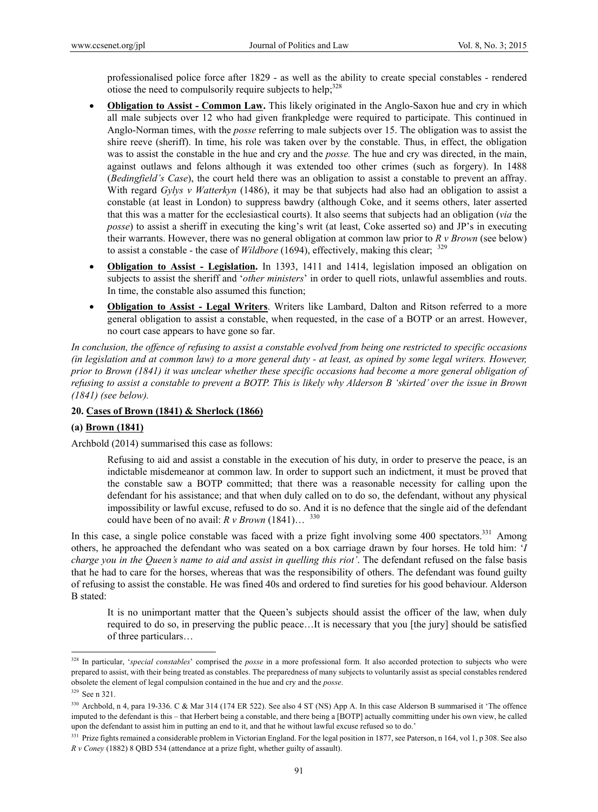professionalised police force after 1829 - as well as the ability to create special constables - rendered otiose the need to compulsorily require subjects to help; $328$ 

- **Obligation to Assist Common Law.** This likely originated in the Anglo-Saxon hue and cry in which all male subjects over 12 who had given frankpledge were required to participate. This continued in Anglo-Norman times, with the *posse* referring to male subjects over 15. The obligation was to assist the shire reeve (sheriff). In time, his role was taken over by the constable. Thus, in effect, the obligation was to assist the constable in the hue and cry and the *posse.* The hue and cry was directed, in the main, against outlaws and felons although it was extended too other crimes (such as forgery). In 1488 (*Bedingfield's Case*), the court held there was an obligation to assist a constable to prevent an affray. With regard *Gylys v Watterkyn* (1486), it may be that subjects had also had an obligation to assist a constable (at least in London) to suppress bawdry (although Coke, and it seems others, later asserted that this was a matter for the ecclesiastical courts). It also seems that subjects had an obligation (*via* the *posse*) to assist a sheriff in executing the king's writ (at least, Coke asserted so) and JP's in executing their warrants. However, there was no general obligation at common law prior to *R v Brown* (see below) to assist a constable - the case of *Wildbore* (1694), effectively, making this clear; <sup>329</sup>
- **Obligation to Assist Legislation.** In 1393, 1411 and 1414, legislation imposed an obligation on subjects to assist the sheriff and '*other ministers*' in order to quell riots, unlawful assemblies and routs. In time, the constable also assumed this function;
- **Obligation to Assist Legal Writers**. Writers like Lambard, Dalton and Ritson referred to a more general obligation to assist a constable, when requested, in the case of a BOTP or an arrest. However, no court case appears to have gone so far.

*In conclusion, the offence of refusing to assist a constable evolved from being one restricted to specific occasions (in legislation and at common law) to a more general duty - at least, as opined by some legal writers. However, prior to Brown (1841) it was unclear whether these specific occasions had become a more general obligation of refusing to assist a constable to prevent a BOTP. This is likely why Alderson B 'skirted' over the issue in Brown (1841) (see below).* 

#### **20. Cases of Brown (1841) & Sherlock (1866)**

#### **(a) Brown (1841)**

Archbold (2014) summarised this case as follows:

Refusing to aid and assist a constable in the execution of his duty, in order to preserve the peace, is an indictable misdemeanor at common law. In order to support such an indictment, it must be proved that the constable saw a BOTP committed; that there was a reasonable necessity for calling upon the defendant for his assistance; and that when duly called on to do so, the defendant, without any physical impossibility or lawful excuse, refused to do so. And it is no defence that the single aid of the defendant could have been of no avail:  $R \nu Brown (1841) \dots^{330}$ 

In this case, a single police constable was faced with a prize fight involving some 400 spectators.<sup>331</sup> Among others, he approached the defendant who was seated on a box carriage drawn by four horses. He told him: '*I charge you in the Queen's name to aid and assist in quelling this riot'*. The defendant refused on the false basis that he had to care for the horses, whereas that was the responsibility of others. The defendant was found guilty of refusing to assist the constable. He was fined 40s and ordered to find sureties for his good behaviour. Alderson B stated:

It is no unimportant matter that the Queen's subjects should assist the officer of the law, when duly required to do so, in preserving the public peace…It is necessary that you [the jury] should be satisfied of three particulars…

<sup>&</sup>lt;sup>328</sup> In particular, 'special constables' comprised the posse in a more professional form. It also accorded protection to subjects who were prepared to assist, with their being treated as constables. The preparedness of many subjects to voluntarily assist as special constables rendered obsolete the element of legal compulsion contained in the hue and cry and the *posse*.

<sup>329</sup> See n 321.

<sup>330</sup> Archbold, n 4, para 19-336. C & Mar 314 (174 ER 522). See also 4 ST (NS) App A. In this case Alderson B summarised it 'The offence imputed to the defendant is this – that Herbert being a constable, and there being a [BOTP] actually committing under his own view, he called upon the defendant to assist him in putting an end to it, and that he without lawful excuse refused so to do.'

<sup>&</sup>lt;sup>331</sup> Prize fights remained a considerable problem in Victorian England. For the legal position in 1877, see Paterson, n 164, vol 1, p 308. See also *R v Coney* (1882) 8 QBD 534 (attendance at a prize fight, whether guilty of assault).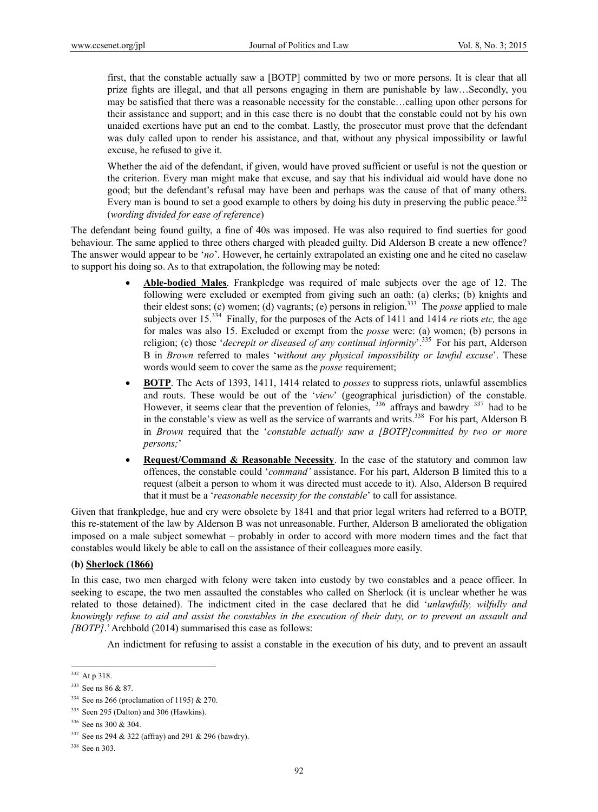first, that the constable actually saw a [BOTP] committed by two or more persons. It is clear that all prize fights are illegal, and that all persons engaging in them are punishable by law…Secondly, you may be satisfied that there was a reasonable necessity for the constable…calling upon other persons for their assistance and support; and in this case there is no doubt that the constable could not by his own unaided exertions have put an end to the combat. Lastly, the prosecutor must prove that the defendant was duly called upon to render his assistance, and that, without any physical impossibility or lawful excuse, he refused to give it.

Whether the aid of the defendant, if given, would have proved sufficient or useful is not the question or the criterion. Every man might make that excuse, and say that his individual aid would have done no good; but the defendant's refusal may have been and perhaps was the cause of that of many others. Every man is bound to set a good example to others by doing his duty in preserving the public peace.<sup>332</sup> (*wording divided for ease of reference*)

The defendant being found guilty, a fine of 40s was imposed. He was also required to find suerties for good behaviour. The same applied to three others charged with pleaded guilty. Did Alderson B create a new offence? The answer would appear to be '*no*'. However, he certainly extrapolated an existing one and he cited no caselaw to support his doing so. As to that extrapolation, the following may be noted:

- **Able-bodied Males**. Frankpledge was required of male subjects over the age of 12. The following were excluded or exempted from giving such an oath: (a) clerks; (b) knights and their eldest sons; (c) women; (d) vagrants; (e) persons in religion.333 The *posse* applied to male subjects over 15.334 Finally, for the purposes of the Acts of 1411 and 1414 *re* riots *etc,* the age for males was also 15. Excluded or exempt from the *posse* were: (a) women; (b) persons in religion; (c) those '*decrepit or diseased of any continual informity*'.335 For his part, Alderson B in *Brown* referred to males '*without any physical impossibility or lawful excuse*'. These words would seem to cover the same as the *posse* requirement;
- **BOTP**. The Acts of 1393, 1411, 1414 related to *posses* to suppress riots, unlawful assemblies and routs. These would be out of the '*view*' (geographical jurisdiction) of the constable. However, it seems clear that the prevention of felonies,  $336$  affrays and bawdry  $337$  had to be in the constable's view as well as the service of warrants and writs.<sup>338</sup> For his part, Alderson B in *Brown* required that the '*constable actually saw a [BOTP]committed by two or more persons;*'
- **Request/Command & Reasonable Necessity**. In the case of the statutory and common law offences, the constable could '*command'* assistance. For his part, Alderson B limited this to a request (albeit a person to whom it was directed must accede to it). Also, Alderson B required that it must be a '*reasonable necessity for the constable*' to call for assistance.

Given that frankpledge, hue and cry were obsolete by 1841 and that prior legal writers had referred to a BOTP, this re-statement of the law by Alderson B was not unreasonable. Further, Alderson B ameliorated the obligation imposed on a male subject somewhat – probably in order to accord with more modern times and the fact that constables would likely be able to call on the assistance of their colleagues more easily.

### (**b) Sherlock (1866)**

In this case, two men charged with felony were taken into custody by two constables and a peace officer. In seeking to escape, the two men assaulted the constables who called on Sherlock (it is unclear whether he was related to those detained). The indictment cited in the case declared that he did '*unlawfully, wilfully and knowingly refuse to aid and assist the constables in the execution of their duty, or to prevent an assault and [BOTP]*.' Archbold (2014) summarised this case as follows:

An indictment for refusing to assist a constable in the execution of his duty, and to prevent an assault

<sup>332</sup> At p 318.

<sup>333</sup> See ns 86 & 87.

<sup>&</sup>lt;sup>334</sup> See ns 266 (proclamation of 1195) & 270.

 $335$  Seen 295 (Dalton) and 306 (Hawkins).

<sup>336</sup> See ns 300 & 304.

<sup>&</sup>lt;sup>337</sup> See ns 294 & 322 (affray) and 291 & 296 (bawdry).

<sup>338</sup> See n 303.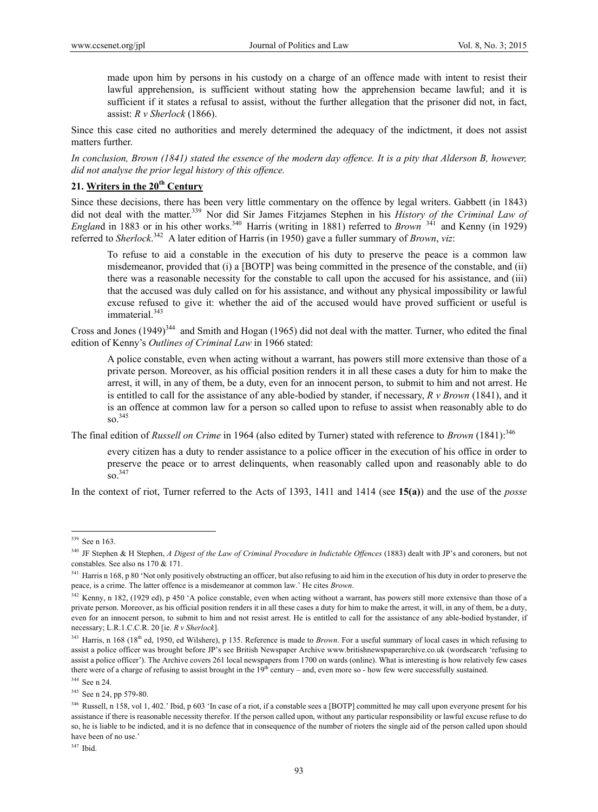made upon him by persons in his custody on a charge of an offence made with intent to resist their lawful apprehension, is sufficient without stating how the apprehension became lawful; and it is sufficient if it states a refusal to assist, without the further allegation that the prisoner did not, in fact, assist: *R v Sherlock* (1866).

Since this case cited no authorities and merely determined the adequacy of the indictment, it does not assist matters further.

*In conclusion, Brown (1841) stated the essence of the modern day offence. It is a pity that Alderson B, however, did not analyse the prior legal history of this offence.* 

# **21. Writers in the 20th Century**

Since these decisions, there has been very little commentary on the offence by legal writers. Gabbett (in 1843) did not deal with the matter.<sup>339</sup> Nor did Sir James Fitzjames Stephen in his *History of the Criminal Law of England* in 1883 or in his other works.<sup>340</sup> Harris (writing in 1881) referred to *Brown* <sup>341</sup> and Kenny (in 1929) referred to *Sherlock*. 342 A later edition of Harris (in 1950) gave a fuller summary of *Brown*, *viz*:

To refuse to aid a constable in the execution of his duty to preserve the peace is a common law misdemeanor, provided that (i) a [BOTP] was being committed in the presence of the constable, and (ii) there was a reasonable necessity for the constable to call upon the accused for his assistance, and (iii) that the accused was duly called on for his assistance, and without any physical impossibility or lawful excuse refused to give it: whether the aid of the accused would have proved sufficient or useful is immaterial.<sup>343</sup>

Cross and Jones  $(1949)^{344}$  and Smith and Hogan (1965) did not deal with the matter. Turner, who edited the final edition of Kenny's *Outlines of Criminal Law* in 1966 stated:

A police constable, even when acting without a warrant, has powers still more extensive than those of a private person. Moreover, as his official position renders it in all these cases a duty for him to make the arrest, it will, in any of them, be a duty, even for an innocent person, to submit to him and not arrest. He is entitled to call for the assistance of any able-bodied by stander, if necessary, *R v Brown* (1841), and it is an offence at common law for a person so called upon to refuse to assist when reasonably able to do so.345

The final edition of *Russell on Crime* in 1964 (also edited by Turner) stated with reference to *Brown* (1841):<sup>346</sup>

every citizen has a duty to render assistance to a police officer in the execution of his office in order to preserve the peace or to arrest delinquents, when reasonably called upon and reasonably able to do so.347

In the context of riot, Turner referred to the Acts of 1393, 1411 and 1414 (see **15(a)**) and the use of the *posse*

 $\overline{a}$ 

347 Ibid.

<sup>339</sup> See n 163.

<sup>340</sup> JF Stephen & H Stephen, *A Digest of the Law of Criminal Procedure in Indictable Offences* (1883) dealt with JP's and coroners, but not constables. See also ns 170 & 171.

<sup>&</sup>lt;sup>341</sup> Harris n 168, p 80 'Not only positively obstructing an officer, but also refusing to aid him in the execution of his duty in order to preserve the peace, is a crime. The latter offence is a misdemeanor at common law.' He cites *Brown*.

<sup>&</sup>lt;sup>342</sup> Kenny, n 182, (1929 ed), p 450 'A police constable, even when acting without a warrant, has powers still more extensive than those of a private person. Moreover, as his official position renders it in all these cases a duty for him to make the arrest, it will, in any of them, be a duty, even for an innocent person, to submit to him and not resist arrest. He is entitled to call for the assistance of any able-bodied bystander, if necessary; L.R.1.C.C.R. 20 [ie. *R v Sherlock*].

<sup>&</sup>lt;sup>343</sup> Harris, n 168 (18<sup>th</sup> ed, 1950, ed Wilshere), p 135. Reference is made to *Brown*. For a useful summary of local cases in which refusing to assist a police officer was brought before JP's see British Newspaper Archive www.britishnewspaperarchive.co.uk (wordsearch 'refusing to assist a police officer'). The Archive covers 261 local newspapers from 1700 on wards (online). What is interesting is how relatively few cases there were of a charge of refusing to assist brought in the  $19<sup>th</sup>$  century – and, even more so - how few were successfully sustained.

<sup>344</sup> See n 24.

<sup>&</sup>lt;sup>345</sup> See n 24, pp 579-80.

<sup>346</sup> Russell, n 158, vol 1, 402.' Ibid, p 603 'In case of a riot, if a constable sees a [BOTP] committed he may call upon everyone present for his assistance if there is reasonable necessity therefor. If the person called upon, without any particular responsibility or lawful excuse refuse to do so, he is liable to be indicted, and it is no defence that in consequence of the number of rioters the single aid of the person called upon should have been of no use.'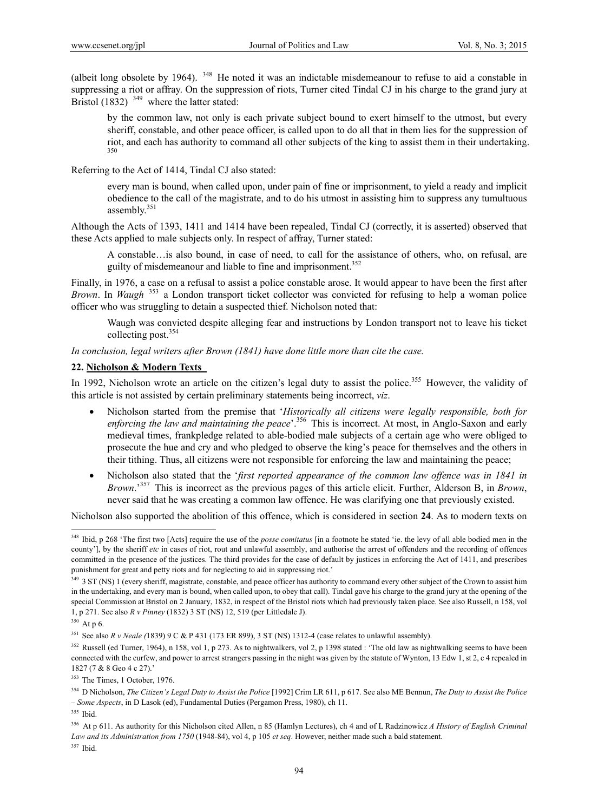(albeit long obsolete by 1964). 348 He noted it was an indictable misdemeanour to refuse to aid a constable in suppressing a riot or affray. On the suppression of riots, Turner cited Tindal CJ in his charge to the grand jury at Bristol (1832)  $349$  where the latter stated:

by the common law, not only is each private subject bound to exert himself to the utmost, but every sheriff, constable, and other peace officer, is called upon to do all that in them lies for the suppression of riot, and each has authority to command all other subjects of the king to assist them in their undertaking.

Referring to the Act of 1414, Tindal CJ also stated:

every man is bound, when called upon, under pain of fine or imprisonment, to yield a ready and implicit obedience to the call of the magistrate, and to do his utmost in assisting him to suppress any tumultuous assembly.<sup>351</sup>

Although the Acts of 1393, 1411 and 1414 have been repealed, Tindal CJ (correctly, it is asserted) observed that these Acts applied to male subjects only. In respect of affray, Turner stated:

A constable…is also bound, in case of need, to call for the assistance of others, who, on refusal, are guilty of misdemeanour and liable to fine and imprisonment.<sup>352</sup>

Finally, in 1976, a case on a refusal to assist a police constable arose. It would appear to have been the first after *Brown*. In *Waugh* <sup>353</sup> a London transport ticket collector was convicted for refusing to help a woman police officer who was struggling to detain a suspected thief. Nicholson noted that:

Waugh was convicted despite alleging fear and instructions by London transport not to leave his ticket collecting post.354

*In conclusion, legal writers after Brown (1841) have done little more than cite the case.* 

#### **22. Nicholson & Modern Texts**

In 1992, Nicholson wrote an article on the citizen's legal duty to assist the police.<sup>355</sup> However, the validity of this article is not assisted by certain preliminary statements being incorrect, *viz*.

- Nicholson started from the premise that '*Historically all citizens were legally responsible, both for*  enforcing the law and maintaining the peace<sup>'</sup>.<sup>356</sup> This is incorrect. At most, in Anglo-Saxon and early medieval times, frankpledge related to able-bodied male subjects of a certain age who were obliged to prosecute the hue and cry and who pledged to observe the king's peace for themselves and the others in their tithing. Thus, all citizens were not responsible for enforcing the law and maintaining the peace;
- Nicholson also stated that the '*first reported appearance of the common law offence was in 1841 in Brown*.'357 This is incorrect as the previous pages of this article elicit. Further, Alderson B, in *Brown*, never said that he was creating a common law offence. He was clarifying one that previously existed.

Nicholson also supported the abolition of this offence, which is considered in section **24**. As to modern texts on

<sup>&</sup>lt;sup>348</sup> Ibid, p 268 'The first two [Acts] require the use of the *posse comitatus* [in a footnote he stated 'ie. the levy of all able bodied men in the county'], by the sheriff *etc* in cases of riot, rout and unlawful assembly, and authorise the arrest of offenders and the recording of offences committed in the presence of the justices. The third provides for the case of default by justices in enforcing the Act of 1411, and prescribes punishment for great and petty riots and for neglecting to aid in suppressing riot.'

<sup>&</sup>lt;sup>349</sup> 3 ST (NS) 1 (every sheriff, magistrate, constable, and peace officer has authority to command every other subject of the Crown to assist him in the undertaking, and every man is bound, when called upon, to obey that call). Tindal gave his charge to the grand jury at the opening of the special Commission at Bristol on 2 January, 1832, in respect of the Bristol riots which had previously taken place. See also Russell, n 158, vol 1, p 271. See also *R v Pinney* (1832) 3 ST (NS) 12, 519 (per Littledale J).

<sup>&</sup>lt;sup>350</sup> At p 6.

<sup>351</sup> See also *R v Neale (*1839) 9 C & P 431 (173 ER 899), 3 ST (NS) 1312-4 (case relates to unlawful assembly).

<sup>&</sup>lt;sup>352</sup> Russell (ed Turner, 1964), n 158, vol 1, p 273. As to nightwalkers, vol 2, p 1398 stated : 'The old law as nightwalking seems to have been connected with the curfew, and power to arrest strangers passing in the night was given by the statute of Wynton, 13 Edw 1, st 2, c 4 repealed in 1827 (7 & 8 Geo 4 c 27).'

<sup>353</sup> The Times, 1 October, 1976.

<sup>354</sup> D Nicholson, *The Citizen's Legal Duty to Assist the Police* [1992] Crim LR 611, p 617. See also ME Bennun, *The Duty to Assist the Police – Some Aspects*, in D Lasok (ed), Fundamental Duties (Pergamon Press, 1980), ch 11.

<sup>355</sup> Ibid.

<sup>356</sup> At p 611. As authority for this Nicholson cited Allen, n 85 (Hamlyn Lectures), ch 4 and of L Radzinowicz *A History of English Criminal Law and its Administration from 1750* (1948-84), vol 4, p 105 *et seq*. However, neither made such a bald statement.

<sup>357</sup> Ibid.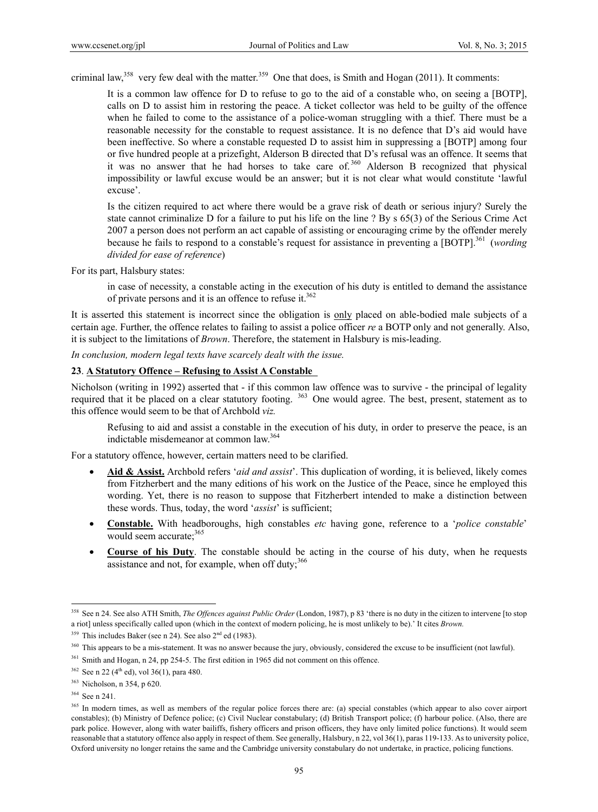criminal law,<sup>358</sup> very few deal with the matter.<sup>359</sup> One that does, is Smith and Hogan (2011). It comments:

It is a common law offence for D to refuse to go to the aid of a constable who, on seeing a [BOTP], calls on D to assist him in restoring the peace. A ticket collector was held to be guilty of the offence when he failed to come to the assistance of a police-woman struggling with a thief. There must be a reasonable necessity for the constable to request assistance. It is no defence that D's aid would have been ineffective. So where a constable requested D to assist him in suppressing a [BOTP] among four or five hundred people at a prizefight, Alderson B directed that D's refusal was an offence. It seems that it was no answer that he had horses to take care of. 360 Alderson B recognized that physical impossibility or lawful excuse would be an answer; but it is not clear what would constitute 'lawful excuse'.

Is the citizen required to act where there would be a grave risk of death or serious injury? Surely the state cannot criminalize D for a failure to put his life on the line ? By s 65(3) of the Serious Crime Act 2007 a person does not perform an act capable of assisting or encouraging crime by the offender merely because he fails to respond to a constable's request for assistance in preventing a [BOTP].<sup>361</sup> (*wording divided for ease of reference*)

For its part, Halsbury states:

in case of necessity, a constable acting in the execution of his duty is entitled to demand the assistance of private persons and it is an offence to refuse it.<sup>362</sup>

It is asserted this statement is incorrect since the obligation is only placed on able-bodied male subjects of a certain age. Further, the offence relates to failing to assist a police officer *re* a BOTP only and not generally. Also, it is subject to the limitations of *Brown*. Therefore, the statement in Halsbury is mis-leading.

*In conclusion, modern legal texts have scarcely dealt with the issue.* 

### **23**. **A Statutory Offence – Refusing to Assist A Constable**

Nicholson (writing in 1992) asserted that - if this common law offence was to survive - the principal of legality required that it be placed on a clear statutory footing. 363 One would agree. The best, present, statement as to this offence would seem to be that of Archbold *viz.*

Refusing to aid and assist a constable in the execution of his duty, in order to preserve the peace, is an indictable misdemeanor at common law.364

For a statutory offence, however, certain matters need to be clarified.

- **Aid & Assist.** Archbold refers '*aid and assist*'. This duplication of wording, it is believed, likely comes from Fitzherbert and the many editions of his work on the Justice of the Peace, since he employed this wording. Yet, there is no reason to suppose that Fitzherbert intended to make a distinction between these words. Thus, today, the word '*assist*' is sufficient;
- **Constable.** With headboroughs, high constables *etc* having gone, reference to a '*police constable*' would seem accurate: 365
- **Course of his Duty**. The constable should be acting in the course of his duty, when he requests assistance and not, for example, when off duty; $366$

<sup>358</sup> See n 24. See also ATH Smith, *The Offences against Public Order* (London, 1987), p 83 'there is no duty in the citizen to intervene [to stop a riot] unless specifically called upon (which in the context of modern policing, he is most unlikely to be).' It cites *Brown.* 

 $359$  This includes Baker (see n 24). See also  $2<sup>nd</sup>$  ed (1983).

<sup>360</sup> This appears to be a mis-statement. It was no answer because the jury, obviously, considered the excuse to be insufficient (not lawful).

<sup>&</sup>lt;sup>361</sup> Smith and Hogan, n 24, pp 254-5. The first edition in 1965 did not comment on this offence.

 $362$  See n 22 (4<sup>th</sup> ed), vol 36(1), para 480.

<sup>363</sup> Nicholson, n 354, p 620.

<sup>364</sup> See n 241.

<sup>&</sup>lt;sup>365</sup> In modern times, as well as members of the regular police forces there are: (a) special constables (which appear to also cover airport constables); (b) Ministry of Defence police; (c) Civil Nuclear constabulary; (d) British Transport police; (f) harbour police. (Also, there are park police. However, along with water bailiffs, fishery officers and prison officers, they have only limited police functions). It would seem reasonable that a statutory offence also apply in respect of them. See generally, Halsbury, n 22, vol 36(1), paras 119-133. As to university police, Oxford university no longer retains the same and the Cambridge university constabulary do not undertake, in practice, policing functions.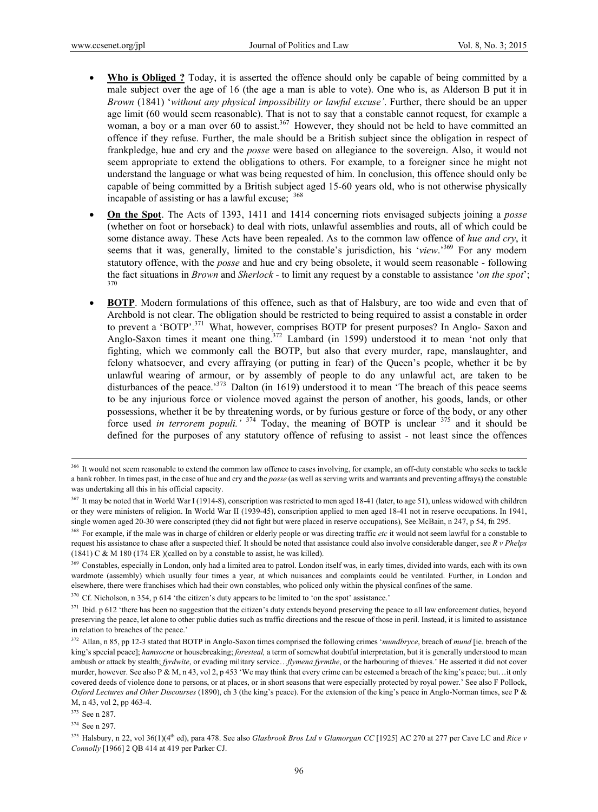- **Who is Obliged ?** Today, it is asserted the offence should only be capable of being committed by a male subject over the age of 16 (the age a man is able to vote). One who is, as Alderson B put it in *Brown* (1841) '*without any physical impossibility or lawful excuse'*. Further, there should be an upper age limit (60 would seem reasonable). That is not to say that a constable cannot request, for example a woman, a boy or a man over 60 to assist.<sup>367</sup> However, they should not be held to have committed an offence if they refuse. Further, the male should be a British subject since the obligation in respect of frankpledge, hue and cry and the *posse* were based on allegiance to the sovereign. Also, it would not seem appropriate to extend the obligations to others. For example, to a foreigner since he might not understand the language or what was being requested of him. In conclusion, this offence should only be capable of being committed by a British subject aged 15-60 years old, who is not otherwise physically incapable of assisting or has a lawful excuse; <sup>368</sup>
- **On the Spot**. The Acts of 1393, 1411 and 1414 concerning riots envisaged subjects joining a *posse* (whether on foot or horseback) to deal with riots, unlawful assemblies and routs, all of which could be some distance away. These Acts have been repealed. As to the common law offence of *hue and cry*, it seems that it was, generally, limited to the constable's jurisdiction, his '*view*.'369 For any modern statutory offence, with the *posse* and hue and cry being obsolete, it would seem reasonable - following the fact situations in *Brown* and *Sherlock -* to limit any request by a constable to assistance '*on the spot*'; 370
- **BOTP**. Modern formulations of this offence, such as that of Halsbury, are too wide and even that of Archbold is not clear. The obligation should be restricted to being required to assist a constable in order to prevent a 'BOTP'.<sup>371</sup> What, however, comprises BOTP for present purposes? In Anglo- Saxon and Anglo-Saxon times it meant one thing.<sup>372</sup> Lambard (in 1599) understood it to mean 'not only that fighting, which we commonly call the BOTP, but also that every murder, rape, manslaughter, and felony whatsoever, and every affraying (or putting in fear) of the Queen's people, whether it be by unlawful wearing of armour, or by assembly of people to do any unlawful act, are taken to be disturbances of the peace.<sup>373</sup> Dalton (in 1619) understood it to mean 'The breach of this peace seems to be any injurious force or violence moved against the person of another, his goods, lands, or other possessions, whether it be by threatening words, or by furious gesture or force of the body, or any other force used *in terrorem populi.'* <sup>374</sup> Today, the meaning of BOTP is unclear 375 and it should be defined for the purposes of any statutory offence of refusing to assist - not least since the offences

<sup>&</sup>lt;sup>366</sup> It would not seem reasonable to extend the common law offence to cases involving, for example, an off-duty constable who seeks to tackle a bank robber. In times past, in the case of hue and cry and the *posse* (as well as serving writs and warrants and preventing affrays) the constable was undertaking all this in his official capacity.

<sup>&</sup>lt;sup>367</sup> It may be noted that in World War I (1914-8), conscription was restricted to men aged 18-41 (later, to age 51), unless widowed with children or they were ministers of religion. In World War II (1939-45), conscription applied to men aged 18-41 not in reserve occupations. In 1941, single women aged 20-30 were conscripted (they did not fight but were placed in reserve occupations), See McBain, n 247, p 54, fn 295.

<sup>&</sup>lt;sup>368</sup> For example, if the male was in charge of children or elderly people or was directing traffic *etc* it would not seem lawful for a constable to request his assistance to chase after a suspected thief*.* It should be noted that assistance could also involve considerable danger, see *R v Phelps* (1841) C & M 180 (174 ER )(called on by a constable to assist, he was killed).

<sup>&</sup>lt;sup>369</sup> Constables, especially in London, only had a limited area to patrol. London itself was, in early times, divided into wards, each with its own wardmote (assembly) which usually four times a year, at which nuisances and complaints could be ventilated. Further, in London and elsewhere, there were franchises which had their own constables, who policed only within the physical confines of the same.

<sup>&</sup>lt;sup>370</sup> Cf. Nicholson, n 354, p 614 'the citizen's duty appears to be limited to 'on the spot' assistance.'

 $371$  Ibid. p 612 'there has been no suggestion that the citizen's duty extends beyond preserving the peace to all law enforcement duties, beyond preserving the peace, let alone to other public duties such as traffic directions and the rescue of those in peril. Instead, it is limited to assistance in relation to breaches of the peace.'

<sup>372</sup> Allan, n 85, pp 12-3 stated that BOTP in Anglo-Saxon times comprised the following crimes '*mundbryce*, breach of *mund* [ie. breach of the king's special peace]; *hamsocne* or housebreaking; *foresteal,* a term of somewhat doubtful interpretation, but it is generally understood to mean ambush or attack by stealth; *fyrdwite*, or evading military service…*flymena fyrmthe*, or the harbouring of thieves.' He asserted it did not cover murder, however. See also P & M, n 43, vol 2, p 453 'We may think that every crime can be esteemed a breach of the king's peace; but...it only covered deeds of violence done to persons, or at places, or in short seasons that were especially protected by royal power.' See also F Pollock, *Oxford Lectures and Other Discourses* (1890), ch 3 (the king's peace). For the extension of the king's peace in Anglo-Norman times, see P & M, n 43, vol 2, pp 463-4.

<sup>373</sup> See n 287.

<sup>374</sup> See n 297.

<sup>&</sup>lt;sup>375</sup> Halsbury, n 22, vol 36(1)(4<sup>th</sup> ed), para 478. See also *Glasbrook Bros Ltd v Glamorgan CC* [1925] AC 270 at 277 per Cave LC and *Rice v Connolly* [1966] 2 QB 414 at 419 per Parker CJ.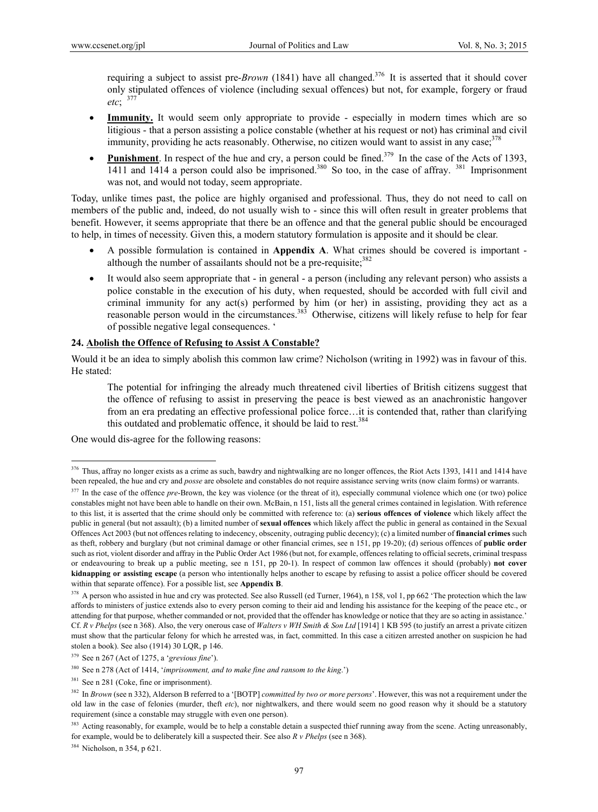requiring a subject to assist pre-*Brown* (1841) have all changed.376 It is asserted that it should cover only stipulated offences of violence (including sexual offences) but not, for example, forgery or fraud *etc*; <sup>377</sup>

- **Immunity.** It would seem only appropriate to provide especially in modern times which are so litigious - that a person assisting a police constable (whether at his request or not) has criminal and civil immunity, providing he acts reasonably. Otherwise, no citizen would want to assist in any case; $378$
- **Punishment**. In respect of the hue and cry, a person could be fined.<sup>379</sup> In the case of the Acts of 1393,  $1411$  and  $1414$  a person could also be imprisoned.<sup>380</sup> So too, in the case of affray.<sup>381</sup> Imprisonment was not, and would not today, seem appropriate.

Today, unlike times past, the police are highly organised and professional. Thus, they do not need to call on members of the public and, indeed, do not usually wish to - since this will often result in greater problems that benefit. However, it seems appropriate that there be an offence and that the general public should be encouraged to help, in times of necessity. Given this, a modern statutory formulation is apposite and it should be clear.

- A possible formulation is contained in **Appendix A**. What crimes should be covered is important although the number of assailants should not be a pre-requisite:  $382$
- It would also seem appropriate that in general a person (including any relevant person) who assists a police constable in the execution of his duty, when requested, should be accorded with full civil and criminal immunity for any act(s) performed by him (or her) in assisting, providing they act as a reasonable person would in the circumstances.<sup>383</sup> Otherwise, citizens will likely refuse to help for fear of possible negative legal consequences. '

### **24. Abolish the Offence of Refusing to Assist A Constable?**

Would it be an idea to simply abolish this common law crime? Nicholson (writing in 1992) was in favour of this. He stated:

The potential for infringing the already much threatened civil liberties of British citizens suggest that the offence of refusing to assist in preserving the peace is best viewed as an anachronistic hangover from an era predating an effective professional police force…it is contended that, rather than clarifying this outdated and problematic offence, it should be laid to rest.<sup>384</sup>

One would dis-agree for the following reasons:

 $\overline{a}$ 

384 Nicholson, n 354, p 621.

 $376$  Thus, affray no longer exists as a crime as such, bawdry and nightwalking are no longer offences, the Riot Acts 1393, 1411 and 1414 have been repealed, the hue and cry and *posse* are obsolete and constables do not require assistance serving writs (now claim forms) or warrants.

<sup>&</sup>lt;sup>377</sup> In the case of the offence *pre*-Brown, the key was violence (or the threat of it), especially communal violence which one (or two) police constables might not have been able to handle on their own. McBain, n 151, lists all the general crimes contained in legislation. With reference to this list, it is asserted that the crime should only be committed with reference to: (a) **serious offences of violence** which likely affect the public in general (but not assault); (b) a limited number of **sexual offences** which likely affect the public in general as contained in the Sexual Offences Act 2003 (but not offences relating to indecency, obscenity, outraging public decency); (c) a limited number of **financial crimes** such as theft, robbery and burglary (but not criminal damage or other financial crimes, see n 151, pp 19-20); (d) serious offences of **public order** such as riot, violent disorder and affray in the Public Order Act 1986 (but not, for example, offences relating to official secrets, criminal trespass or endeavouring to break up a public meeting, see n 151, pp 20-1). In respect of common law offences it should (probably) **not cover kidnapping or assisting escape** (a person who intentionally helps another to escape by refusing to assist a police officer should be covered within that separate offence). For a possible list, see **Appendix B**.

<sup>&</sup>lt;sup>378</sup> A person who assisted in hue and cry was protected. See also Russell (ed Turner, 1964), n 158, vol 1, pp 662 'The protection which the law affords to ministers of justice extends also to every person coming to their aid and lending his assistance for the keeping of the peace etc., or attending for that purpose, whether commanded or not, provided that the offender has knowledge or notice that they are so acting in assistance.' Cf. *R v Phelps* (see n 368). Also, the very onerous case of *Walters v WH Smith & Son Ltd* [1914] 1 KB 595 (to justify an arrest a private citizen must show that the particular felony for which he arrested was, in fact, committed. In this case a citizen arrested another on suspicion he had stolen a book). See also (1914) 30 LQR, p 146.

<sup>379</sup> See n 267 (Act of 1275, a '*grevious fine*').

<sup>380</sup> See n 278 (Act of 1414, '*imprisonment, and to make fine and ransom to the king*.')

 $381$  See n 281 (Coke, fine or imprisonment).

<sup>382</sup> In *Brown* (see n 332), Alderson B referred to a '[BOTP] *committed by two or more persons*'. However, this was not a requirement under the old law in the case of felonies (murder, theft *etc*), nor nightwalkers, and there would seem no good reason why it should be a statutory requirement (since a constable may struggle with even one person).

<sup>&</sup>lt;sup>383</sup> Acting reasonably, for example, would be to help a constable detain a suspected thief running away from the scene. Acting unreasonably, for example, would be to deliberately kill a suspected their. See also *R v Phelps* (see n 368).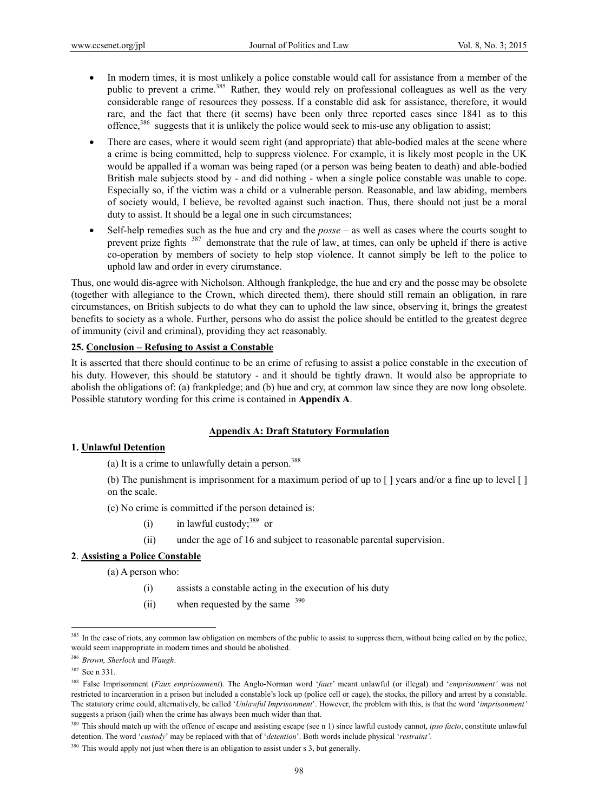- In modern times, it is most unlikely a police constable would call for assistance from a member of the public to prevent a crime.<sup>385</sup> Rather, they would rely on professional colleagues as well as the very considerable range of resources they possess. If a constable did ask for assistance, therefore, it would rare, and the fact that there (it seems) have been only three reported cases since 1841 as to this offence,<sup>386</sup> suggests that it is unlikely the police would seek to mis-use any obligation to assist;
- There are cases, where it would seem right (and appropriate) that able-bodied males at the scene where a crime is being committed, help to suppress violence. For example, it is likely most people in the UK would be appalled if a woman was being raped (or a person was being beaten to death) and able-bodied British male subjects stood by - and did nothing - when a single police constable was unable to cope. Especially so, if the victim was a child or a vulnerable person. Reasonable, and law abiding, members of society would, I believe, be revolted against such inaction. Thus, there should not just be a moral duty to assist. It should be a legal one in such circumstances;
- Self-help remedies such as the hue and cry and the *posse* as well as cases where the courts sought to prevent prize fights 387 demonstrate that the rule of law, at times, can only be upheld if there is active co-operation by members of society to help stop violence. It cannot simply be left to the police to uphold law and order in every cirumstance.

Thus, one would dis-agree with Nicholson. Although frankpledge, the hue and cry and the posse may be obsolete (together with allegiance to the Crown, which directed them), there should still remain an obligation, in rare circumstances, on British subjects to do what they can to uphold the law since, observing it, brings the greatest benefits to society as a whole. Further, persons who do assist the police should be entitled to the greatest degree of immunity (civil and criminal), providing they act reasonably.

#### **25. Conclusion – Refusing to Assist a Constable**

It is asserted that there should continue to be an crime of refusing to assist a police constable in the execution of his duty. However, this should be statutory - and it should be tightly drawn. It would also be appropriate to abolish the obligations of: (a) frankpledge; and (b) hue and cry, at common law since they are now long obsolete. Possible statutory wording for this crime is contained in **Appendix A**.

### **Appendix A: Draft Statutory Formulation**

#### **1. Unlawful Detention**

(a) It is a crime to unlawfully detain a person. $388$ 

(b) The punishment is imprisonment for a maximum period of up to  $\lceil \cdot \rceil$  years and/or a fine up to level  $\lceil \cdot \rceil$ on the scale.

(c) No crime is committed if the person detained is:

- (i) in lawful custody;  $389$  or
- (ii) under the age of 16 and subject to reasonable parental supervision.

### **2**. **Assisting a Police Constable**

(a) A person who:

- (i) assists a constable acting in the execution of his duty
- (ii) when requested by the same  $390$

<sup>&</sup>lt;sup>385</sup> In the case of riots, any common law obligation on members of the public to assist to suppress them, without being called on by the police, would seem inappropriate in modern times and should be abolished.

<sup>386</sup> *Brown, Sherlock* and *Waugh*.

<sup>387</sup> See n 331.

<sup>388</sup> False Imprisonment (*Faux emprisonment*). The Anglo-Norman word '*faux*' meant unlawful (or illegal) and '*emprisonment'* was not restricted to incarceration in a prison but included a constable's lock up (police cell or cage), the stocks, the pillory and arrest by a constable. The statutory crime could, alternatively, be called '*Unlawful Imprisonment*'. However, the problem with this, is that the word '*imprisonment'* suggests a prison (jail) when the crime has always been much wider than that.

<sup>389</sup> This should match up with the offence of escape and assisting escape (see n 1) since lawful custody cannot, *ipso facto*, constitute unlawful detention. The word '*custody*' may be replaced with that of '*detention*'. Both words include physical '*restraint'*.

 $390$  This would apply not just when there is an obligation to assist under s 3, but generally.